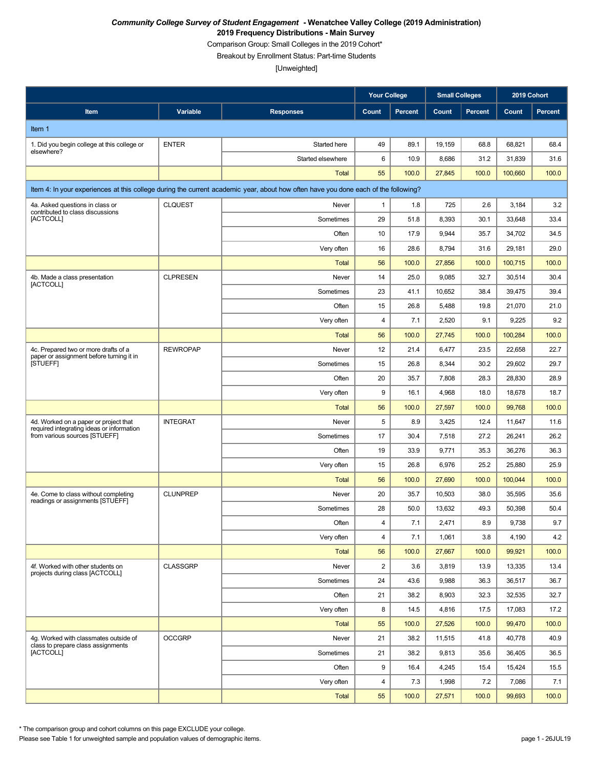Comparison Group: Small Colleges in the 2019 Cohort\*

Breakout by Enrollment Status: Part-time Students

[Unweighted]

|                                                                                    |                 |                                                                                                                                    | <b>Your College</b> |                | <b>Small Colleges</b> |                |         | 2019 Cohort    |
|------------------------------------------------------------------------------------|-----------------|------------------------------------------------------------------------------------------------------------------------------------|---------------------|----------------|-----------------------|----------------|---------|----------------|
| Item                                                                               | Variable        | <b>Responses</b>                                                                                                                   | Count               | <b>Percent</b> | Count                 | <b>Percent</b> | Count   | <b>Percent</b> |
| Item 1                                                                             |                 |                                                                                                                                    |                     |                |                       |                |         |                |
| 1. Did you begin college at this college or                                        | <b>ENTER</b>    | Started here                                                                                                                       | 49                  | 89.1           | 19,159                | 68.8           | 68,821  | 68.4           |
| elsewhere?                                                                         |                 | Started elsewhere                                                                                                                  | 6                   | 10.9           | 8,686                 | 31.2           | 31,839  | 31.6           |
|                                                                                    |                 | <b>Total</b>                                                                                                                       | 55                  | 100.0          | 27,845                | 100.0          | 100,660 | 100.0          |
|                                                                                    |                 | Item 4: In your experiences at this college during the current academic year, about how often have you done each of the following? |                     |                |                       |                |         |                |
| 4a. Asked questions in class or                                                    | <b>CLQUEST</b>  | Never                                                                                                                              | $\mathbf{1}$        | 1.8            | 725                   | 2.6            | 3,184   | 3.2            |
| contributed to class discussions<br>[ACTCOLL]                                      |                 | Sometimes                                                                                                                          | 29                  | 51.8           | 8,393                 | 30.1           | 33,648  | 33.4           |
|                                                                                    |                 | Often                                                                                                                              | 10                  | 17.9           | 9,944                 | 35.7           | 34,702  | 34.5           |
|                                                                                    |                 | Very often                                                                                                                         | 16                  | 28.6           | 8,794                 | 31.6           | 29,181  | 29.0           |
|                                                                                    |                 | <b>Total</b>                                                                                                                       | 56                  | 100.0          | 27,856                | 100.0          | 100,715 | 100.0          |
| 4b. Made a class presentation<br>[ACTCOLL]                                         | <b>CLPRESEN</b> | Never                                                                                                                              | 14                  | 25.0           | 9,085                 | 32.7           | 30,514  | 30.4           |
|                                                                                    |                 | Sometimes                                                                                                                          | 23                  | 41.1           | 10,652                | 38.4           | 39,475  | 39.4           |
|                                                                                    |                 | Often                                                                                                                              | 15                  | 26.8           | 5,488                 | 19.8           | 21,070  | 21.0           |
|                                                                                    |                 | Very often                                                                                                                         | 4                   | 7.1            | 2,520                 | 9.1            | 9,225   | 9.2            |
|                                                                                    |                 | <b>Total</b>                                                                                                                       | 56                  | 100.0          | 27,745                | 100.0          | 100,284 | 100.0          |
| 4c. Prepared two or more drafts of a<br>paper or assignment before turning it in   | <b>REWROPAP</b> | Never                                                                                                                              | 12                  | 21.4           | 6,477                 | 23.5           | 22,658  | 22.7           |
| <b>ISTUEFFI</b>                                                                    |                 | Sometimes                                                                                                                          | 15                  | 26.8           | 8,344                 | 30.2           | 29,602  | 29.7           |
|                                                                                    |                 | Often                                                                                                                              | 20                  | 35.7           | 7,808                 | 28.3           | 28,830  | 28.9           |
|                                                                                    |                 | Very often                                                                                                                         | 9                   | 16.1           | 4,968                 | 18.0           | 18,678  | 18.7           |
|                                                                                    |                 | <b>Total</b>                                                                                                                       | 56                  | 100.0          | 27,597                | 100.0          | 99,768  | 100.0          |
| 4d. Worked on a paper or project that<br>required integrating ideas or information | <b>INTEGRAT</b> | Never                                                                                                                              | 5                   | 8.9            | 3,425                 | 12.4           | 11,647  | 11.6           |
| from various sources [STUEFF]                                                      |                 | Sometimes                                                                                                                          | 17                  | 30.4           | 7,518                 | 27.2           | 26,241  | 26.2           |
|                                                                                    |                 | Often                                                                                                                              | 19                  | 33.9           | 9,771                 | 35.3           | 36,276  | 36.3           |
|                                                                                    |                 | Very often                                                                                                                         | 15                  | 26.8           | 6,976                 | 25.2           | 25,880  | 25.9           |
|                                                                                    |                 | <b>Total</b>                                                                                                                       | 56                  | 100.0          | 27,690                | 100.0          | 100,044 | 100.0          |
| 4e. Come to class without completing<br>readings or assignments [STUEFF]           | <b>CLUNPREP</b> | Never                                                                                                                              | 20                  | 35.7           | 10,503                | 38.0           | 35,595  | 35.6           |
|                                                                                    |                 | Sometimes                                                                                                                          | 28                  | 50.0           | 13,632                | 49.3           | 50,398  | 50.4           |
|                                                                                    |                 | Often                                                                                                                              | 4                   | 7.1            | 2,471                 | 8.9            | 9,738   | 9.7            |
|                                                                                    |                 | Very often                                                                                                                         | $\overline{4}$      | 7.1            | 1,061                 | 3.8            | 4,190   | 4.2            |
|                                                                                    |                 | <b>Total</b>                                                                                                                       | 56                  | 100.0          | 27,667                | 100.0          | 99,921  | 100.0          |
| 4f. Worked with other students on<br>projects during class [ACTCOLL]               | <b>CLASSGRP</b> | Never                                                                                                                              | $\overline{2}$      | 3.6            | 3,819                 | 13.9           | 13,335  | 13.4           |
|                                                                                    |                 | Sometimes                                                                                                                          | 24                  | 43.6           | 9,988                 | 36.3           | 36,517  | 36.7           |
|                                                                                    |                 | Often                                                                                                                              | 21                  | 38.2           | 8,903                 | 32.3           | 32,535  | 32.7           |
|                                                                                    |                 | Very often                                                                                                                         | 8                   | 14.5           | 4,816                 | 17.5           | 17,083  | 17.2           |
|                                                                                    |                 | <b>Total</b>                                                                                                                       | 55                  | 100.0          | 27,526                | 100.0          | 99,470  | 100.0          |
| 4q. Worked with classmates outside of<br>class to prepare class assignments        | <b>OCCGRP</b>   | Never                                                                                                                              | 21                  | 38.2           | 11,515                | 41.8           | 40,778  | 40.9           |
| <b>[ACTCOLL]</b>                                                                   |                 | Sometimes                                                                                                                          | 21                  | 38.2           | 9,813                 | 35.6           | 36,405  | 36.5           |
|                                                                                    |                 | Often                                                                                                                              | 9                   | 16.4           | 4,245                 | 15.4           | 15,424  | 15.5           |
|                                                                                    |                 | Very often                                                                                                                         | 4                   | 7.3            | 1,998                 | 7.2            | 7,086   | 7.1            |
|                                                                                    |                 | <b>Total</b>                                                                                                                       | 55                  | 100.0          | 27,571                | 100.0          | 99,693  | 100.0          |

\* The comparison group and cohort columns on this page EXCLUDE your college.

Please see Table 1 for unweighted sample and population values of demographic items. page 1 - 26JUL19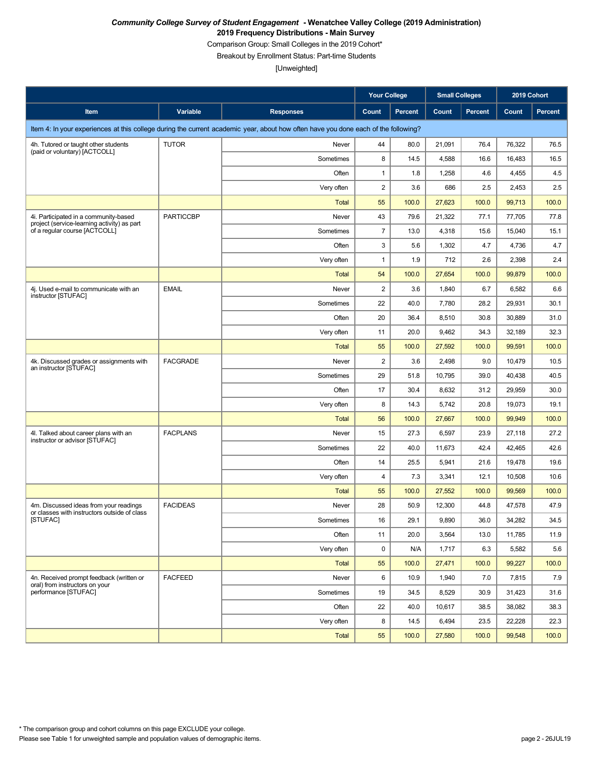Comparison Group: Small Colleges in the 2019 Cohort\*

Breakout by Enrollment Status: Part-time Students

|                                                                                        |                  |                                                                                                                                    | <b>Your College</b> |                | <b>Small Colleges</b> |                | 2019 Cohort |         |
|----------------------------------------------------------------------------------------|------------------|------------------------------------------------------------------------------------------------------------------------------------|---------------------|----------------|-----------------------|----------------|-------------|---------|
| Item                                                                                   | Variable         | <b>Responses</b>                                                                                                                   | Count               | <b>Percent</b> | Count                 | <b>Percent</b> | Count       | Percent |
|                                                                                        |                  | Item 4: In your experiences at this college during the current academic year, about how often have you done each of the following? |                     |                |                       |                |             |         |
| 4h. Tutored or taught other students                                                   | <b>TUTOR</b>     | Never                                                                                                                              | 44                  | 80.0           | 21,091                | 76.4           | 76,322      | 76.5    |
| (paid or voluntary) [ACTCOLL]                                                          |                  | Sometimes                                                                                                                          | 8                   | 14.5           | 4,588                 | 16.6           | 16,483      | 16.5    |
|                                                                                        |                  | Often                                                                                                                              | $\mathbf{1}$        | 1.8            | 1,258                 | 4.6            | 4,455       | 4.5     |
|                                                                                        |                  | Very often                                                                                                                         | $\overline{2}$      | 3.6            | 686                   | 2.5            | 2,453       | 2.5     |
|                                                                                        |                  | <b>Total</b>                                                                                                                       | 55                  | 100.0          | 27,623                | 100.0          | 99,713      | 100.0   |
| 4i. Participated in a community-based<br>project (service-learning activity) as part   | <b>PARTICCBP</b> | Never                                                                                                                              | 43                  | 79.6           | 21,322                | 77.1           | 77,705      | 77.8    |
| of a regular course [ACTCOLL]                                                          |                  | Sometimes                                                                                                                          | $\overline{7}$      | 13.0           | 4,318                 | 15.6           | 15,040      | 15.1    |
|                                                                                        |                  | Often                                                                                                                              | 3                   | 5.6            | 1,302                 | 4.7            | 4,736       | 4.7     |
|                                                                                        |                  | Very often                                                                                                                         | $\mathbf{1}$        | 1.9            | 712                   | 2.6            | 2,398       | 2.4     |
|                                                                                        |                  | <b>Total</b>                                                                                                                       | 54                  | 100.0          | 27,654                | 100.0          | 99,879      | 100.0   |
| 4j. Used e-mail to communicate with an<br>instructor [STUFAC]                          | <b>EMAIL</b>     | Never                                                                                                                              | $\overline{c}$      | 3.6            | 1,840                 | 6.7            | 6,582       | 6.6     |
|                                                                                        |                  | Sometimes                                                                                                                          | 22                  | 40.0           | 7,780                 | 28.2           | 29,931      | 30.1    |
|                                                                                        |                  | Often                                                                                                                              | 20                  | 36.4           | 8,510                 | 30.8           | 30,889      | 31.0    |
|                                                                                        |                  | Very often                                                                                                                         | 11                  | 20.0           | 9,462                 | 34.3           | 32,189      | 32.3    |
|                                                                                        |                  | <b>Total</b>                                                                                                                       | 55                  | 100.0          | 27,592                | 100.0          | 99,591      | 100.0   |
| 4k. Discussed grades or assignments with<br>an instructor [STUFAC]                     | <b>FACGRADE</b>  | Never                                                                                                                              | $\overline{2}$      | 3.6            | 2,498                 | 9.0            | 10,479      | 10.5    |
|                                                                                        |                  | Sometimes                                                                                                                          | 29                  | 51.8           | 10,795                | 39.0           | 40,438      | 40.5    |
|                                                                                        |                  | Often                                                                                                                              | 17                  | 30.4           | 8,632                 | 31.2           | 29,959      | 30.0    |
|                                                                                        |                  | Very often                                                                                                                         | 8                   | 14.3           | 5,742                 | 20.8           | 19,073      | 19.1    |
|                                                                                        |                  | <b>Total</b>                                                                                                                       | 56                  | 100.0          | 27,667                | 100.0          | 99,949      | 100.0   |
| 4I. Talked about career plans with an<br>instructor or advisor [STUFAC]                | <b>FACPLANS</b>  | Never                                                                                                                              | 15                  | 27.3           | 6,597                 | 23.9           | 27,118      | 27.2    |
|                                                                                        |                  | Sometimes                                                                                                                          | 22                  | 40.0           | 11,673                | 42.4           | 42,465      | 42.6    |
|                                                                                        |                  | Often                                                                                                                              | 14                  | 25.5           | 5,941                 | 21.6           | 19,478      | 19.6    |
|                                                                                        |                  | Very often                                                                                                                         | 4                   | 7.3            | 3,341                 | 12.1           | 10,508      | 10.6    |
|                                                                                        |                  | <b>Total</b>                                                                                                                       | 55                  | 100.0          | 27,552                | 100.0          | 99,569      | 100.0   |
| 4m. Discussed ideas from your readings<br>or classes with instructors outside of class | <b>FACIDEAS</b>  | Never                                                                                                                              | 28                  | 50.9           | 12,300                | 44.8           | 47,578      | 47.9    |
| [STUFAC]                                                                               |                  | Sometimes                                                                                                                          | 16                  | 29.1           | 9,890                 | 36.0           | 34,282      | 34.5    |
|                                                                                        |                  | Often                                                                                                                              | 11                  | 20.0           | 3,564                 | 13.0           | 11,785      | 11.9    |
|                                                                                        |                  | Very often                                                                                                                         | 0                   | N/A            | 1,717                 | 6.3            | 5,582       | 5.6     |
|                                                                                        |                  | Total                                                                                                                              | 55                  | 100.0          | 27,471                | 100.0          | 99,227      | 100.0   |
| 4n. Received prompt feedback (written or<br>oral) from instructors on your             | <b>FACFEED</b>   | Never                                                                                                                              | 6                   | 10.9           | 1,940                 | 7.0            | 7,815       | 7.9     |
| performance [STUFAC]                                                                   |                  | Sometimes                                                                                                                          | 19                  | 34.5           | 8,529                 | 30.9           | 31,423      | 31.6    |
|                                                                                        |                  | Often                                                                                                                              | 22                  | 40.0           | 10,617                | 38.5           | 38,082      | 38.3    |
|                                                                                        |                  | Very often                                                                                                                         | 8                   | 14.5           | 6,494                 | 23.5           | 22,228      | 22.3    |
|                                                                                        |                  | <b>Total</b>                                                                                                                       | 55                  | 100.0          | 27,580                | 100.0          | 99,548      | 100.0   |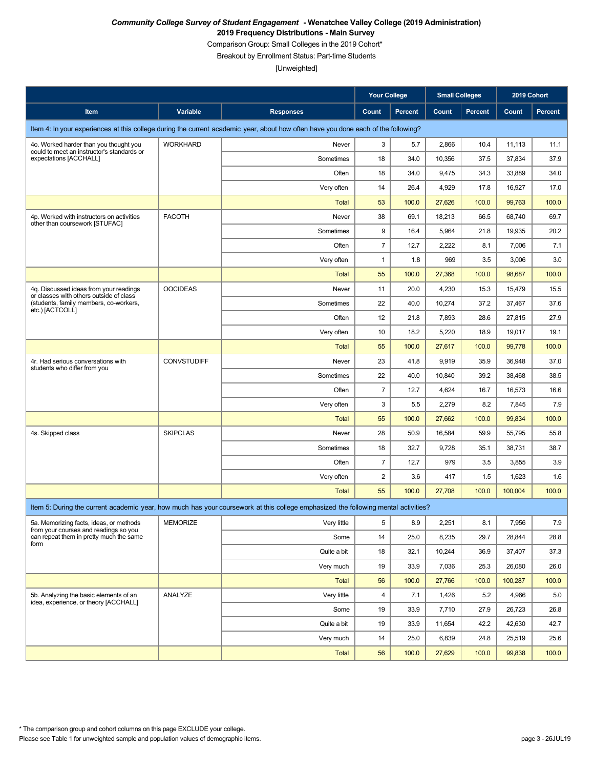Comparison Group: Small Colleges in the 2019 Cohort\*

Breakout by Enrollment Status: Part-time Students

|                                                                                   |                    |                                                                                                                                    | <b>Your College</b> |                | <b>Small Colleges</b> |                | 2019 Cohort |         |
|-----------------------------------------------------------------------------------|--------------------|------------------------------------------------------------------------------------------------------------------------------------|---------------------|----------------|-----------------------|----------------|-------------|---------|
| Item                                                                              | Variable           | <b>Responses</b>                                                                                                                   | Count               | <b>Percent</b> | Count                 | <b>Percent</b> | Count       | Percent |
|                                                                                   |                    | Item 4: In your experiences at this college during the current academic year, about how often have you done each of the following? |                     |                |                       |                |             |         |
| 4o. Worked harder than you thought you                                            | <b>WORKHARD</b>    | Never                                                                                                                              | 3                   | 5.7            | 2,866                 | 10.4           | 11,113      | 11.1    |
| could to meet an instructor's standards or<br>expectations [ACCHALL]              |                    | Sometimes                                                                                                                          | 18                  | 34.0           | 10,356                | 37.5           | 37,834      | 37.9    |
|                                                                                   |                    | Often                                                                                                                              | 18                  | 34.0           | 9,475                 | 34.3           | 33,889      | 34.0    |
|                                                                                   |                    | Very often                                                                                                                         | 14                  | 26.4           | 4,929                 | 17.8           | 16,927      | 17.0    |
|                                                                                   |                    | <b>Total</b>                                                                                                                       | 53                  | 100.0          | 27,626                | 100.0          | 99,763      | 100.0   |
| 4p. Worked with instructors on activities<br>other than coursework [STUFAC]       | <b>FACOTH</b>      | Never                                                                                                                              | 38                  | 69.1           | 18,213                | 66.5           | 68,740      | 69.7    |
|                                                                                   |                    | Sometimes                                                                                                                          | 9                   | 16.4           | 5,964                 | 21.8           | 19,935      | 20.2    |
|                                                                                   |                    | Often                                                                                                                              | $\overline{7}$      | 12.7           | 2,222                 | 8.1            | 7,006       | 7.1     |
|                                                                                   |                    | Very often                                                                                                                         | $\mathbf{1}$        | 1.8            | 969                   | 3.5            | 3,006       | 3.0     |
|                                                                                   |                    | <b>Total</b>                                                                                                                       | 55                  | 100.0          | 27,368                | 100.0          | 98,687      | 100.0   |
| 4g. Discussed ideas from your readings<br>or classes with others outside of class | <b>OOCIDEAS</b>    | Never                                                                                                                              | 11                  | 20.0           | 4,230                 | 15.3           | 15,479      | 15.5    |
| (students, family members, co-workers,<br>etc.) [ACTCOLL]                         |                    | Sometimes                                                                                                                          | 22                  | 40.0           | 10,274                | 37.2           | 37,467      | 37.6    |
|                                                                                   |                    | Often                                                                                                                              | 12                  | 21.8           | 7,893                 | 28.6           | 27,815      | 27.9    |
|                                                                                   |                    | Very often                                                                                                                         | 10                  | 18.2           | 5,220                 | 18.9           | 19,017      | 19.1    |
|                                                                                   |                    | <b>Total</b>                                                                                                                       | 55                  | 100.0          | 27,617                | 100.0          | 99,778      | 100.0   |
| 4r. Had serious conversations with                                                | <b>CONVSTUDIFF</b> | Never                                                                                                                              | 23                  | 41.8           | 9,919                 | 35.9           | 36,948      | 37.0    |
| students who differ from you                                                      |                    | Sometimes                                                                                                                          | 22                  | 40.0           | 10,840                | 39.2           | 38,468      | 38.5    |
|                                                                                   |                    | Often                                                                                                                              | $\overline{7}$      | 12.7           | 4,624                 | 16.7           | 16,573      | 16.6    |
|                                                                                   |                    | Very often                                                                                                                         | 3                   | 5.5            | 2,279                 | 8.2            | 7,845       | 7.9     |
|                                                                                   |                    | <b>Total</b>                                                                                                                       | 55                  | 100.0          | 27,662                | 100.0          | 99,834      | 100.0   |
| 4s. Skipped class                                                                 | <b>SKIPCLAS</b>    | Never                                                                                                                              | 28                  | 50.9           | 16,584                | 59.9           | 55,795      | 55.8    |
|                                                                                   |                    | Sometimes                                                                                                                          | 18                  | 32.7           | 9,728                 | 35.1           | 38,731      | 38.7    |
|                                                                                   |                    | Often                                                                                                                              | $\overline{7}$      | 12.7           | 979                   | 3.5            | 3,855       | 3.9     |
|                                                                                   |                    | Very often                                                                                                                         | $\overline{c}$      | 3.6            | 417                   | 1.5            | 1,623       | 1.6     |
|                                                                                   |                    | <b>Total</b>                                                                                                                       | 55                  | 100.0          | 27,708                | 100.0          | 100,004     | 100.0   |
|                                                                                   |                    | Item 5: During the current academic year, how much has your coursework at this college emphasized the following mental activities? |                     |                |                       |                |             |         |
| 5a. Memorizing facts, ideas, or methods<br>from your courses and readings so you  | MEMORIZE           | Very little                                                                                                                        | 5                   | 8.9            | 2,251                 | 8.1            | 7,956       | 7.9     |
| can repeat them in pretty much the same<br>form                                   |                    | Some                                                                                                                               | 14                  | 25.0           | 8,235                 | 29.7           | 28,844      | 28.8    |
|                                                                                   |                    | Quite a bit                                                                                                                        | 18                  | 32.1           | 10,244                | 36.9           | 37,407      | 37.3    |
|                                                                                   |                    | Very much                                                                                                                          | 19                  | 33.9           | 7,036                 | 25.3           | 26,080      | 26.0    |
|                                                                                   |                    | <b>Total</b>                                                                                                                       | 56                  | 100.0          | 27,766                | 100.0          | 100,287     | 100.0   |
| 5b. Analyzing the basic elements of an<br>idea, experience, or theory [ACCHALL]   | ANALYZE            | Very little                                                                                                                        | 4                   | 7.1            | 1,426                 | 5.2            | 4,966       | 5.0     |
|                                                                                   |                    | Some                                                                                                                               | 19                  | 33.9           | 7,710                 | 27.9           | 26,723      | 26.8    |
|                                                                                   |                    | Quite a bit                                                                                                                        | 19                  | 33.9           | 11,654                | 42.2           | 42,630      | 42.7    |
|                                                                                   |                    | Very much                                                                                                                          | 14                  | 25.0           | 6,839                 | 24.8           | 25,519      | 25.6    |
|                                                                                   |                    | <b>Total</b>                                                                                                                       | 56                  | 100.0          | 27,629                | 100.0          | 99,838      | 100.0   |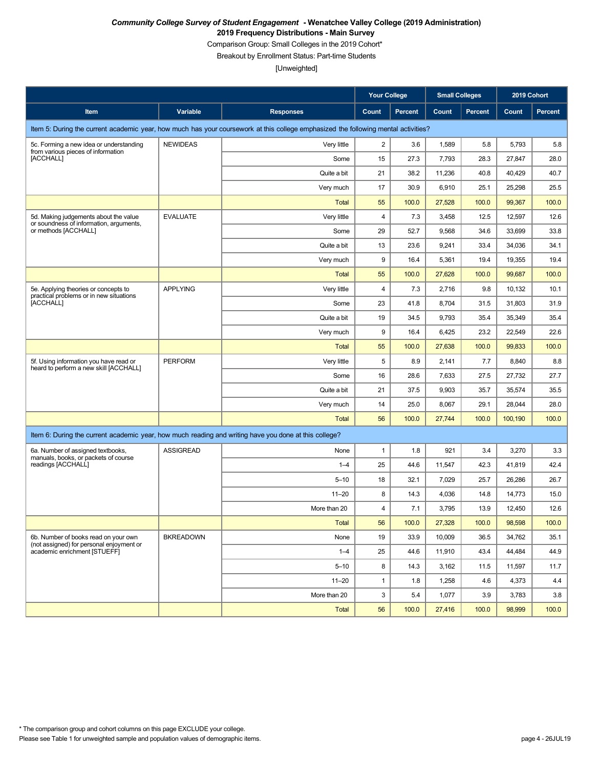Comparison Group: Small Colleges in the 2019 Cohort\*

Breakout by Enrollment Status: Part-time Students

|                                                                                                       |                  |                                                                                                                                    | <b>Your College</b> |                | <b>Small Colleges</b> |                | 2019 Cohort |                |
|-------------------------------------------------------------------------------------------------------|------------------|------------------------------------------------------------------------------------------------------------------------------------|---------------------|----------------|-----------------------|----------------|-------------|----------------|
| Item                                                                                                  | Variable         | <b>Responses</b>                                                                                                                   | Count               | <b>Percent</b> | Count                 | <b>Percent</b> | Count       | <b>Percent</b> |
|                                                                                                       |                  | Item 5: During the current academic year, how much has your coursework at this college emphasized the following mental activities? |                     |                |                       |                |             |                |
| 5c. Forming a new idea or understanding<br>from various pieces of information                         | <b>NEWIDEAS</b>  | Very little                                                                                                                        | $\overline{c}$      | 3.6            | 1,589                 | 5.8            | 5,793       | 5.8            |
| [ACCHALL]                                                                                             |                  | Some                                                                                                                               | 15                  | 27.3           | 7,793                 | 28.3           | 27,847      | 28.0           |
|                                                                                                       |                  | Quite a bit                                                                                                                        | 21                  | 38.2           | 11,236                | 40.8           | 40,429      | 40.7           |
|                                                                                                       |                  | Very much                                                                                                                          | 17                  | 30.9           | 6,910                 | 25.1           | 25,298      | 25.5           |
|                                                                                                       |                  | <b>Total</b>                                                                                                                       | 55                  | 100.0          | 27,528                | 100.0          | 99,367      | 100.0          |
| 5d. Making judgements about the value<br>or soundness of information, arguments,                      | <b>EVALUATE</b>  | Very little                                                                                                                        | 4                   | 7.3            | 3,458                 | 12.5           | 12,597      | 12.6           |
| or methods [ACCHALL]                                                                                  |                  | Some                                                                                                                               | 29                  | 52.7           | 9,568                 | 34.6           | 33,699      | 33.8           |
|                                                                                                       |                  | Quite a bit                                                                                                                        | 13                  | 23.6           | 9,241                 | 33.4           | 34,036      | 34.1           |
|                                                                                                       |                  | Very much                                                                                                                          | 9                   | 16.4           | 5,361                 | 19.4           | 19,355      | 19.4           |
|                                                                                                       |                  | <b>Total</b>                                                                                                                       | 55                  | 100.0          | 27,628                | 100.0          | 99,687      | 100.0          |
| 5e. Applying theories or concepts to<br>practical problems or in new situations                       | <b>APPLYING</b>  | Very little                                                                                                                        | 4                   | 7.3            | 2,716                 | 9.8            | 10,132      | 10.1           |
| [ACCHALL]                                                                                             |                  | Some                                                                                                                               | 23                  | 41.8           | 8,704                 | 31.5           | 31,803      | 31.9           |
|                                                                                                       |                  | Quite a bit                                                                                                                        | 19                  | 34.5           | 9,793                 | 35.4           | 35,349      | 35.4           |
|                                                                                                       |                  | Very much                                                                                                                          | 9                   | 16.4           | 6,425                 | 23.2           | 22,549      | 22.6           |
|                                                                                                       |                  | <b>Total</b>                                                                                                                       | 55                  | 100.0          | 27,638                | 100.0          | 99,833      | 100.0          |
| 5f. Using information you have read or<br>heard to perform a new skill [ACCHALL]                      | <b>PERFORM</b>   | Very little                                                                                                                        | 5                   | 8.9            | 2,141                 | 7.7            | 8,840       | 8.8            |
|                                                                                                       |                  | Some                                                                                                                               | 16                  | 28.6           | 7,633                 | 27.5           | 27,732      | 27.7           |
|                                                                                                       |                  | Quite a bit                                                                                                                        | 21                  | 37.5           | 9,903                 | 35.7           | 35,574      | 35.5           |
|                                                                                                       |                  | Very much                                                                                                                          | 14                  | 25.0           | 8,067                 | 29.1           | 28,044      | 28.0           |
|                                                                                                       |                  | <b>Total</b>                                                                                                                       | 56                  | 100.0          | 27,744                | 100.0          | 100,190     | 100.0          |
| Item 6: During the current academic year, how much reading and writing have you done at this college? |                  |                                                                                                                                    |                     |                |                       |                |             |                |
| 6a. Number of assigned textbooks,<br>manuals, books, or packets of course                             | <b>ASSIGREAD</b> | None                                                                                                                               | $\mathbf{1}$        | 1.8            | 921                   | 3.4            | 3,270       | 3.3            |
| readings [ACCHALL]                                                                                    |                  | $1 - 4$                                                                                                                            | 25                  | 44.6           | 11,547                | 42.3           | 41,819      | 42.4           |
|                                                                                                       |                  | $5 - 10$                                                                                                                           | 18                  | 32.1           | 7,029                 | 25.7           | 26,286      | 26.7           |
|                                                                                                       |                  | $11 - 20$                                                                                                                          | 8                   | 14.3           | 4,036                 | 14.8           | 14,773      | 15.0           |
|                                                                                                       |                  | More than 20                                                                                                                       | 4                   | 7.1            | 3,795                 | 13.9           | 12,450      | 12.6           |
|                                                                                                       |                  | <b>Total</b>                                                                                                                       | 56                  | 100.0          | 27,328                | 100.0          | 98,598      | 100.0          |
| 6b. Number of books read on your own<br>(not assigned) for personal enjoyment or                      | <b>BKREADOWN</b> | None                                                                                                                               | 19                  | 33.9           | 10,009                | 36.5           | 34,762      | 35.1           |
| academic enrichment [STUEFF]                                                                          |                  | $1 - 4$                                                                                                                            | 25                  | 44.6           | 11,910                | 43.4           | 44,484      | 44.9           |
|                                                                                                       |                  | $5 - 10$                                                                                                                           | 8                   | 14.3           | 3,162                 | 11.5           | 11,597      | 11.7           |
|                                                                                                       |                  | $11 - 20$                                                                                                                          | $\mathbf{1}$        | 1.8            | 1,258                 | 4.6            | 4,373       | 4.4            |
|                                                                                                       |                  | More than 20                                                                                                                       | 3                   | 5.4            | 1,077                 | 3.9            | 3,783       | 3.8            |
|                                                                                                       |                  | Total                                                                                                                              | 56                  | 100.0          | 27,416                | 100.0          | 98,999      | 100.0          |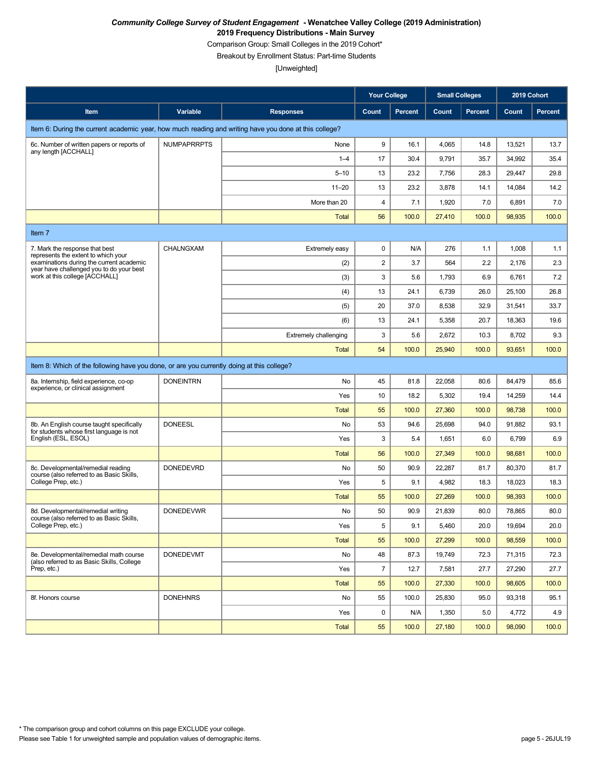Comparison Group: Small Colleges in the 2019 Cohort\*

Breakout by Enrollment Status: Part-time Students

|                                                                                                       |                    |                              | <b>Your College</b> |                | <b>Small Colleges</b> |                | 2019 Cohort |         |  |
|-------------------------------------------------------------------------------------------------------|--------------------|------------------------------|---------------------|----------------|-----------------------|----------------|-------------|---------|--|
| Item                                                                                                  | Variable           | <b>Responses</b>             | Count               | <b>Percent</b> | Count                 | <b>Percent</b> | Count       | Percent |  |
| Item 6: During the current academic year, how much reading and writing have you done at this college? |                    |                              |                     |                |                       |                |             |         |  |
| 6c. Number of written papers or reports of                                                            | <b>NUMPAPRRPTS</b> | None                         | 9                   | 16.1           | 4,065                 | 14.8           | 13,521      | 13.7    |  |
| any length [ACCHALL]                                                                                  |                    | $1 - 4$                      | 17                  | 30.4           | 9,791                 | 35.7           | 34,992      | 35.4    |  |
|                                                                                                       |                    | $5 - 10$                     | 13                  | 23.2           | 7,756                 | 28.3           | 29,447      | 29.8    |  |
|                                                                                                       |                    | $11 - 20$                    | 13                  | 23.2           | 3,878                 | 14.1           | 14,084      | 14.2    |  |
|                                                                                                       |                    | More than 20                 | $\overline{4}$      | 7.1            | 1,920                 | 7.0            | 6,891       | 7.0     |  |
|                                                                                                       |                    | <b>Total</b>                 | 56                  | 100.0          | 27,410                | 100.0          | 98,935      | 100.0   |  |
| Item 7                                                                                                |                    |                              |                     |                |                       |                |             |         |  |
| 7. Mark the response that best<br>represents the extent to which your                                 | CHALNGXAM          | Extremely easy               | $\pmb{0}$           | N/A            | 276                   | 1.1            | 1,008       | 1.1     |  |
| examinations during the current academic<br>year have challenged you to do your best                  |                    | (2)                          | $\sqrt{2}$          | 3.7            | 564                   | 2.2            | 2,176       | 2.3     |  |
| work at this college [ACCHALL]                                                                        |                    | (3)                          | 3                   | 5.6            | 1,793                 | 6.9            | 6,761       | 7.2     |  |
|                                                                                                       |                    | (4)                          | 13                  | 24.1           | 6,739                 | 26.0           | 25,100      | 26.8    |  |
|                                                                                                       |                    | (5)                          | 20                  | 37.0           | 8,538                 | 32.9           | 31,541      | 33.7    |  |
|                                                                                                       |                    | (6)                          | 13                  | 24.1           | 5,358                 | 20.7           | 18,363      | 19.6    |  |
|                                                                                                       |                    | <b>Extremely challenging</b> | 3                   | 5.6            | 2,672                 | 10.3           | 8,702       | 9.3     |  |
|                                                                                                       |                    | <b>Total</b>                 | 54                  | 100.0          | 25,940                | 100.0          | 93,651      | 100.0   |  |
| Item 8: Which of the following have you done, or are you currently doing at this college?             |                    |                              |                     |                |                       |                |             |         |  |
| 8a. Internship, field experience, co-op<br>experience, or clinical assignment                         | <b>DONEINTRN</b>   | No                           | 45                  | 81.8           | 22,058                | 80.6           | 84,479      | 85.6    |  |
|                                                                                                       |                    | Yes                          | 10                  | 18.2           | 5,302                 | 19.4           | 14,259      | 14.4    |  |
|                                                                                                       |                    | <b>Total</b>                 | 55                  | 100.0          | 27,360                | 100.0          | 98,738      | 100.0   |  |
| 8b. An English course taught specifically<br>for students whose first language is not                 | <b>DONEESL</b>     | No                           | 53                  | 94.6           | 25,698                | 94.0           | 91,882      | 93.1    |  |
| English (ESL, ESOL)                                                                                   |                    | Yes                          | 3                   | 5.4            | 1,651                 | 6.0            | 6,799       | 6.9     |  |
|                                                                                                       |                    | <b>Total</b>                 | 56                  | 100.0          | 27,349                | 100.0          | 98,681      | 100.0   |  |
| 8c. Developmental/remedial reading<br>course (also referred to as Basic Skills,                       | <b>DONEDEVRD</b>   | No                           | 50                  | 90.9           | 22,287                | 81.7           | 80,370      | 81.7    |  |
| College Prep, etc.)                                                                                   |                    | Yes                          | 5                   | 9.1            | 4,982                 | 18.3           | 18,023      | 18.3    |  |
|                                                                                                       |                    | <b>Total</b>                 | 55                  | 100.0          | 27,269                | 100.0          | 98,393      | 100.0   |  |
| 8d. Developmental/remedial writing<br>course (also referred to as Basic Skills,                       | <b>DONEDEVWR</b>   | No                           | 50                  | 90.9           | 21,839                | 80.0           | 78,865      | 80.0    |  |
| College Prep, etc.)                                                                                   |                    | Yes                          | 5                   | 9.1            | 5,460                 | 20.0           | 19,694      | 20.0    |  |
|                                                                                                       |                    | <b>Total</b>                 | 55                  | 100.0          | 27,299                | 100.0          | 98,559      | 100.0   |  |
| 8e. Developmental/remedial math course<br>(also referred to as Basic Skills, College                  | <b>DONEDEVMT</b>   | No                           | 48                  | 87.3           | 19,749                | 72.3           | 71,315      | 72.3    |  |
| Prep, etc.)                                                                                           |                    | Yes                          | $\overline{7}$      | 12.7           | 7,581                 | 27.7           | 27,290      | 27.7    |  |
|                                                                                                       |                    | <b>Total</b>                 | 55                  | 100.0          | 27,330                | 100.0          | 98,605      | 100.0   |  |
| 8f. Honors course                                                                                     | <b>DONEHNRS</b>    | No                           | 55                  | 100.0          | 25,830                | 95.0           | 93,318      | 95.1    |  |
|                                                                                                       |                    | Yes                          | 0                   | N/A            | 1,350                 | 5.0            | 4,772       | 4.9     |  |
|                                                                                                       |                    | <b>Total</b>                 | 55                  | 100.0          | 27,180                | 100.0          | 98,090      | 100.0   |  |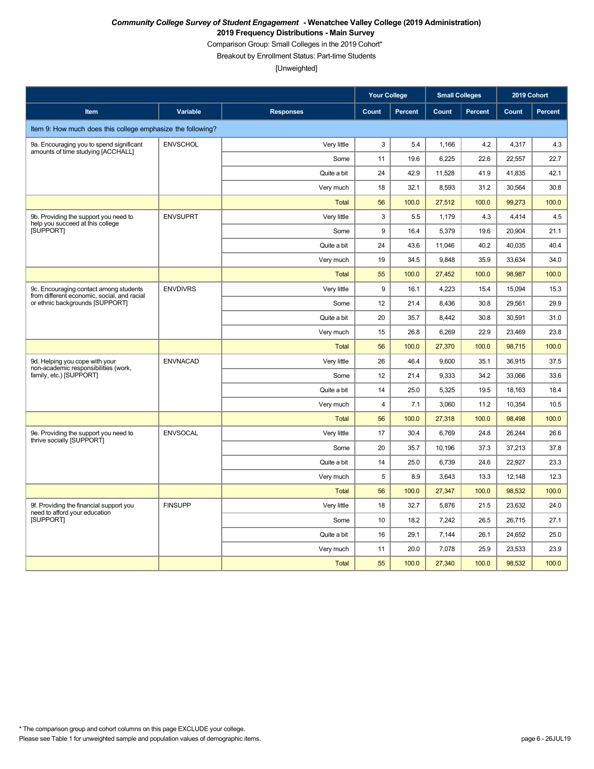Comparison Group: Small Colleges in the 2019 Cohort\*

Breakout by Enrollment Status: Part-time Students

|                                                                                       |                 |                  | <b>Your College</b>     |                | <b>Small Colleges</b> |                | 2019 Cohort |                |
|---------------------------------------------------------------------------------------|-----------------|------------------|-------------------------|----------------|-----------------------|----------------|-------------|----------------|
| Item                                                                                  | Variable        | <b>Responses</b> | Count                   | <b>Percent</b> | Count                 | <b>Percent</b> | Count       | <b>Percent</b> |
| Item 9: How much does this college emphasize the following?                           |                 |                  |                         |                |                       |                |             |                |
| 9a. Encouraging you to spend significant                                              | <b>ENVSCHOL</b> | Very little      | 3                       | 5.4            | 1,166                 | 4.2            | 4,317       | 4.3            |
| amounts of time studying [ACCHALL]                                                    |                 | Some             | 11                      | 19.6           | 6,225                 | 22.6           | 22,557      | 22.7           |
|                                                                                       |                 | Quite a bit      | 24                      | 42.9           | 11,528                | 41.9           | 41,835      | 42.1           |
|                                                                                       |                 | Very much        | 18                      | 32.1           | 8,593                 | 31.2           | 30,564      | 30.8           |
|                                                                                       |                 | <b>Total</b>     | 56                      | 100.0          | 27,512                | 100.0          | 99,273      | 100.0          |
| 9b. Providing the support you need to                                                 | <b>ENVSUPRT</b> | Very little      | 3                       | 5.5            | 1,179                 | 4.3            | 4,414       | 4.5            |
| help you succeed at this college<br><b>ISUPPORTI</b>                                  |                 | Some             | 9                       | 16.4           | 5,379                 | 19.6           | 20,904      | 21.1           |
|                                                                                       |                 | Quite a bit      | 24                      | 43.6           | 11,046                | 40.2           | 40,035      | 40.4           |
|                                                                                       |                 | Very much        | 19                      | 34.5           | 9,848                 | 35.9           | 33,634      | 34.0           |
|                                                                                       |                 | <b>Total</b>     | 55                      | 100.0          | 27,452                | 100.0          | 98,987      | 100.0          |
| 9c. Encouraging contact among students<br>from different economic, social, and racial | <b>ENVDIVRS</b> | Very little      | 9                       | 16.1           | 4,223                 | 15.4           | 15,094      | 15.3           |
| or ethnic backgrounds [SUPPORT]                                                       |                 | Some             | 12                      | 21.4           | 8,436                 | 30.8           | 29,561      | 29.9           |
|                                                                                       |                 | Quite a bit      | 20                      | 35.7           | 8,442                 | 30.8           | 30,591      | 31.0           |
|                                                                                       |                 | Very much        | 15                      | 26.8           | 6,269                 | 22.9           | 23,469      | 23.8           |
|                                                                                       |                 | <b>Total</b>     | 56                      | 100.0          | 27,370                | 100.0          | 98,715      | 100.0          |
| 9d. Helping you cope with your<br>non-academic responsibilities (work,                | <b>ENVNACAD</b> | Very little      | 26                      | 46.4           | 9,600                 | 35.1           | 36,915      | 37.5           |
| family, etc.) [SUPPORT]                                                               |                 | Some             | 12                      | 21.4           | 9,333                 | 34.2           | 33,066      | 33.6           |
|                                                                                       |                 | Quite a bit      | 14                      | 25.0           | 5,325                 | 19.5           | 18,163      | 18.4           |
|                                                                                       |                 | Very much        | $\overline{\mathbf{4}}$ | 7.1            | 3,060                 | 11.2           | 10,354      | 10.5           |
|                                                                                       |                 | <b>Total</b>     | 56                      | 100.0          | 27,318                | 100.0          | 98,498      | 100.0          |
| 9e. Providing the support you need to<br>thrive socially [SUPPORT]                    | <b>ENVSOCAL</b> | Very little      | 17                      | 30.4           | 6,769                 | 24.8           | 26,244      | 26.6           |
|                                                                                       |                 | Some             | 20                      | 35.7           | 10,196                | 37.3           | 37,213      | 37.8           |
|                                                                                       |                 | Quite a bit      | 14                      | 25.0           | 6,739                 | 24.6           | 22,927      | 23.3           |
|                                                                                       |                 | Very much        | 5                       | 8.9            | 3,643                 | 13.3           | 12,148      | 12.3           |
|                                                                                       |                 | <b>Total</b>     | 56                      | 100.0          | 27,347                | 100.0          | 98,532      | 100.0          |
| 9f. Providing the financial support you<br>need to afford your education              | <b>FINSUPP</b>  | Very little      | 18                      | 32.7           | 5,876                 | 21.5           | 23,632      | 24.0           |
| [SUPPORT]                                                                             |                 | Some             | 10                      | 18.2           | 7,242                 | 26.5           | 26,715      | 27.1           |
|                                                                                       |                 | Quite a bit      | 16                      | 29.1           | 7,144                 | 26.1           | 24,652      | 25.0           |
|                                                                                       |                 | Very much        | 11                      | 20.0           | 7,078                 | 25.9           | 23,533      | 23.9           |
|                                                                                       |                 | <b>Total</b>     | 55                      | 100.0          | 27,340                | 100.0          | 98.532      | 100.0          |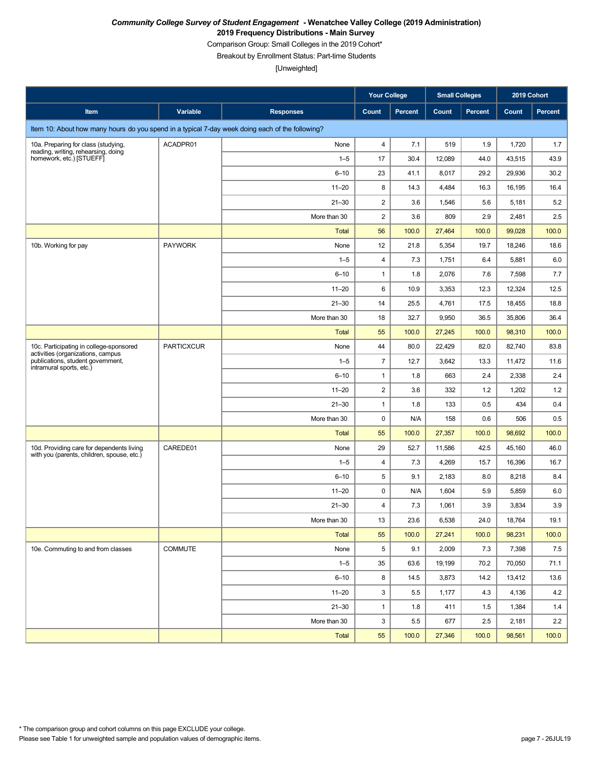Comparison Group: Small Colleges in the 2019 Cohort\*

Breakout by Enrollment Status: Part-time Students

|                                                                                                 |                   |                  | Your College            |         | <b>Small Colleges</b> |                | 2019 Cohort |         |
|-------------------------------------------------------------------------------------------------|-------------------|------------------|-------------------------|---------|-----------------------|----------------|-------------|---------|
| Item                                                                                            | Variable          | <b>Responses</b> | Count                   | Percent | Count                 | <b>Percent</b> | Count       | Percent |
| Item 10: About how many hours do you spend in a typical 7-day week doing each of the following? |                   |                  |                         |         |                       |                |             |         |
| 10a. Preparing for class (studying,                                                             | ACADPR01          | None             | 4                       | 7.1     | 519                   | 1.9            | 1,720       | 1.7     |
| reading, writing, rehearsing, doing<br>homework, etc.) [STUEFF]                                 |                   | $1 - 5$          | 17                      | 30.4    | 12,089                | 44.0           | 43,515      | 43.9    |
|                                                                                                 |                   | $6 - 10$         | 23                      | 41.1    | 8,017                 | 29.2           | 29,936      | 30.2    |
|                                                                                                 |                   | $11 - 20$        | 8                       | 14.3    | 4,484                 | 16.3           | 16,195      | 16.4    |
|                                                                                                 |                   | $21 - 30$        | $\overline{c}$          | 3.6     | 1,546                 | 5.6            | 5,181       | 5.2     |
|                                                                                                 |                   | More than 30     | $\overline{\mathbf{c}}$ | 3.6     | 809                   | 2.9            | 2,481       | 2.5     |
|                                                                                                 |                   | <b>Total</b>     | 56                      | 100.0   | 27,464                | 100.0          | 99,028      | 100.0   |
| 10b. Working for pay                                                                            | <b>PAYWORK</b>    | None             | 12                      | 21.8    | 5,354                 | 19.7           | 18,246      | 18.6    |
|                                                                                                 |                   | $1 - 5$          | 4                       | 7.3     | 1,751                 | 6.4            | 5,881       | 6.0     |
|                                                                                                 |                   | $6 - 10$         | $\mathbf{1}$            | 1.8     | 2,076                 | 7.6            | 7,598       | 7.7     |
|                                                                                                 |                   | $11 - 20$        | 6                       | 10.9    | 3,353                 | 12.3           | 12,324      | 12.5    |
|                                                                                                 |                   | $21 - 30$        | 14                      | 25.5    | 4,761                 | 17.5           | 18,455      | 18.8    |
|                                                                                                 |                   | More than 30     | 18                      | 32.7    | 9,950                 | 36.5           | 35,806      | 36.4    |
|                                                                                                 |                   | <b>Total</b>     | 55                      | 100.0   | 27,245                | 100.0          | 98,310      | 100.0   |
| 10c. Participating in college-sponsored<br>activities (organizations, campus                    | <b>PARTICXCUR</b> | None             | 44                      | 80.0    | 22,429                | 82.0           | 82,740      | 83.8    |
| publications, student government,                                                               |                   | $1 - 5$          | $\overline{7}$          | 12.7    | 3,642                 | 13.3           | 11,472      | 11.6    |
| intramural sports, etc.)                                                                        |                   | $6 - 10$         | $\mathbf{1}$            | 1.8     | 663                   | 2.4            | 2,338       | 2.4     |
|                                                                                                 |                   | $11 - 20$        | $\overline{c}$          | 3.6     | 332                   | 1.2            | 1,202       | 1.2     |
|                                                                                                 |                   | $21 - 30$        | $\mathbf{1}$            | 1.8     | 133                   | 0.5            | 434         | 0.4     |
|                                                                                                 |                   | More than 30     | $\mathbf 0$             | N/A     | 158                   | 0.6            | 506         | 0.5     |
|                                                                                                 |                   | <b>Total</b>     | 55                      | 100.0   | 27,357                | 100.0          | 98,692      | 100.0   |
| 10d. Providing care for dependents living<br>with you (parents, children, spouse, etc.)         | CAREDE01          | None             | 29                      | 52.7    | 11,586                | 42.5           | 45,160      | 46.0    |
|                                                                                                 |                   | $1 - 5$          | 4                       | 7.3     | 4,269                 | 15.7           | 16,396      | 16.7    |
|                                                                                                 |                   | $6 - 10$         | 5                       | 9.1     | 2,183                 | 8.0            | 8,218       | 8.4     |
|                                                                                                 |                   | $11 - 20$        | 0                       | N/A     | 1,604                 | 5.9            | 5,859       | 6.0     |
|                                                                                                 |                   | $21 - 30$        | 4                       | 7.3     | 1,061                 | 3.9            | 3,834       | 3.9     |
|                                                                                                 |                   | More than 30     | $13\,$                  | 23.6    | 6,538                 | 24.0           | 18,764      | 19.1    |
|                                                                                                 |                   | <b>Total</b>     | 55                      | 100.0   | 27,241                | 100.0          | 98,231      | 100.0   |
| 10e. Commuting to and from classes                                                              | COMMUTE           | None             | 5                       | 9.1     | 2,009                 | 7.3            | 7,398       | 7.5     |
|                                                                                                 |                   | $1 - 5$          | 35                      | 63.6    | 19,199                | 70.2           | 70,050      | 71.1    |
|                                                                                                 |                   | $6 - 10$         | 8                       | 14.5    | 3,873                 | 14.2           | 13,412      | 13.6    |
|                                                                                                 |                   | $11 - 20$        | 3                       | 5.5     | 1,177                 | 4.3            | 4,136       | 4.2     |
|                                                                                                 |                   | $21 - 30$        | $\mathbf{1}$            | 1.8     | 411                   | 1.5            | 1,384       | 1.4     |
|                                                                                                 |                   | More than 30     | 3                       | $5.5\,$ | 677                   | $2.5\,$        | 2,181       | 2.2     |
|                                                                                                 |                   | Total            | 55                      | 100.0   | 27,346                | 100.0          | 98,561      | 100.0   |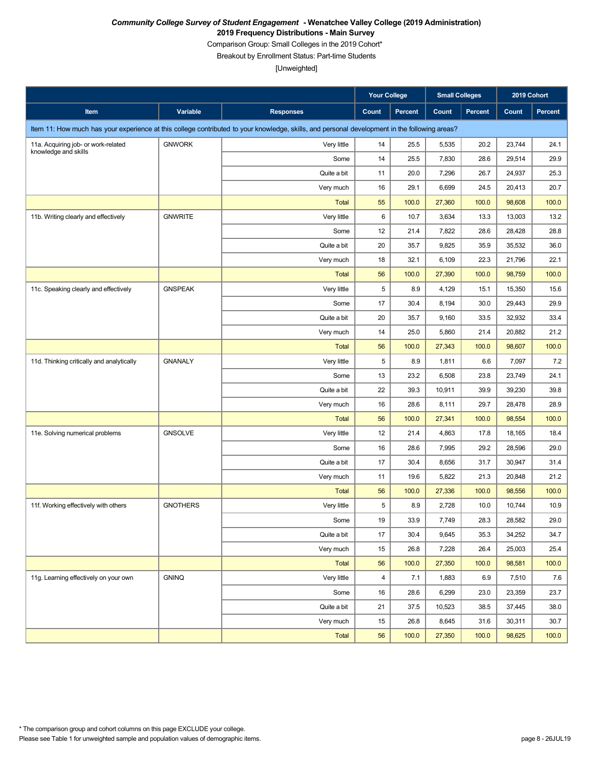Comparison Group: Small Colleges in the 2019 Cohort\*

Breakout by Enrollment Status: Part-time Students

|                                           |                 |                                                                                                                                               | <b>Your College</b> |         | <b>Small Colleges</b> |                | 2019 Cohort |                |
|-------------------------------------------|-----------------|-----------------------------------------------------------------------------------------------------------------------------------------------|---------------------|---------|-----------------------|----------------|-------------|----------------|
| Item                                      | Variable        | <b>Responses</b>                                                                                                                              | Count               | Percent | Count                 | <b>Percent</b> | Count       | <b>Percent</b> |
|                                           |                 | Item 11: How much has your experience at this college contributed to your knowledge, skills, and personal development in the following areas? |                     |         |                       |                |             |                |
| 11a. Acquiring job- or work-related       | <b>GNWORK</b>   | Very little                                                                                                                                   | 14                  | 25.5    | 5,535                 | 20.2           | 23,744      | 24.1           |
| knowledge and skills                      |                 | Some                                                                                                                                          | 14                  | 25.5    | 7,830                 | 28.6           | 29,514      | 29.9           |
|                                           |                 | Quite a bit                                                                                                                                   | 11                  | 20.0    | 7,296                 | 26.7           | 24,937      | 25.3           |
|                                           |                 | Very much                                                                                                                                     | 16                  | 29.1    | 6,699                 | 24.5           | 20,413      | 20.7           |
|                                           |                 | <b>Total</b>                                                                                                                                  | 55                  | 100.0   | 27,360                | 100.0          | 98,608      | 100.0          |
| 11b. Writing clearly and effectively      | <b>GNWRITE</b>  | Very little                                                                                                                                   | 6                   | 10.7    | 3,634                 | 13.3           | 13,003      | 13.2           |
|                                           |                 | Some                                                                                                                                          | 12                  | 21.4    | 7,822                 | 28.6           | 28,428      | 28.8           |
|                                           |                 | Quite a bit                                                                                                                                   | 20                  | 35.7    | 9,825                 | 35.9           | 35,532      | 36.0           |
|                                           |                 | Very much                                                                                                                                     | 18                  | 32.1    | 6,109                 | 22.3           | 21,796      | 22.1           |
|                                           |                 | <b>Total</b>                                                                                                                                  | 56                  | 100.0   | 27,390                | 100.0          | 98,759      | 100.0          |
| 11c. Speaking clearly and effectively     | <b>GNSPEAK</b>  | Very little                                                                                                                                   | 5                   | 8.9     | 4,129                 | 15.1           | 15,350      | 15.6           |
|                                           |                 | Some                                                                                                                                          | 17                  | 30.4    | 8,194                 | 30.0           | 29,443      | 29.9           |
|                                           |                 | Quite a bit                                                                                                                                   | 20                  | 35.7    | 9,160                 | 33.5           | 32,932      | 33.4           |
|                                           |                 | Very much                                                                                                                                     | 14                  | 25.0    | 5,860                 | 21.4           | 20,882      | 21.2           |
|                                           |                 | <b>Total</b>                                                                                                                                  | 56                  | 100.0   | 27,343                | 100.0          | 98,607      | 100.0          |
| 11d. Thinking critically and analytically | <b>GNANALY</b>  | Very little                                                                                                                                   | 5                   | 8.9     | 1,811                 | 6.6            | 7,097       | 7.2            |
|                                           |                 | Some                                                                                                                                          | 13                  | 23.2    | 6,508                 | 23.8           | 23,749      | 24.1           |
|                                           |                 | Quite a bit                                                                                                                                   | 22                  | 39.3    | 10,911                | 39.9           | 39,230      | 39.8           |
|                                           |                 | Very much                                                                                                                                     | 16                  | 28.6    | 8,111                 | 29.7           | 28,478      | 28.9           |
|                                           |                 | <b>Total</b>                                                                                                                                  | 56                  | 100.0   | 27,341                | 100.0          | 98,554      | 100.0          |
| 11e. Solving numerical problems           | <b>GNSOLVE</b>  | Very little                                                                                                                                   | 12                  | 21.4    | 4,863                 | 17.8           | 18,165      | 18.4           |
|                                           |                 | Some                                                                                                                                          | 16                  | 28.6    | 7,995                 | 29.2           | 28,596      | 29.0           |
|                                           |                 | Quite a bit                                                                                                                                   | 17                  | 30.4    | 8,656                 | 31.7           | 30,947      | 31.4           |
|                                           |                 | Very much                                                                                                                                     | 11                  | 19.6    | 5,822                 | 21.3           | 20,848      | 21.2           |
|                                           |                 | <b>Total</b>                                                                                                                                  | 56                  | 100.0   | 27,336                | 100.0          | 98,556      | 100.0          |
| 11f. Working effectively with others      | <b>GNOTHERS</b> | Very little                                                                                                                                   | 5                   | 8.9     | 2,728                 | 10.0           | 10,744      | 10.9           |
|                                           |                 | Some                                                                                                                                          | 19                  | 33.9    | 7,749                 | 28.3           | 28,582      | 29.0           |
|                                           |                 | Quite a bit                                                                                                                                   | 17                  | 30.4    | 9,645                 | 35.3           | 34,252      | 34.7           |
|                                           |                 | Very much                                                                                                                                     | 15                  | 26.8    | 7,228                 | 26.4           | 25,003      | 25.4           |
|                                           |                 | <b>Total</b>                                                                                                                                  | 56                  | 100.0   | 27,350                | 100.0          | 98,581      | 100.0          |
| 11g. Learning effectively on your own     | <b>GNINQ</b>    | Very little                                                                                                                                   | 4                   | 7.1     | 1,883                 | 6.9            | 7,510       | 7.6            |
|                                           |                 | Some                                                                                                                                          | 16                  | 28.6    | 6,299                 | 23.0           | 23,359      | 23.7           |
|                                           |                 | Quite a bit                                                                                                                                   | 21                  | 37.5    | 10,523                | 38.5           | 37,445      | 38.0           |
|                                           |                 | Very much                                                                                                                                     | 15                  | 26.8    | 8,645                 | 31.6           | 30,311      | 30.7           |
|                                           |                 | <b>Total</b>                                                                                                                                  | 56                  | 100.0   | 27,350                | 100.0          | 98,625      | 100.0          |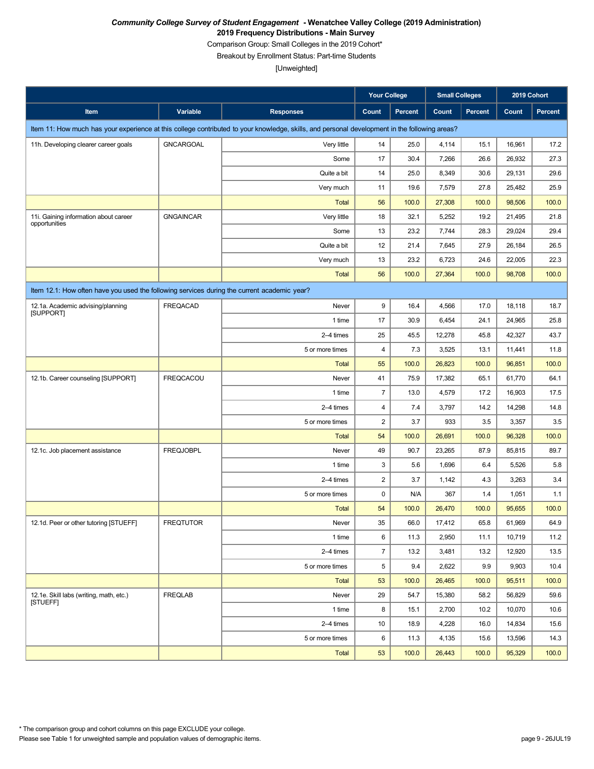Comparison Group: Small Colleges in the 2019 Cohort\*

Breakout by Enrollment Status: Part-time Students

|                                                                                             |                  |                                                                                                                                               | <b>Your College</b>     |         | <b>Small Colleges</b> |                | 2019 Cohort |                |
|---------------------------------------------------------------------------------------------|------------------|-----------------------------------------------------------------------------------------------------------------------------------------------|-------------------------|---------|-----------------------|----------------|-------------|----------------|
| <b>Item</b>                                                                                 | Variable         | <b>Responses</b>                                                                                                                              | Count                   | Percent | Count                 | <b>Percent</b> | Count       | <b>Percent</b> |
|                                                                                             |                  | Item 11: How much has your experience at this college contributed to your knowledge, skills, and personal development in the following areas? |                         |         |                       |                |             |                |
| 11h. Developing clearer career goals                                                        | <b>GNCARGOAL</b> | Very little                                                                                                                                   | 14                      | 25.0    | 4,114                 | 15.1           | 16,961      | 17.2           |
|                                                                                             |                  | Some                                                                                                                                          | 17                      | 30.4    | 7,266                 | 26.6           | 26,932      | 27.3           |
|                                                                                             |                  | Quite a bit                                                                                                                                   | 14                      | 25.0    | 8,349                 | 30.6           | 29,131      | 29.6           |
|                                                                                             |                  | Very much                                                                                                                                     | 11                      | 19.6    | 7,579                 | 27.8           | 25,482      | 25.9           |
|                                                                                             |                  | <b>Total</b>                                                                                                                                  | 56                      | 100.0   | 27,308                | 100.0          | 98,506      | 100.0          |
| 11i. Gaining information about career<br>opportunities                                      | <b>GNGAINCAR</b> | Very little                                                                                                                                   | 18                      | 32.1    | 5,252                 | 19.2           | 21,495      | 21.8           |
|                                                                                             |                  | Some                                                                                                                                          | 13                      | 23.2    | 7,744                 | 28.3           | 29,024      | 29.4           |
|                                                                                             |                  | Quite a bit                                                                                                                                   | 12                      | 21.4    | 7,645                 | 27.9           | 26,184      | 26.5           |
|                                                                                             |                  | Very much                                                                                                                                     | 13                      | 23.2    | 6,723                 | 24.6           | 22,005      | 22.3           |
|                                                                                             |                  | <b>Total</b>                                                                                                                                  | 56                      | 100.0   | 27,364                | 100.0          | 98,708      | 100.0          |
| Item 12.1: How often have you used the following services during the current academic year? |                  |                                                                                                                                               |                         |         |                       |                |             |                |
| 12.1a. Academic advising/planning<br>[SUPPORT]                                              | FREQACAD         | Never                                                                                                                                         | 9                       | 16.4    | 4,566                 | 17.0           | 18,118      | 18.7           |
|                                                                                             |                  | 1 time                                                                                                                                        | 17                      | 30.9    | 6,454                 | 24.1           | 24,965      | 25.8           |
|                                                                                             |                  | 2-4 times                                                                                                                                     | 25                      | 45.5    | 12,278                | 45.8           | 42,327      | 43.7           |
|                                                                                             |                  | 5 or more times                                                                                                                               | $\overline{\mathbf{4}}$ | 7.3     | 3,525                 | 13.1           | 11,441      | 11.8           |
|                                                                                             |                  | <b>Total</b>                                                                                                                                  | 55                      | 100.0   | 26,823                | 100.0          | 96,851      | 100.0          |
| 12.1b. Career counseling [SUPPORT]                                                          | <b>FREQCACOU</b> | Never                                                                                                                                         | 41                      | 75.9    | 17,382                | 65.1           | 61,770      | 64.1           |
|                                                                                             |                  | 1 time                                                                                                                                        | $\overline{7}$          | 13.0    | 4,579                 | 17.2           | 16,903      | 17.5           |
|                                                                                             |                  | 2-4 times                                                                                                                                     | $\overline{\mathbf{4}}$ | 7.4     | 3,797                 | 14.2           | 14,298      | 14.8           |
|                                                                                             |                  | 5 or more times                                                                                                                               | $\overline{\mathbf{c}}$ | 3.7     | 933                   | 3.5            | 3,357       | 3.5            |
|                                                                                             |                  | <b>Total</b>                                                                                                                                  | 54                      | 100.0   | 26,691                | 100.0          | 96,328      | 100.0          |
| 12.1c. Job placement assistance                                                             | <b>FREQJOBPL</b> | Never                                                                                                                                         | 49                      | 90.7    | 23,265                | 87.9           | 85,815      | 89.7           |
|                                                                                             |                  | 1 time                                                                                                                                        | 3                       | 5.6     | 1,696                 | 6.4            | 5,526       | 5.8            |
|                                                                                             |                  | 2-4 times                                                                                                                                     | $\overline{\mathbf{c}}$ | 3.7     | 1,142                 | 4.3            | 3,263       | 3.4            |
|                                                                                             |                  | 5 or more times                                                                                                                               | 0                       | N/A     | 367                   | 1.4            | 1,051       | 1.1            |
|                                                                                             |                  | <b>Total</b>                                                                                                                                  | 54                      | 100.0   | 26,470                | 100.0          | 95,655      | 100.0          |
| 12.1d. Peer or other tutoring [STUEFF]                                                      | <b>FREQTUTOR</b> | Never                                                                                                                                         | 35                      | 66.0    | 17,412                | 65.8           | 61,969      | 64.9           |
|                                                                                             |                  | 1 time                                                                                                                                        | 6                       | 11.3    | 2,950                 | 11.1           | 10,719      | 11.2           |
|                                                                                             |                  | 2-4 times                                                                                                                                     | $\overline{7}$          | 13.2    | 3,481                 | 13.2           | 12,920      | 13.5           |
|                                                                                             |                  | 5 or more times                                                                                                                               | 5                       | 9.4     | 2,622                 | 9.9            | 9,903       | 10.4           |
|                                                                                             |                  | Total                                                                                                                                         | 53                      | 100.0   | 26,465                | 100.0          | 95,511      | 100.0          |
| 12.1e. Skill labs (writing, math, etc.)<br>[STUEFF]                                         | <b>FREQLAB</b>   | Never                                                                                                                                         | 29                      | 54.7    | 15,380                | 58.2           | 56,829      | 59.6           |
|                                                                                             |                  | 1 time                                                                                                                                        | 8                       | 15.1    | 2,700                 | 10.2           | 10,070      | 10.6           |
|                                                                                             |                  | 2-4 times                                                                                                                                     | 10                      | 18.9    | 4,228                 | 16.0           | 14,834      | 15.6           |
|                                                                                             |                  | 5 or more times                                                                                                                               | 6                       | 11.3    | 4,135                 | 15.6           | 13,596      | 14.3           |
|                                                                                             |                  | Total                                                                                                                                         | 53                      | 100.0   | 26,443                | 100.0          | 95,329      | 100.0          |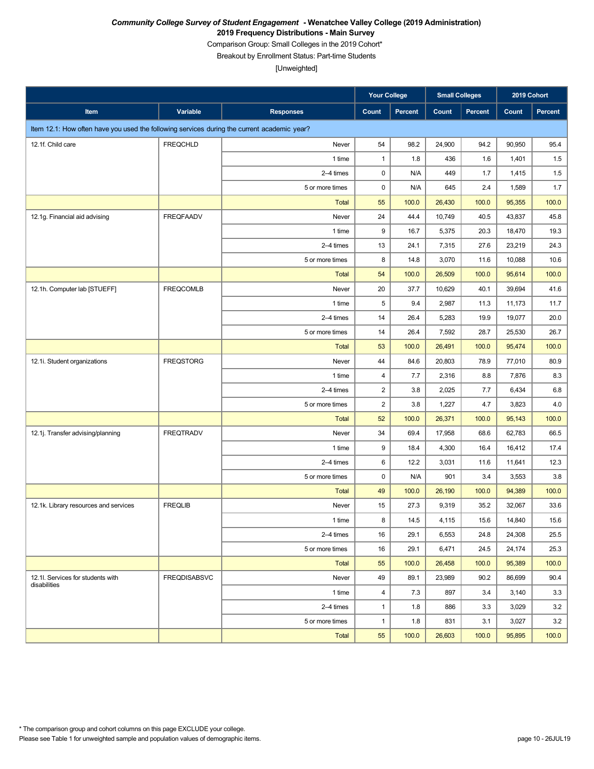Comparison Group: Small Colleges in the 2019 Cohort\*

Breakout by Enrollment Status: Part-time Students

|                                                                                             |                     |                  | <b>Your College</b> |                | <b>Small Colleges</b> |         | 2019 Cohort |         |
|---------------------------------------------------------------------------------------------|---------------------|------------------|---------------------|----------------|-----------------------|---------|-------------|---------|
| Item                                                                                        | Variable            | <b>Responses</b> | <b>Count</b>        | <b>Percent</b> | Count                 | Percent | Count       | Percent |
| Item 12.1: How often have you used the following services during the current academic year? |                     |                  |                     |                |                       |         |             |         |
| 12.1f. Child care                                                                           | <b>FREQCHLD</b>     | Never            | 54                  | 98.2           | 24,900                | 94.2    | 90,950      | 95.4    |
|                                                                                             |                     | 1 time           | $\mathbf{1}$        | 1.8            | 436                   | 1.6     | 1,401       | 1.5     |
|                                                                                             |                     | 2-4 times        | $\mathbf 0$         | N/A            | 449                   | 1.7     | 1,415       | 1.5     |
|                                                                                             |                     | 5 or more times  | $\mathbf 0$         | N/A            | 645                   | 2.4     | 1,589       | 1.7     |
|                                                                                             |                     | <b>Total</b>     | 55                  | 100.0          | 26,430                | 100.0   | 95,355      | 100.0   |
| 12.1g. Financial aid advising                                                               | <b>FREQFAADV</b>    | Never            | 24                  | 44.4           | 10,749                | 40.5    | 43,837      | 45.8    |
|                                                                                             |                     | 1 time           | 9                   | 16.7           | 5,375                 | 20.3    | 18,470      | 19.3    |
|                                                                                             |                     | 2-4 times        | 13                  | 24.1           | 7,315                 | 27.6    | 23,219      | 24.3    |
|                                                                                             |                     | 5 or more times  | 8                   | 14.8           | 3,070                 | 11.6    | 10,088      | 10.6    |
|                                                                                             |                     | <b>Total</b>     | 54                  | 100.0          | 26,509                | 100.0   | 95,614      | 100.0   |
| 12.1h. Computer lab [STUEFF]                                                                | <b>FREQCOMLB</b>    | Never            | 20                  | 37.7           | 10,629                | 40.1    | 39,694      | 41.6    |
|                                                                                             |                     | 1 time           | 5                   | 9.4            | 2,987                 | 11.3    | 11,173      | 11.7    |
|                                                                                             |                     | 2-4 times        | 14                  | 26.4           | 5,283                 | 19.9    | 19,077      | 20.0    |
|                                                                                             |                     | 5 or more times  | 14                  | 26.4           | 7,592                 | 28.7    | 25,530      | 26.7    |
|                                                                                             |                     | <b>Total</b>     | 53                  | 100.0          | 26,491                | 100.0   | 95,474      | 100.0   |
| 12.1i. Student organizations                                                                | <b>FREQSTORG</b>    | Never            | 44                  | 84.6           | 20,803                | 78.9    | 77,010      | 80.9    |
|                                                                                             |                     | 1 time           | 4                   | 7.7            | 2,316                 | 8.8     | 7,876       | 8.3     |
|                                                                                             |                     | 2-4 times        | $\overline{c}$      | 3.8            | 2,025                 | 7.7     | 6,434       | 6.8     |
|                                                                                             |                     | 5 or more times  | $\overline{c}$      | 3.8            | 1,227                 | 4.7     | 3,823       | 4.0     |
|                                                                                             |                     | <b>Total</b>     | 52                  | 100.0          | 26,371                | 100.0   | 95,143      | 100.0   |
| 12.1j. Transfer advising/planning                                                           | <b>FREQTRADV</b>    | Never            | 34                  | 69.4           | 17,958                | 68.6    | 62,783      | 66.5    |
|                                                                                             |                     | 1 time           | 9                   | 18.4           | 4,300                 | 16.4    | 16,412      | 17.4    |
|                                                                                             |                     | 2-4 times        | 6                   | 12.2           | 3,031                 | 11.6    | 11,641      | 12.3    |
|                                                                                             |                     | 5 or more times  | $\mathbf 0$         | N/A            | 901                   | 3.4     | 3,553       | 3.8     |
|                                                                                             |                     | <b>Total</b>     | 49                  | 100.0          | 26,190                | 100.0   | 94,389      | 100.0   |
| 12.1k. Library resources and services                                                       | <b>FREQLIB</b>      | Never            | 15                  | 27.3           | 9,319                 | 35.2    | 32,067      | 33.6    |
|                                                                                             |                     | 1 time           | 8                   | 14.5           | 4,115                 | 15.6    | 14,840      | 15.6    |
|                                                                                             |                     | 2-4 times        | 16                  | 29.1           | 6,553                 | 24.8    | 24,308      | 25.5    |
|                                                                                             |                     | 5 or more times  | 16                  | 29.1           | 6,471                 | 24.5    | 24,174      | 25.3    |
|                                                                                             |                     | <b>Total</b>     | 55                  | 100.0          | 26,458                | 100.0   | 95,389      | 100.0   |
| 12.1I. Services for students with<br>disabilities                                           | <b>FREQDISABSVC</b> | Never            | 49                  | 89.1           | 23,989                | 90.2    | 86,699      | 90.4    |
|                                                                                             |                     | 1 time           | $\overline{4}$      | 7.3            | 897                   | 3.4     | 3,140       | 3.3     |
|                                                                                             |                     | 2-4 times        | $\mathbf{1}$        | 1.8            | 886                   | 3.3     | 3,029       | 3.2     |
|                                                                                             |                     | 5 or more times  | $\mathbf{1}$        | 1.8            | 831                   | 3.1     | 3,027       | 3.2     |
|                                                                                             |                     | <b>Total</b>     | 55                  | 100.0          | 26,603                | 100.0   | 95,895      | 100.0   |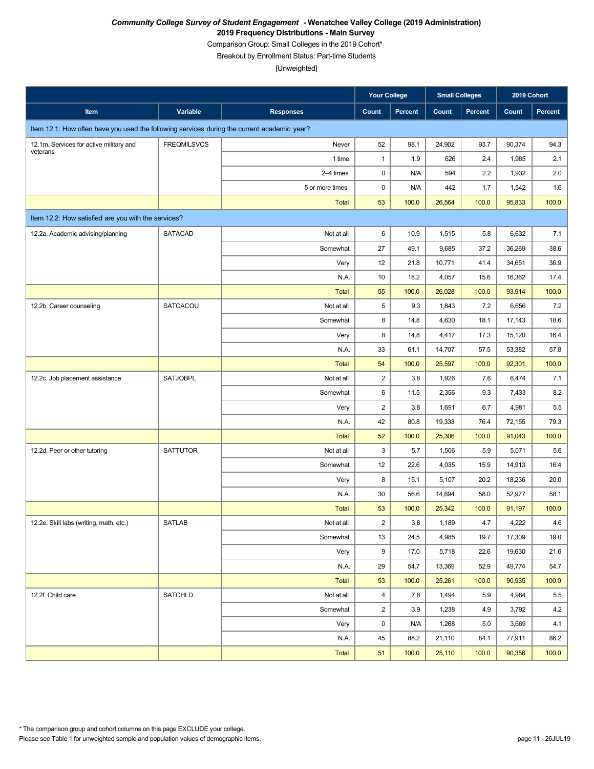Comparison Group: Small Colleges in the 2019 Cohort\*

Breakout by Enrollment Status: Part-time Students

|                                                                                             |                    |                  | <b>Your College</b>     |         | <b>Small Colleges</b> |                | 2019 Cohort |         |
|---------------------------------------------------------------------------------------------|--------------------|------------------|-------------------------|---------|-----------------------|----------------|-------------|---------|
| Item                                                                                        | Variable           | <b>Responses</b> | <b>Count</b>            | Percent | Count                 | <b>Percent</b> | Count       | Percent |
| Item 12.1: How often have you used the following services during the current academic year? |                    |                  |                         |         |                       |                |             |         |
| 12.1m. Services for active military and                                                     | <b>FREQMILSVCS</b> | Never            | 52                      | 98.1    | 24,902                | 93.7           | 90,374      | 94.3    |
| veterans                                                                                    |                    | 1 time           | $\mathbf{1}$            | 1.9     | 626                   | 2.4            | 1,985       | 2.1     |
|                                                                                             |                    | 2-4 times        | 0                       | N/A     | 594                   | 2.2            | 1,932       | 2.0     |
|                                                                                             |                    | 5 or more times  | 0                       | N/A     | 442                   | 1.7            | 1,542       | 1.6     |
|                                                                                             |                    | Total            | 53                      | 100.0   | 26,564                | 100.0          | 95,833      | 100.0   |
| Item 12.2: How satisfied are you with the services?                                         |                    |                  |                         |         |                       |                |             |         |
| 12.2a. Academic advising/planning                                                           | <b>SATACAD</b>     | Not at all       | 6                       | 10.9    | 1,515                 | 5.8            | 6,632       | 7.1     |
|                                                                                             |                    | Somewhat         | 27                      | 49.1    | 9,685                 | 37.2           | 36,269      | 38.6    |
|                                                                                             |                    | Very             | 12                      | 21.8    | 10,771                | 41.4           | 34,651      | 36.9    |
|                                                                                             |                    | N.A.             | 10                      | 18.2    | 4,057                 | 15.6           | 16,362      | 17.4    |
|                                                                                             |                    | <b>Total</b>     | 55                      | 100.0   | 26,028                | 100.0          | 93,914      | 100.0   |
| 12.2b. Career counseling                                                                    | SATCACOU           | Not at all       | 5                       | 9.3     | 1,843                 | 7.2            | 6,656       | 7.2     |
|                                                                                             |                    | Somewhat         | 8                       | 14.8    | 4,630                 | 18.1           | 17,143      | 18.6    |
|                                                                                             |                    | Very             | 8                       | 14.8    | 4,417                 | 17.3           | 15,120      | 16.4    |
|                                                                                             |                    | N.A.             | 33                      | 61.1    | 14,707                | 57.5           | 53,382      | 57.8    |
|                                                                                             |                    | <b>Total</b>     | 54                      | 100.0   | 25,597                | 100.0          | 92,301      | 100.0   |
| 12.2c. Job placement assistance                                                             | <b>SATJOBPL</b>    | Not at all       | $\overline{2}$          | 3.8     | 1,926                 | 7.6            | 6,474       | 7.1     |
|                                                                                             |                    | Somewhat         | 6                       | 11.5    | 2,356                 | 9.3            | 7,433       | 8.2     |
|                                                                                             |                    | Very             | $\overline{c}$          | 3.8     | 1,691                 | 6.7            | 4,981       | 5.5     |
|                                                                                             |                    | N.A.             | 42                      | 80.8    | 19,333                | 76.4           | 72,155      | 79.3    |
|                                                                                             |                    | <b>Total</b>     | 52                      | 100.0   | 25,306                | 100.0          | 91,043      | 100.0   |
| 12.2d. Peer or other tutoring                                                               | <b>SATTUTOR</b>    | Not at all       | 3                       | 5.7     | 1,506                 | 5.9            | 5,071       | 5.6     |
|                                                                                             |                    | Somewhat         | 12                      | 22.6    | 4,035                 | 15.9           | 14,913      | 16.4    |
|                                                                                             |                    | Very             | 8                       | 15.1    | 5,107                 | 20.2           | 18,236      | 20.0    |
|                                                                                             |                    | N.A.             | 30                      | 56.6    | 14,694                | 58.0           | 52,977      | 58.1    |
|                                                                                             |                    | <b>Total</b>     | 53                      | 100.0   | 25,342                | 100.0          | 91,197      | 100.0   |
| 12.2e. Skill labs (writing, math, etc.)                                                     | SATLAB             | Not at all       | 2                       | 3.8     | 1,189                 | 4.7            | 4,222       | 4.6     |
|                                                                                             |                    | Somewhat         | 13                      | 24.5    | 4,985                 | 19.7           | 17,309      | 19.0    |
|                                                                                             |                    | Very             | 9                       | 17.0    | 5,718                 | 22.6           | 19,630      | 21.6    |
|                                                                                             |                    | N.A.             | 29                      | 54.7    | 13,369                | 52.9           | 49,774      | 54.7    |
|                                                                                             |                    | Total            | 53                      | 100.0   | 25,261                | 100.0          | 90,935      | 100.0   |
| 12.2f. Child care                                                                           | <b>SATCHLD</b>     | Not at all       | $\overline{\mathbf{4}}$ | 7.8     | 1,494                 | 5.9            | 4,984       | $5.5\,$ |
|                                                                                             |                    | Somewhat         | $\overline{c}$          | 3.9     | 1,238                 | 4.9            | 3,792       | 4.2     |
|                                                                                             |                    | Very             | $\pmb{0}$               | N/A     | 1,268                 | 5.0            | 3,669       | 4.1     |
|                                                                                             |                    | N.A.             | 45                      | 88.2    | 21,110                | 84.1           | 77,911      | 86.2    |
|                                                                                             |                    | Total            | 51                      | 100.0   | 25,110                | 100.0          | 90,356      | 100.0   |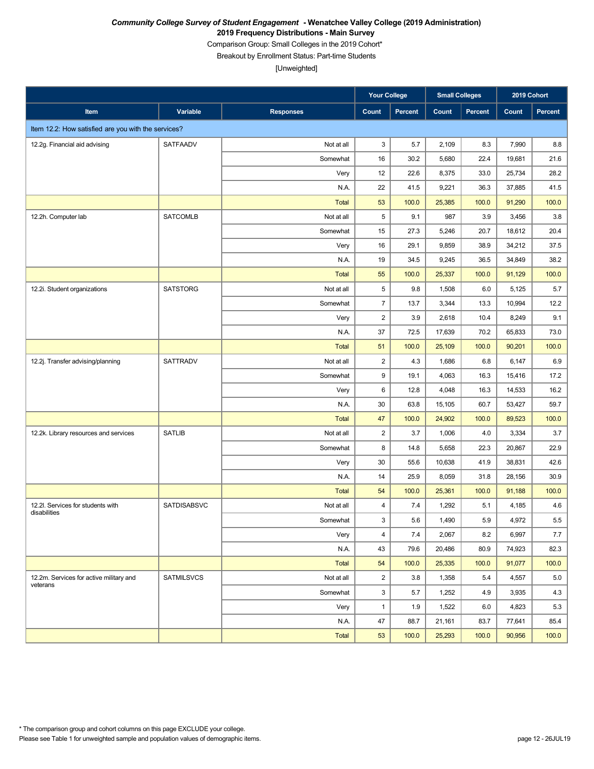Comparison Group: Small Colleges in the 2019 Cohort\*

Breakout by Enrollment Status: Part-time Students

|                                                     |                   |                  | <b>Your College</b>     |         | <b>Small Colleges</b> |                | 2019 Cohort |                |
|-----------------------------------------------------|-------------------|------------------|-------------------------|---------|-----------------------|----------------|-------------|----------------|
| Item                                                | Variable          | <b>Responses</b> | Count                   | Percent | Count                 | <b>Percent</b> | Count       | <b>Percent</b> |
| Item 12.2: How satisfied are you with the services? |                   |                  |                         |         |                       |                |             |                |
| 12.2g. Financial aid advising                       | <b>SATFAADV</b>   | Not at all       | 3                       | 5.7     | 2,109                 | 8.3            | 7,990       | 8.8            |
|                                                     |                   | Somewhat         | 16                      | 30.2    | 5,680                 | 22.4           | 19,681      | 21.6           |
|                                                     |                   | Very             | 12                      | 22.6    | 8,375                 | 33.0           | 25,734      | 28.2           |
|                                                     |                   | N.A.             | 22                      | 41.5    | 9,221                 | 36.3           | 37,885      | 41.5           |
|                                                     |                   | <b>Total</b>     | 53                      | 100.0   | 25,385                | 100.0          | 91,290      | 100.0          |
| 12.2h. Computer lab                                 | <b>SATCOMLB</b>   | Not at all       | 5                       | 9.1     | 987                   | 3.9            | 3,456       | 3.8            |
|                                                     |                   | Somewhat         | 15                      | 27.3    | 5,246                 | 20.7           | 18,612      | 20.4           |
|                                                     |                   | Very             | 16                      | 29.1    | 9,859                 | 38.9           | 34,212      | 37.5           |
|                                                     |                   | N.A.             | 19                      | 34.5    | 9,245                 | 36.5           | 34,849      | 38.2           |
|                                                     |                   | <b>Total</b>     | 55                      | 100.0   | 25,337                | 100.0          | 91,129      | 100.0          |
| 12.2i. Student organizations                        | <b>SATSTORG</b>   | Not at all       | 5                       | 9.8     | 1,508                 | 6.0            | 5,125       | 5.7            |
|                                                     |                   | Somewhat         | $\overline{7}$          | 13.7    | 3,344                 | 13.3           | 10,994      | 12.2           |
|                                                     |                   | Very             | $\boldsymbol{2}$        | 3.9     | 2,618                 | 10.4           | 8,249       | 9.1            |
|                                                     |                   | N.A.             | 37                      | 72.5    | 17,639                | 70.2           | 65,833      | 73.0           |
|                                                     |                   | <b>Total</b>     | 51                      | 100.0   | 25,109                | 100.0          | 90,201      | 100.0          |
| 12.2j. Transfer advising/planning                   | <b>SATTRADV</b>   | Not at all       | $\overline{\mathbf{c}}$ | 4.3     | 1,686                 | 6.8            | 6,147       | 6.9            |
|                                                     |                   | Somewhat         | 9                       | 19.1    | 4,063                 | 16.3           | 15,416      | 17.2           |
|                                                     |                   | Very             | 6                       | 12.8    | 4,048                 | 16.3           | 14,533      | 16.2           |
|                                                     |                   | N.A.             | 30                      | 63.8    | 15,105                | 60.7           | 53,427      | 59.7           |
|                                                     |                   | <b>Total</b>     | 47                      | 100.0   | 24,902                | 100.0          | 89,523      | 100.0          |
| 12.2k. Library resources and services               | <b>SATLIB</b>     | Not at all       | $\overline{2}$          | 3.7     | 1,006                 | 4.0            | 3,334       | 3.7            |
|                                                     |                   | Somewhat         | 8                       | 14.8    | 5,658                 | 22.3           | 20,867      | 22.9           |
|                                                     |                   | Very             | 30                      | 55.6    | 10,638                | 41.9           | 38,831      | 42.6           |
|                                                     |                   | N.A.             | 14                      | 25.9    | 8,059                 | 31.8           | 28,156      | 30.9           |
|                                                     |                   | <b>Total</b>     | 54                      | 100.0   | 25,361                | 100.0          | 91,188      | 100.0          |
| 12.2l. Services for students with<br>disabilities   | SATDISABSVC       | Not at all       | 4                       | 7.4     | 1,292                 | 5.1            | 4,185       | 4.6            |
|                                                     |                   | Somewhat         | 3                       | $5.6\,$ | 1,490                 | 5.9            | 4,972       | $5.5\,$        |
|                                                     |                   | Very             | 4                       | 7.4     | 2,067                 | 8.2            | 6,997       | 7.7            |
|                                                     |                   | N.A.             | 43                      | 79.6    | 20,486                | 80.9           | 74,923      | 82.3           |
|                                                     |                   | <b>Total</b>     | 54                      | 100.0   | 25,335                | 100.0          | 91,077      | 100.0          |
| 12.2m. Services for active military and<br>veterans | <b>SATMILSVCS</b> | Not at all       | $\overline{c}$          | 3.8     | 1,358                 | 5.4            | 4,557       | 5.0            |
|                                                     |                   | Somewhat         | $\mathsf 3$             | 5.7     | 1,252                 | 4.9            | 3,935       | 4.3            |
|                                                     |                   | Very             | $\mathbf{1}$            | 1.9     | 1,522                 | 6.0            | 4,823       | 5.3            |
|                                                     |                   | N.A.             | 47                      | 88.7    | 21,161                | 83.7           | 77,641      | 85.4           |
|                                                     |                   | Total            | 53                      | 100.0   | 25,293                | 100.0          | 90,956      | 100.0          |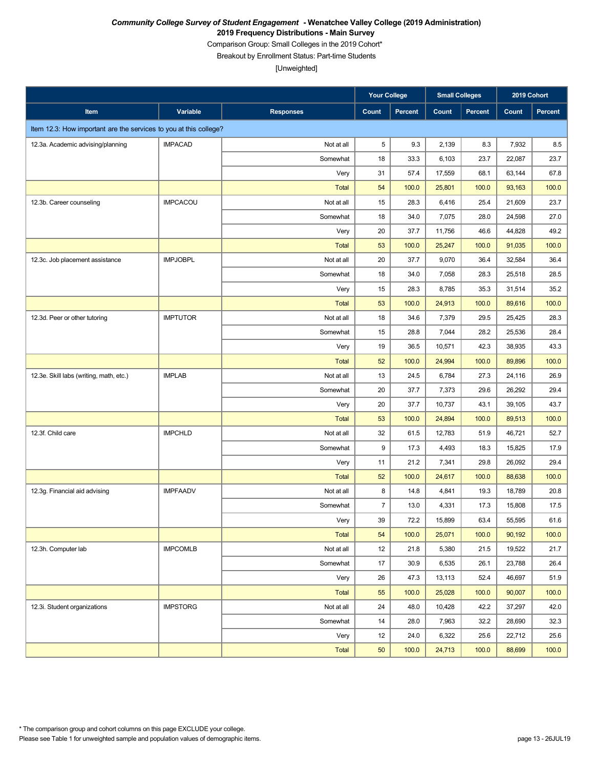Comparison Group: Small Colleges in the 2019 Cohort\*

Breakout by Enrollment Status: Part-time Students

|                                                                   |                 |                  | <b>Your College</b> |         | <b>Small Colleges</b> |                | 2019 Cohort |                |
|-------------------------------------------------------------------|-----------------|------------------|---------------------|---------|-----------------------|----------------|-------------|----------------|
| Item                                                              | Variable        | <b>Responses</b> | Count               | Percent | Count                 | <b>Percent</b> | Count       | <b>Percent</b> |
| Item 12.3: How important are the services to you at this college? |                 |                  |                     |         |                       |                |             |                |
| 12.3a. Academic advising/planning                                 | <b>IMPACAD</b>  | Not at all       | 5                   | 9.3     | 2,139                 | 8.3            | 7,932       | 8.5            |
|                                                                   |                 | Somewhat         | 18                  | 33.3    | 6,103                 | 23.7           | 22,087      | 23.7           |
|                                                                   |                 | Very             | 31                  | 57.4    | 17,559                | 68.1           | 63,144      | 67.8           |
|                                                                   |                 | <b>Total</b>     | 54                  | 100.0   | 25,801                | 100.0          | 93,163      | 100.0          |
| 12.3b. Career counseling                                          | <b>IMPCACOU</b> | Not at all       | 15                  | 28.3    | 6,416                 | 25.4           | 21,609      | 23.7           |
|                                                                   |                 | Somewhat         | 18                  | 34.0    | 7,075                 | 28.0           | 24,598      | 27.0           |
|                                                                   |                 | Very             | 20                  | 37.7    | 11,756                | 46.6           | 44,828      | 49.2           |
|                                                                   |                 | <b>Total</b>     | 53                  | 100.0   | 25,247                | 100.0          | 91,035      | 100.0          |
| 12.3c. Job placement assistance                                   | <b>IMPJOBPL</b> | Not at all       | 20                  | 37.7    | 9,070                 | 36.4           | 32,584      | 36.4           |
|                                                                   |                 | Somewhat         | 18                  | 34.0    | 7,058                 | 28.3           | 25,518      | 28.5           |
|                                                                   |                 | Very             | 15                  | 28.3    | 8,785                 | 35.3           | 31,514      | 35.2           |
|                                                                   |                 | <b>Total</b>     | 53                  | 100.0   | 24,913                | 100.0          | 89,616      | 100.0          |
| 12.3d. Peer or other tutoring                                     | <b>IMPTUTOR</b> | Not at all       | 18                  | 34.6    | 7,379                 | 29.5           | 25,425      | 28.3           |
|                                                                   |                 | Somewhat         | 15                  | 28.8    | 7,044                 | 28.2           | 25,536      | 28.4           |
|                                                                   |                 | Very             | 19                  | 36.5    | 10,571                | 42.3           | 38,935      | 43.3           |
|                                                                   |                 | <b>Total</b>     | 52                  | 100.0   | 24,994                | 100.0          | 89,896      | 100.0          |
| 12.3e. Skill labs (writing, math, etc.)                           | <b>IMPLAB</b>   | Not at all       | 13                  | 24.5    | 6,784                 | 27.3           | 24,116      | 26.9           |
|                                                                   |                 | Somewhat         | 20                  | 37.7    | 7,373                 | 29.6           | 26,292      | 29.4           |
|                                                                   |                 | Very             | 20                  | 37.7    | 10,737                | 43.1           | 39,105      | 43.7           |
|                                                                   |                 | <b>Total</b>     | 53                  | 100.0   | 24,894                | 100.0          | 89,513      | 100.0          |
| 12.3f. Child care                                                 | <b>IMPCHLD</b>  | Not at all       | 32                  | 61.5    | 12,783                | 51.9           | 46,721      | 52.7           |
|                                                                   |                 | Somewhat         | 9                   | 17.3    | 4,493                 | 18.3           | 15,825      | 17.9           |
|                                                                   |                 | Very             | 11                  | 21.2    | 7,341                 | 29.8           | 26,092      | 29.4           |
|                                                                   |                 | <b>Total</b>     | 52                  | 100.0   | 24,617                | 100.0          | 88,638      | 100.0          |
| 12.3g. Financial aid advising                                     | <b>IMPFAADV</b> | Not at all       | 8                   | 14.8    | 4,841                 | 19.3           | 18,789      | 20.8           |
|                                                                   |                 | Somewhat         | $\overline{7}$      | 13.0    | 4,331                 | 17.3           | 15,808      | 17.5           |
|                                                                   |                 | Very             | $39\,$              | $72.2$  | 15,899                | 63.4           | 55,595      | 61.6           |
|                                                                   |                 | <b>Total</b>     | 54                  | 100.0   | 25,071                | 100.0          | 90,192      | 100.0          |
| 12.3h. Computer lab                                               | <b>IMPCOMLB</b> | Not at all       | 12                  | 21.8    | 5,380                 | 21.5           | 19,522      | 21.7           |
|                                                                   |                 | Somewhat         | 17                  | 30.9    | 6,535                 | 26.1           | 23,788      | 26.4           |
|                                                                   |                 | Very             | 26                  | 47.3    | 13,113                | 52.4           | 46,697      | 51.9           |
|                                                                   |                 | Total            | 55                  | 100.0   | 25,028                | 100.0          | 90,007      | 100.0          |
| 12.3i. Student organizations                                      | <b>IMPSTORG</b> | Not at all       | 24                  | 48.0    | 10,428                | 42.2           | 37,297      | 42.0           |
|                                                                   |                 | Somewhat         | 14                  | 28.0    | 7,963                 | 32.2           | 28,690      | 32.3           |
|                                                                   |                 | Very             | 12                  | 24.0    | 6,322                 | 25.6           | 22,712      | 25.6           |
|                                                                   |                 | Total            | 50                  | 100.0   | 24,713                | 100.0          | 88,699      | 100.0          |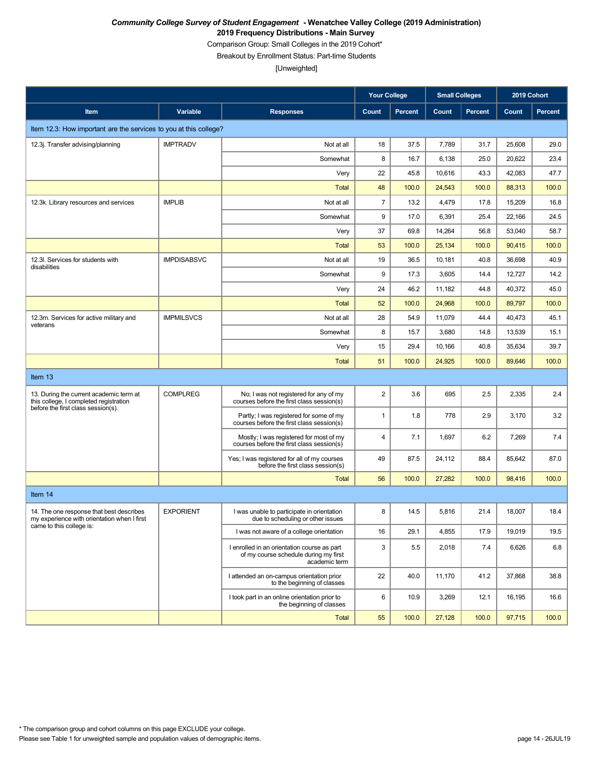Comparison Group: Small Colleges in the 2019 Cohort\*

Breakout by Enrollment Status: Part-time Students

|                                                                                         |                    |                                                                                                       | <b>Your College</b>     |                | <b>Small Colleges</b> |                | 2019 Cohort |                |
|-----------------------------------------------------------------------------------------|--------------------|-------------------------------------------------------------------------------------------------------|-------------------------|----------------|-----------------------|----------------|-------------|----------------|
| Item                                                                                    | Variable           | <b>Responses</b>                                                                                      | Count                   | <b>Percent</b> | Count                 | <b>Percent</b> | Count       | <b>Percent</b> |
| Item 12.3: How important are the services to you at this college?                       |                    |                                                                                                       |                         |                |                       |                |             |                |
| 12.3j. Transfer advising/planning                                                       | <b>IMPTRADV</b>    | Not at all                                                                                            | 18                      | 37.5           | 7,789                 | 31.7           | 25,608      | 29.0           |
|                                                                                         |                    | Somewhat                                                                                              | 8                       | 16.7           | 6,138                 | 25.0           | 20,622      | 23.4           |
|                                                                                         |                    | Very                                                                                                  | 22                      | 45.8           | 10,616                | 43.3           | 42,083      | 47.7           |
|                                                                                         |                    | Total                                                                                                 | 48                      | 100.0          | 24,543                | 100.0          | 88,313      | 100.0          |
| 12.3k. Library resources and services                                                   | <b>IMPLIB</b>      | Not at all                                                                                            | $\overline{7}$          | 13.2           | 4,479                 | 17.8           | 15,209      | 16.8           |
|                                                                                         |                    | Somewhat                                                                                              | 9                       | 17.0           | 6,391                 | 25.4           | 22,166      | 24.5           |
|                                                                                         |                    | Very                                                                                                  | 37                      | 69.8           | 14,264                | 56.8           | 53,040      | 58.7           |
|                                                                                         |                    | <b>Total</b>                                                                                          | 53                      | 100.0          | 25,134                | 100.0          | 90,415      | 100.0          |
| 12.3I. Services for students with<br>disabilities                                       | <b>IMPDISABSVC</b> | Not at all                                                                                            | 19                      | 36.5           | 10,181                | 40.8           | 36,698      | 40.9           |
|                                                                                         |                    | Somewhat                                                                                              | 9                       | 17.3           | 3,605                 | 14.4           | 12,727      | 14.2           |
|                                                                                         |                    | Very                                                                                                  | 24                      | 46.2           | 11,182                | 44.8           | 40,372      | 45.0           |
|                                                                                         |                    | <b>Total</b>                                                                                          | 52                      | 100.0          | 24,968                | 100.0          | 89,797      | 100.0          |
| 12.3m. Services for active military and<br>veterans                                     | <b>IMPMILSVCS</b>  | Not at all                                                                                            | 28                      | 54.9           | 11,079                | 44.4           | 40,473      | 45.1           |
|                                                                                         |                    | Somewhat                                                                                              | 8                       | 15.7           | 3,680                 | 14.8           | 13,539      | 15.1           |
|                                                                                         |                    | Very                                                                                                  | 15                      | 29.4           | 10,166                | 40.8           | 35,634      | 39.7           |
|                                                                                         |                    | Total                                                                                                 | 51                      | 100.0          | 24,925                | 100.0          | 89,646      | 100.0          |
| Item 13                                                                                 |                    |                                                                                                       |                         |                |                       |                |             |                |
| 13. During the current academic term at<br>this college, I completed registration       | <b>COMPLREG</b>    | No; I was not registered for any of my<br>courses before the first class session(s)                   | $\overline{\mathbf{c}}$ | 3.6            | 695                   | 2.5            | 2,335       | 2.4            |
| before the first class session(s).                                                      |                    | Partly; I was registered for some of my<br>courses before the first class session(s)                  | $\mathbf{1}$            | 1.8            | 778                   | 2.9            | 3,170       | 3.2            |
|                                                                                         |                    | Mostly; I was registered for most of my<br>courses before the first class session(s)                  | 4                       | 7.1            | 1,697                 | 6.2            | 7,269       | 7.4            |
|                                                                                         |                    | Yes; I was registered for all of my courses<br>before the first class session(s)                      | 49                      | 87.5           | 24,112                | 88.4           | 85,642      | 87.0           |
|                                                                                         |                    | <b>Total</b>                                                                                          | 56                      | 100.0          | 27,282                | 100.0          | 98,416      | 100.0          |
| Item 14                                                                                 |                    |                                                                                                       |                         |                |                       |                |             |                |
| 14. The one response that best describes<br>my experience with orientation when I first | <b>EXPORIENT</b>   | I was unable to participate in orientation<br>due to scheduling or other issues                       | 8                       | 14.5           | 5,816                 | 21.4           | 18,007      | 18.4           |
| came to this college is:                                                                |                    | I was not aware of a college orientation                                                              | 16                      | 29.1           | 4,855                 | 17.9           | 19,019      | 19.5           |
|                                                                                         |                    | I enrolled in an orientation course as part<br>of my course schedule during my first<br>academic term | $\mathsf 3$             | 5.5            | 2,018                 | 7.4            | 6,626       | 6.8            |
|                                                                                         |                    | I attended an on-campus orientation prior<br>to the beginning of classes                              | 22                      | 40.0           | 11,170                | 41.2           | 37,868      | 38.8           |
|                                                                                         |                    | I took part in an online orientation prior to<br>the beginning of classes                             | 6                       | 10.9           | 3,269                 | 12.1           | 16,195      | 16.6           |
|                                                                                         |                    | <b>Total</b>                                                                                          | 55                      | 100.0          | 27,128                | 100.0          | 97,715      | 100.0          |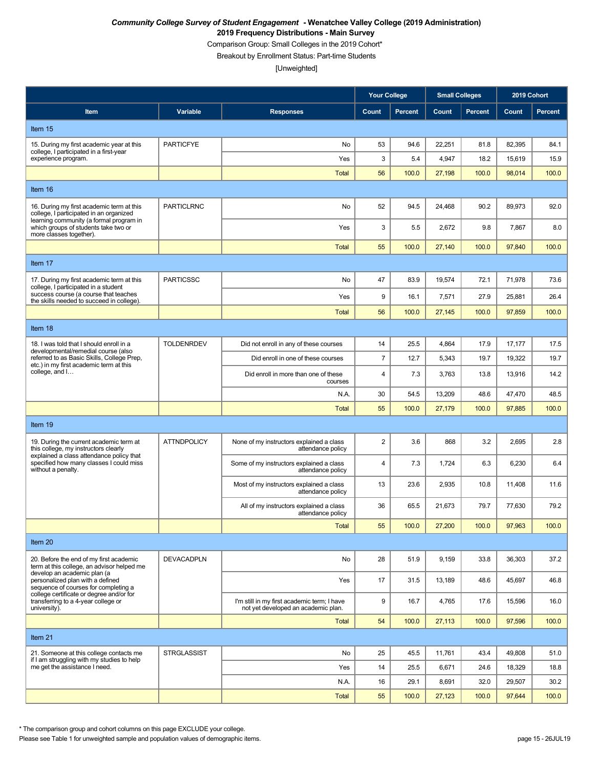Comparison Group: Small Colleges in the 2019 Cohort\*

Breakout by Enrollment Status: Part-time Students

[Unweighted]

|                                                                                                                                                                                            |                    |                                                                                    | <b>Your College</b> |                | <b>Small Colleges</b> |                | 2019 Cohort |                |
|--------------------------------------------------------------------------------------------------------------------------------------------------------------------------------------------|--------------------|------------------------------------------------------------------------------------|---------------------|----------------|-----------------------|----------------|-------------|----------------|
| Item                                                                                                                                                                                       | Variable           | <b>Responses</b>                                                                   | Count               | <b>Percent</b> | Count                 | <b>Percent</b> | Count       | <b>Percent</b> |
| Item 15                                                                                                                                                                                    |                    |                                                                                    |                     |                |                       |                |             |                |
| 15. During my first academic year at this<br>college, I participated in a first-year                                                                                                       | <b>PARTICFYE</b>   | No                                                                                 | 53                  | 94.6           | 22,251                | 81.8           | 82,395      | 84.1           |
| experience program.                                                                                                                                                                        |                    | Yes                                                                                | 3                   | 5.4            | 4,947                 | 18.2           | 15,619      | 15.9           |
|                                                                                                                                                                                            |                    | <b>Total</b>                                                                       | 56                  | 100.0          | 27,198                | 100.0          | 98,014      | 100.0          |
| Item 16                                                                                                                                                                                    |                    |                                                                                    |                     |                |                       |                |             |                |
| 16. During my first academic term at this<br>college, I participated in an organized<br>learning community (a formal program in                                                            | <b>PARTICLRNC</b>  | No                                                                                 | 52                  | 94.5           | 24,468                | 90.2           | 89,973      | 92.0           |
| which groups of students take two or<br>more classes together).                                                                                                                            |                    | Yes                                                                                | 3                   | 5.5            | 2,672                 | 9.8            | 7,867       | 8.0            |
|                                                                                                                                                                                            |                    | <b>Total</b>                                                                       | 55                  | 100.0          | 27,140                | 100.0          | 97,840      | 100.0          |
| Item 17                                                                                                                                                                                    |                    |                                                                                    |                     |                |                       |                |             |                |
| 17. During my first academic term at this<br>college, I participated in a student                                                                                                          | <b>PARTICSSC</b>   | No                                                                                 | 47                  | 83.9           | 19,574                | 72.1           | 71,978      | 73.6           |
| success course (a course that teaches<br>the skills needed to succeed in college).                                                                                                         |                    | Yes                                                                                | 9                   | 16.1           | 7,571                 | 27.9           | 25,881      | 26.4           |
|                                                                                                                                                                                            |                    | <b>Total</b>                                                                       | 56                  | 100.0          | 27,145                | 100.0          | 97,859      | 100.0          |
| Item 18                                                                                                                                                                                    |                    |                                                                                    |                     |                |                       |                |             |                |
| 18. I was told that I should enroll in a<br>developmental/remedial course (also<br>referred to as Basic Skills, College Prep,<br>etc.) in my first academic term at this<br>college, and I | <b>TOLDENRDEV</b>  | Did not enroll in any of these courses                                             | 14                  | 25.5           | 4,864                 | 17.9           | 17,177      | 17.5           |
|                                                                                                                                                                                            |                    | Did enroll in one of these courses                                                 | $\overline{7}$      | 12.7           | 5,343                 | 19.7           | 19,322      | 19.7           |
|                                                                                                                                                                                            |                    | Did enroll in more than one of these<br>courses                                    | 4                   | 7.3            | 3,763                 | 13.8           | 13,916      | 14.2           |
|                                                                                                                                                                                            |                    | N.A.                                                                               | 30                  | 54.5           | 13,209                | 48.6           | 47,470      | 48.5           |
|                                                                                                                                                                                            |                    | <b>Total</b>                                                                       | 55                  | 100.0          | 27,179                | 100.0          | 97,885      | 100.0          |
| Item 19                                                                                                                                                                                    |                    |                                                                                    |                     |                |                       |                |             |                |
| 19. During the current academic term at<br>this college, my instructors clearly                                                                                                            | <b>ATTNDPOLICY</b> | None of my instructors explained a class<br>attendance policy                      | $\overline{c}$      | 3.6            | 868                   | 3.2            | 2,695       | 2.8            |
| explained a class attendance policy that<br>specified how many classes I could miss<br>without a penalty.                                                                                  |                    | Some of my instructors explained a class<br>attendance policy                      | 4                   | 7.3            | 1,724                 | 6.3            | 6,230       | 6.4            |
|                                                                                                                                                                                            |                    | Most of my instructors explained a class<br>attendance policy                      | 13                  | 23.6           | 2,935                 | 10.8           | 11,408      | 11.6           |
|                                                                                                                                                                                            |                    | All of my instructors explained a class<br>attendance policy                       | 36                  | 65.5           | 21,673                | 79.7           | 77,630      | 79.2           |
|                                                                                                                                                                                            |                    | <b>Total</b>                                                                       | 55                  | 100.0          | 27,200                | 100.0          | 97,963      | 100.0          |
| Item 20                                                                                                                                                                                    |                    |                                                                                    |                     |                |                       |                |             |                |
| 20. Before the end of my first academic<br>term at this college, an advisor helped me                                                                                                      | <b>DEVACADPLN</b>  | No                                                                                 | 28                  | 51.9           | 9,159                 | 33.8           | 36,303      | 37.2           |
| develop an academic plan (a<br>personalized plan with a defined<br>sequence of courses for completing a                                                                                    |                    | Yes                                                                                | 17                  | 31.5           | 13,189                | 48.6           | 45,697      | 46.8           |
| college certificate or degree and/or for<br>transferring to a 4-year college or<br>university).                                                                                            |                    | I'm still in my first academic term; I have<br>not yet developed an academic plan. | 9                   | 16.7           | 4,765                 | 17.6           | 15,596      | 16.0           |
|                                                                                                                                                                                            |                    | Total                                                                              | 54                  | 100.0          | 27,113                | 100.0          | 97,596      | 100.0          |
| Item 21                                                                                                                                                                                    |                    |                                                                                    |                     |                |                       |                |             |                |
| 21. Someone at this college contacts me<br>if I am struggling with my studies to help                                                                                                      | <b>STRGLASSIST</b> | No                                                                                 | 25                  | 45.5           | 11,761                | 43.4           | 49,808      | 51.0           |
| me get the assistance I need.                                                                                                                                                              |                    | Yes                                                                                | 14                  | 25.5           | 6,671                 | 24.6           | 18,329      | 18.8           |
|                                                                                                                                                                                            |                    | N.A.                                                                               | 16                  | 29.1           | 8,691                 | 32.0           | 29,507      | 30.2           |
|                                                                                                                                                                                            |                    | Total                                                                              | 55                  | 100.0          | 27,123                | 100.0          | 97,644      | 100.0          |

\* The comparison group and cohort columns on this page EXCLUDE your college.

Please see Table 1 for unweighted sample and population values of demographic items. page 15 - 26JUL19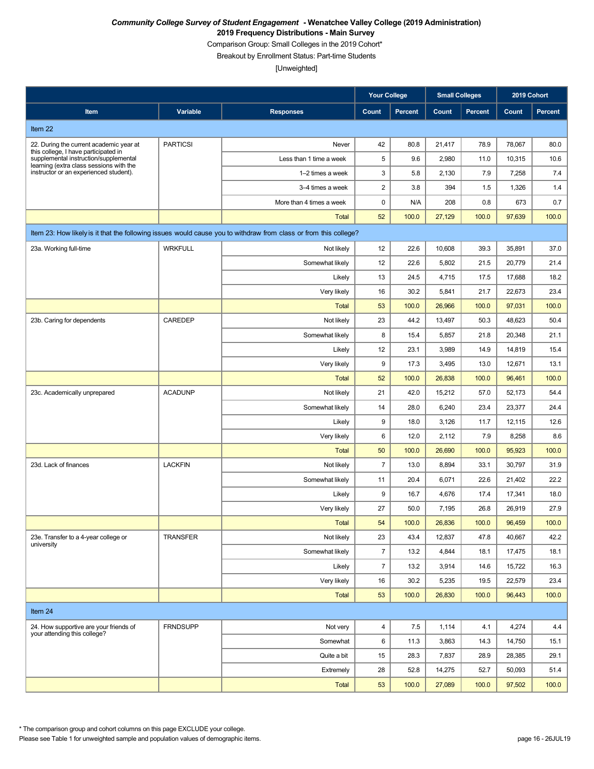Comparison Group: Small Colleges in the 2019 Cohort\*

Breakout by Enrollment Status: Part-time Students

[Unweighted]

|                                                                                   |                 |                                                                                                                  | <b>Your College</b> |                | <b>Small Colleges</b> |                | 2019 Cohort |                |
|-----------------------------------------------------------------------------------|-----------------|------------------------------------------------------------------------------------------------------------------|---------------------|----------------|-----------------------|----------------|-------------|----------------|
| Item                                                                              | Variable        | <b>Responses</b>                                                                                                 | Count               | <b>Percent</b> | Count                 | <b>Percent</b> | Count       | <b>Percent</b> |
| Item 22                                                                           |                 |                                                                                                                  |                     |                |                       |                |             |                |
| 22. During the current academic year at                                           | <b>PARTICSI</b> | Never                                                                                                            | 42                  | 80.8           | 21,417                | 78.9           | 78,067      | 80.0           |
| this college, I have participated in<br>supplemental instruction/supplemental     |                 | Less than 1 time a week                                                                                          | 5                   | 9.6            | 2,980                 | 11.0           | 10,315      | 10.6           |
| learning (extra class sessions with the<br>instructor or an experienced student). |                 | 1-2 times a week                                                                                                 | $\mathsf 3$         | 5.8            | 2,130                 | 7.9            | 7,258       | 7.4            |
|                                                                                   |                 | 3-4 times a week                                                                                                 | $\sqrt{2}$          | 3.8            | 394                   | 1.5            | 1,326       | 1.4            |
|                                                                                   |                 | More than 4 times a week                                                                                         | $\pmb{0}$           | N/A            | 208                   | 0.8            | 673         | 0.7            |
|                                                                                   |                 | Total                                                                                                            | 52                  | 100.0          | 27,129                | 100.0          | 97,639      | 100.0          |
|                                                                                   |                 | Item 23: How likely is it that the following issues would cause you to withdraw from class or from this college? |                     |                |                       |                |             |                |
| 23a. Working full-time                                                            | <b>WRKFULL</b>  | Not likely                                                                                                       | 12                  | 22.6           | 10,608                | 39.3           | 35,891      | 37.0           |
|                                                                                   |                 | Somewhat likely                                                                                                  | 12                  | 22.6           | 5,802                 | 21.5           | 20,779      | 21.4           |
|                                                                                   |                 | Likely                                                                                                           | 13                  | 24.5           | 4,715                 | 17.5           | 17,688      | 18.2           |
|                                                                                   |                 | Very likely                                                                                                      | 16                  | 30.2           | 5,841                 | 21.7           | 22,673      | 23.4           |
|                                                                                   |                 | <b>Total</b>                                                                                                     | 53                  | 100.0          | 26,966                | 100.0          | 97,031      | 100.0          |
| 23b. Caring for dependents                                                        | CAREDEP         | Not likely                                                                                                       | 23                  | 44.2           | 13,497                | 50.3           | 48,623      | 50.4           |
|                                                                                   |                 | Somewhat likely                                                                                                  | 8                   | 15.4           | 5,857                 | 21.8           | 20,348      | 21.1           |
|                                                                                   |                 | Likely                                                                                                           | 12                  | 23.1           | 3,989                 | 14.9           | 14,819      | 15.4           |
|                                                                                   |                 | Very likely                                                                                                      | 9                   | 17.3           | 3,495                 | 13.0           | 12,671      | 13.1           |
|                                                                                   |                 | <b>Total</b>                                                                                                     | 52                  | 100.0          | 26,838                | 100.0          | 96,461      | 100.0          |
| 23c. Academically unprepared                                                      | <b>ACADUNP</b>  | Not likely                                                                                                       | 21                  | 42.0           | 15,212                | 57.0           | 52,173      | 54.4           |
|                                                                                   |                 | Somewhat likely                                                                                                  | 14                  | 28.0           | 6,240                 | 23.4           | 23,377      | 24.4           |
|                                                                                   |                 | Likely                                                                                                           | 9                   | 18.0           | 3,126                 | 11.7           | 12,115      | 12.6           |
|                                                                                   |                 | Very likely                                                                                                      | 6                   | 12.0           | 2,112                 | 7.9            | 8,258       | 8.6            |
|                                                                                   |                 | <b>Total</b>                                                                                                     | 50                  | 100.0          | 26,690                | 100.0          | 95,923      | 100.0          |
| 23d. Lack of finances                                                             | <b>LACKFIN</b>  | Not likely                                                                                                       | $\overline{7}$      | 13.0           | 8,894                 | 33.1           | 30,797      | 31.9           |
|                                                                                   |                 | Somewhat likely                                                                                                  | 11                  | 20.4           | 6,071                 | 22.6           | 21,402      | 22.2           |
|                                                                                   |                 | Likely                                                                                                           | 9                   | 16.7           | 4,676                 | 17.4           | 17,341      | 18.0           |
|                                                                                   |                 | Very likely                                                                                                      | 27                  | 50.0           | 7,195                 | 26.8           | 26,919      | 27.9           |
|                                                                                   |                 | Total                                                                                                            | 54                  | 100.0          | 26,836                | 100.0          | 96,459      | 100.0          |
| 23e. Transfer to a 4-year college or<br>university                                | <b>TRANSFER</b> | Not likely                                                                                                       | 23                  | 43.4           | 12,837                | 47.8           | 40,667      | 42.2           |
|                                                                                   |                 | Somewhat likely                                                                                                  | $\overline{7}$      | 13.2           | 4,844                 | 18.1           | 17,475      | 18.1           |
|                                                                                   |                 | Likely                                                                                                           | $\overline{7}$      | 13.2           | 3,914                 | 14.6           | 15,722      | 16.3           |
|                                                                                   |                 | Very likely                                                                                                      | 16                  | 30.2           | 5,235                 | 19.5           | 22,579      | 23.4           |
|                                                                                   |                 | <b>Total</b>                                                                                                     | 53                  | 100.0          | 26,830                | 100.0          | 96,443      | 100.0          |
| Item 24                                                                           |                 |                                                                                                                  |                     |                |                       |                |             |                |
| 24. How supportive are your friends of<br>your attending this college?            | <b>FRNDSUPP</b> | Not very                                                                                                         | $\overline{4}$      | 7.5            | 1,114                 | 4.1            | 4,274       | 4.4            |
|                                                                                   |                 | Somewhat                                                                                                         | 6                   | 11.3           | 3,863                 | 14.3           | 14,750      | 15.1           |
|                                                                                   |                 | Quite a bit                                                                                                      | 15                  | 28.3           | 7,837                 | 28.9           | 28,385      | 29.1           |
|                                                                                   |                 | Extremely                                                                                                        | 28                  | 52.8           | 14,275                | 52.7           | 50,093      | 51.4           |
|                                                                                   |                 | <b>Total</b>                                                                                                     | 53                  | 100.0          | 27,089                | 100.0          | 97,502      | 100.0          |

\* The comparison group and cohort columns on this page EXCLUDE your college.

Please see Table 1 for unweighted sample and population values of demographic items. page 16 - 26JUL19 page 16 - 26JUL19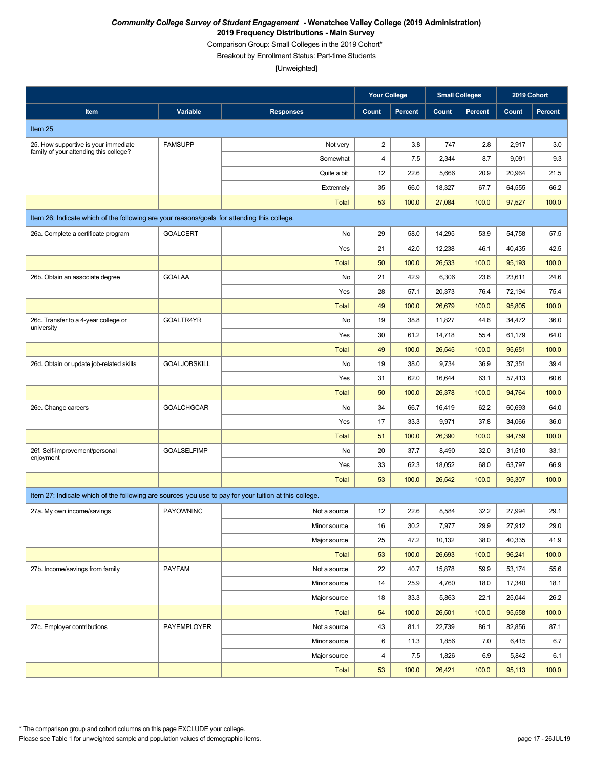Comparison Group: Small Colleges in the 2019 Cohort\*

Breakout by Enrollment Status: Part-time Students

|                                                                                                       |                     |                  | <b>Your College</b> |                | <b>Small Colleges</b> |                | 2019 Cohort |                |
|-------------------------------------------------------------------------------------------------------|---------------------|------------------|---------------------|----------------|-----------------------|----------------|-------------|----------------|
| Item                                                                                                  | Variable            | <b>Responses</b> | Count               | <b>Percent</b> | Count                 | <b>Percent</b> | Count       | <b>Percent</b> |
| Item 25                                                                                               |                     |                  |                     |                |                       |                |             |                |
| 25. How supportive is your immediate                                                                  | <b>FAMSUPP</b>      | Not very         | $\overline{c}$      | 3.8            | 747                   | 2.8            | 2,917       | 3.0            |
| family of your attending this college?                                                                |                     | Somewhat         | 4                   | 7.5            | 2,344                 | 8.7            | 9,091       | 9.3            |
|                                                                                                       |                     | Quite a bit      | 12                  | 22.6           | 5,666                 | 20.9           | 20,964      | 21.5           |
|                                                                                                       |                     | Extremely        | 35                  | 66.0           | 18,327                | 67.7           | 64,555      | 66.2           |
|                                                                                                       |                     | <b>Total</b>     | 53                  | 100.0          | 27,084                | 100.0          | 97,527      | 100.0          |
| Item 26: Indicate which of the following are your reasons/goals for attending this college.           |                     |                  |                     |                |                       |                |             |                |
| 26a. Complete a certificate program                                                                   | <b>GOALCERT</b>     | No               | 29                  | 58.0           | 14,295                | 53.9           | 54,758      | 57.5           |
|                                                                                                       |                     | Yes              | 21                  | 42.0           | 12,238                | 46.1           | 40,435      | 42.5           |
|                                                                                                       |                     | Total            | 50                  | 100.0          | 26,533                | 100.0          | 95,193      | 100.0          |
| 26b. Obtain an associate degree                                                                       | <b>GOALAA</b>       | No               | 21                  | 42.9           | 6,306                 | 23.6           | 23,611      | 24.6           |
|                                                                                                       |                     | Yes              | 28                  | 57.1           | 20,373                | 76.4           | 72,194      | 75.4           |
|                                                                                                       |                     | <b>Total</b>     | 49                  | 100.0          | 26,679                | 100.0          | 95,805      | 100.0          |
| 26c. Transfer to a 4-year college or<br>university                                                    | GOALTR4YR           | No               | 19                  | 38.8           | 11,827                | 44.6           | 34,472      | 36.0           |
|                                                                                                       |                     | Yes              | 30                  | 61.2           | 14,718                | 55.4           | 61,179      | 64.0           |
|                                                                                                       |                     | <b>Total</b>     | 49                  | 100.0          | 26,545                | 100.0          | 95,651      | 100.0          |
| 26d. Obtain or update job-related skills                                                              | <b>GOALJOBSKILL</b> | No               | 19                  | 38.0           | 9,734                 | 36.9           | 37,351      | 39.4           |
|                                                                                                       |                     | Yes              | 31                  | 62.0           | 16,644                | 63.1           | 57,413      | 60.6           |
|                                                                                                       |                     | <b>Total</b>     | 50                  | 100.0          | 26,378                | 100.0          | 94,764      | 100.0          |
| 26e. Change careers                                                                                   | <b>GOALCHGCAR</b>   | No               | 34                  | 66.7           | 16,419                | 62.2           | 60,693      | 64.0           |
|                                                                                                       |                     | Yes              | 17                  | 33.3           | 9,971                 | 37.8           | 34,066      | 36.0           |
|                                                                                                       |                     | <b>Total</b>     | 51                  | 100.0          | 26,390                | 100.0          | 94,759      | 100.0          |
| 26f. Self-improvement/personal<br>enjoyment                                                           | <b>GOALSELFIMP</b>  | No               | 20                  | 37.7           | 8,490                 | 32.0           | 31,510      | 33.1           |
|                                                                                                       |                     | Yes              | 33                  | 62.3           | 18,052                | 68.0           | 63,797      | 66.9           |
|                                                                                                       |                     | <b>Total</b>     | 53                  | 100.0          | 26,542                | 100.0          | 95,307      | 100.0          |
| Item 27: Indicate which of the following are sources you use to pay for your tuition at this college. |                     |                  |                     |                |                       |                |             |                |
| 27a. My own income/savings                                                                            | <b>PAYOWNINC</b>    | Not a source     | 12                  | 22.6           | 8,584                 | 32.2           | 27,994      | 29.1           |
|                                                                                                       |                     | Minor source     | 16                  | 30.2           | 7,977                 | 29.9           | 27,912      | 29.0           |
|                                                                                                       |                     | Major source     | 25                  | 47.2           | 10,132                | 38.0           | 40,335      | 41.9           |
|                                                                                                       |                     | <b>Total</b>     | 53                  | 100.0          | 26,693                | 100.0          | 96,241      | 100.0          |
| 27b. Income/savings from family                                                                       | PAYFAM              | Not a source     | 22                  | 40.7           | 15,878                | 59.9           | 53,174      | 55.6           |
|                                                                                                       |                     | Minor source     | 14                  | 25.9           | 4,760                 | 18.0           | 17,340      | 18.1           |
|                                                                                                       |                     | Major source     | 18                  | 33.3           | 5,863                 | 22.1           | 25,044      | 26.2           |
|                                                                                                       |                     | <b>Total</b>     | 54                  | 100.0          | 26,501                | 100.0          | 95,558      | 100.0          |
| 27c. Employer contributions                                                                           | PAYEMPLOYER         | Not a source     | 43                  | 81.1           | 22,739                | 86.1           | 82,856      | 87.1           |
|                                                                                                       |                     | Minor source     | 6                   | 11.3           | 1,856                 | 7.0            | 6,415       | 6.7            |
|                                                                                                       |                     | Major source     | $\overline{4}$      | 7.5            | 1,826                 | 6.9            | 5,842       | 6.1            |
|                                                                                                       |                     | Total            | 53                  | 100.0          | 26,421                | 100.0          | 95,113      | 100.0          |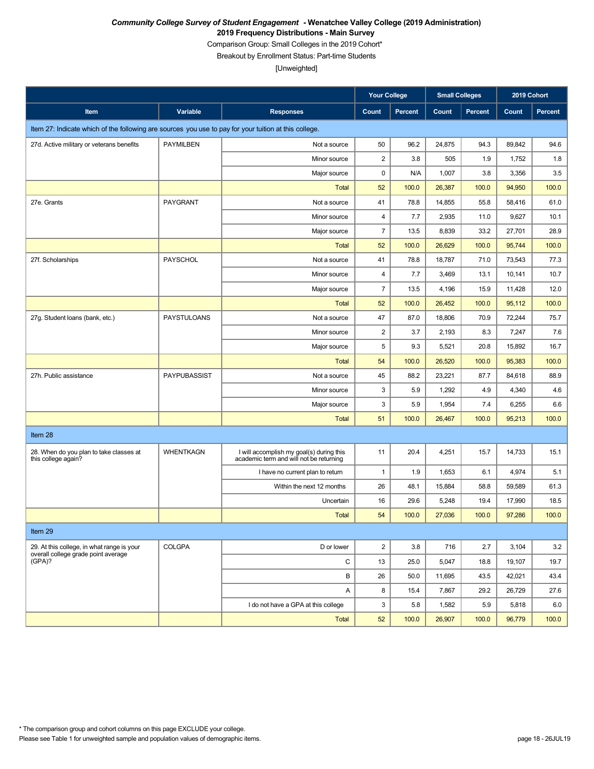Comparison Group: Small Colleges in the 2019 Cohort\*

Breakout by Enrollment Status: Part-time Students

|                                                                                                       |                    |                                                                                     | <b>Your College</b>     |                | <b>Small Colleges</b> |                | 2019 Cohort |                |
|-------------------------------------------------------------------------------------------------------|--------------------|-------------------------------------------------------------------------------------|-------------------------|----------------|-----------------------|----------------|-------------|----------------|
| Item                                                                                                  | Variable           | <b>Responses</b>                                                                    | Count                   | <b>Percent</b> | Count                 | <b>Percent</b> | Count       | <b>Percent</b> |
| Item 27: Indicate which of the following are sources you use to pay for your tuition at this college. |                    |                                                                                     |                         |                |                       |                |             |                |
| 27d. Active military or veterans benefits                                                             | <b>PAYMILBEN</b>   | Not a source                                                                        | 50                      | 96.2           | 24,875                | 94.3           | 89,842      | 94.6           |
|                                                                                                       |                    | Minor source                                                                        | $\overline{\mathbf{c}}$ | 3.8            | 505                   | 1.9            | 1,752       | 1.8            |
|                                                                                                       |                    | Major source                                                                        | 0                       | N/A            | 1,007                 | 3.8            | 3,356       | 3.5            |
|                                                                                                       |                    | <b>Total</b>                                                                        | 52                      | 100.0          | 26,387                | 100.0          | 94,950      | 100.0          |
| 27e. Grants                                                                                           | PAYGRANT           | Not a source                                                                        | 41                      | 78.8           | 14,855                | 55.8           | 58,416      | 61.0           |
|                                                                                                       |                    | Minor source                                                                        | $\overline{\mathbf{4}}$ | 7.7            | 2,935                 | 11.0           | 9,627       | 10.1           |
|                                                                                                       |                    | Major source                                                                        | $\overline{7}$          | 13.5           | 8,839                 | 33.2           | 27,701      | 28.9           |
|                                                                                                       |                    | <b>Total</b>                                                                        | 52                      | 100.0          | 26,629                | 100.0          | 95,744      | 100.0          |
| 27f. Scholarships                                                                                     | PAYSCHOL           | Not a source                                                                        | 41                      | 78.8           | 18,787                | 71.0           | 73,543      | 77.3           |
|                                                                                                       |                    | Minor source                                                                        | 4                       | 7.7            | 3,469                 | 13.1           | 10,141      | 10.7           |
|                                                                                                       |                    | Major source                                                                        | $\overline{7}$          | 13.5           | 4,196                 | 15.9           | 11,428      | 12.0           |
|                                                                                                       |                    | <b>Total</b>                                                                        | 52                      | 100.0          | 26,452                | 100.0          | 95,112      | 100.0          |
| 27g. Student loans (bank, etc.)                                                                       | <b>PAYSTULOANS</b> | Not a source                                                                        | 47                      | 87.0           | 18,806                | 70.9           | 72,244      | 75.7           |
|                                                                                                       |                    | Minor source                                                                        | $\overline{\mathbf{c}}$ | 3.7            | 2,193                 | 8.3            | 7,247       | 7.6            |
|                                                                                                       |                    | Major source                                                                        | 5                       | 9.3            | 5,521                 | 20.8           | 15,892      | 16.7           |
|                                                                                                       |                    | <b>Total</b>                                                                        | 54                      | 100.0          | 26.520                | 100.0          | 95,383      | 100.0          |
| 27h. Public assistance                                                                                | PAYPUBASSIST       | Not a source                                                                        | 45                      | 88.2           | 23,221                | 87.7           | 84,618      | 88.9           |
|                                                                                                       |                    | Minor source                                                                        | 3                       | 5.9            | 1,292                 | 4.9            | 4,340       | 4.6            |
|                                                                                                       |                    | Major source                                                                        | 3                       | 5.9            | 1,954                 | 7.4            | 6,255       | 6.6            |
|                                                                                                       |                    | <b>Total</b>                                                                        | 51                      | 100.0          | 26,467                | 100.0          | 95,213      | 100.0          |
| Item 28                                                                                               |                    |                                                                                     |                         |                |                       |                |             |                |
| 28. When do you plan to take classes at<br>this college again?                                        | <b>WHENTKAGN</b>   | I will accomplish my goal(s) during this<br>academic term and will not be returning | 11                      | 20.4           | 4,251                 | 15.7           | 14,733      | 15.1           |
|                                                                                                       |                    | I have no current plan to return                                                    | $\mathbf{1}$            | 1.9            | 1,653                 | 6.1            | 4,974       | 5.1            |
|                                                                                                       |                    | Within the next 12 months                                                           | 26                      | 48.1           | 15,884                | 58.8           | 59,589      | 61.3           |
|                                                                                                       |                    | Uncertain                                                                           | 16                      | 29.6           | 5,248                 | 19.4           | 17,990      | 18.5           |
|                                                                                                       |                    | <b>Total</b>                                                                        | 54                      | 100.0          | 27,036                | 100.0          | 97,286      | 100.0          |
| Item 29                                                                                               |                    |                                                                                     |                         |                |                       |                |             |                |
| 29. At this college, in what range is your                                                            | <b>COLGPA</b>      | D or lower                                                                          | $\overline{2}$          | 3.8            | 716                   | 2.7            | 3,104       | 3.2            |
| overall college grade point average<br>(GPA)?                                                         |                    | С                                                                                   | 13                      | 25.0           | 5,047                 | 18.8           | 19,107      | 19.7           |
|                                                                                                       |                    | В                                                                                   | 26                      | 50.0           | 11,695                | 43.5           | 42,021      | 43.4           |
|                                                                                                       |                    | Α                                                                                   | 8                       | 15.4           | 7,867                 | 29.2           | 26,729      | 27.6           |
|                                                                                                       |                    | I do not have a GPA at this college                                                 | 3                       | 5.8            | 1,582                 | 5.9            | 5,818       | 6.0            |
|                                                                                                       |                    | Total                                                                               | 52                      | 100.0          | 26,907                | 100.0          | 96,779      | 100.0          |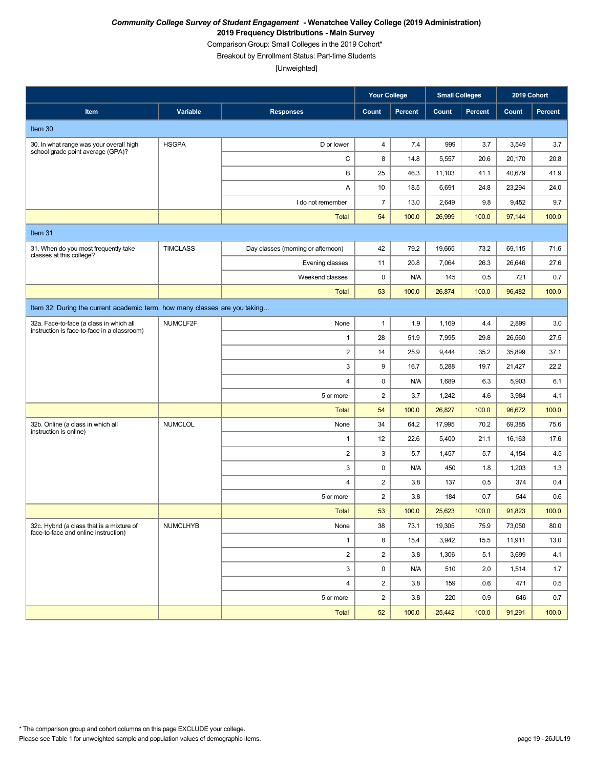Comparison Group: Small Colleges in the 2019 Cohort\*

Breakout by Enrollment Status: Part-time Students

|                                                                                        |                 |                                    | <b>Your College</b>     |         | <b>Small Colleges</b> |                | 2019 Cohort |         |
|----------------------------------------------------------------------------------------|-----------------|------------------------------------|-------------------------|---------|-----------------------|----------------|-------------|---------|
| Item                                                                                   | Variable        | <b>Responses</b>                   | Count                   | Percent | Count                 | <b>Percent</b> | Count       | Percent |
| Item 30                                                                                |                 |                                    |                         |         |                       |                |             |         |
| 30. In what range was your overall high<br>school grade point average (GPA)?           | <b>HSGPA</b>    | D or lower                         | $\overline{4}$          | 7.4     | 999                   | 3.7            | 3,549       | 3.7     |
|                                                                                        |                 | $\mathbf C$                        | 8                       | 14.8    | 5,557                 | 20.6           | 20,170      | 20.8    |
|                                                                                        |                 | В                                  | 25                      | 46.3    | 11,103                | 41.1           | 40,679      | 41.9    |
|                                                                                        |                 | Α                                  | 10                      | 18.5    | 6,691                 | 24.8           | 23,294      | 24.0    |
|                                                                                        |                 | I do not remember                  | $\overline{7}$          | 13.0    | 2,649                 | 9.8            | 9,452       | 9.7     |
|                                                                                        |                 | <b>Total</b>                       | 54                      | 100.0   | 26,999                | 100.0          | 97,144      | 100.0   |
| Item 31                                                                                |                 |                                    |                         |         |                       |                |             |         |
| 31. When do you most frequently take<br>classes at this college?                       | <b>TIMCLASS</b> | Day classes (morning or afternoon) | 42                      | 79.2    | 19,665                | 73.2           | 69,115      | 71.6    |
|                                                                                        |                 | Evening classes                    | 11                      | 20.8    | 7,064                 | 26.3           | 26,646      | 27.6    |
|                                                                                        |                 | Weekend classes                    | $\pmb{0}$               | N/A     | 145                   | 0.5            | 721         | 0.7     |
|                                                                                        |                 | <b>Total</b>                       | 53                      | 100.0   | 26,874                | 100.0          | 96,482      | 100.0   |
| Item 32: During the current academic term, how many classes are you taking             |                 |                                    |                         |         |                       |                |             |         |
| 32a. Face-to-face (a class in which all<br>instruction is face-to-face in a classroom) | NUMCLF2F        | None                               | $\mathbf{1}$            | 1.9     | 1,169                 | 4.4            | 2,899       | 3.0     |
|                                                                                        |                 | 1                                  | 28                      | 51.9    | 7,995                 | 29.8           | 26,560      | 27.5    |
|                                                                                        |                 | $\overline{\mathbf{c}}$            | 14                      | 25.9    | 9,444                 | 35.2           | 35,899      | 37.1    |
|                                                                                        |                 | 3                                  | 9                       | 16.7    | 5,288                 | 19.7           | 21,427      | 22.2    |
|                                                                                        |                 | 4                                  | 0                       | N/A     | 1,689                 | 6.3            | 5,903       | 6.1     |
|                                                                                        |                 | 5 or more                          | $\overline{2}$          | 3.7     | 1,242                 | 4.6            | 3,984       | 4.1     |
|                                                                                        |                 | <b>Total</b>                       | 54                      | 100.0   | 26,827                | 100.0          | 96,672      | 100.0   |
| 32b. Online (a class in which all<br>instruction is online)                            | <b>NUMCLOL</b>  | None                               | 34                      | 64.2    | 17,995                | 70.2           | 69,385      | 75.6    |
|                                                                                        |                 | 1                                  | 12                      | 22.6    | 5,400                 | 21.1           | 16,163      | 17.6    |
|                                                                                        |                 | $\overline{2}$                     | 3                       | 5.7     | 1,457                 | 5.7            | 4,154       | 4.5     |
|                                                                                        |                 | 3                                  | 0                       | N/A     | 450                   | 1.8            | 1,203       | 1.3     |
|                                                                                        |                 | 4                                  | $\sqrt{2}$              | 3.8     | 137                   | 0.5            | 374         | 0.4     |
|                                                                                        |                 | 5 or more                          | $\sqrt{2}$              | 3.8     | 184                   | 0.7            | 544         | 0.6     |
|                                                                                        |                 | <b>Total</b>                       | 53                      | 100.0   | 25,623                | 100.0          | 91,823      | 100.0   |
| 32c. Hybrid (a class that is a mixture of<br>face-to-face and online instruction)      | <b>NUMCLHYB</b> | None                               | 38                      | 73.1    | 19,305                | 75.9           | 73,050      | 80.0    |
|                                                                                        |                 | $\mathbf{1}$                       | 8                       | 15.4    | 3,942                 | 15.5           | 11,911      | 13.0    |
|                                                                                        |                 | $\overline{2}$                     | $\overline{c}$          | 3.8     | 1,306                 | 5.1            | 3,699       | 4.1     |
|                                                                                        |                 | 3                                  | 0                       | N/A     | 510                   | 2.0            | 1,514       | 1.7     |
|                                                                                        |                 | 4                                  | $\overline{\mathbf{c}}$ | 3.8     | 159                   | 0.6            | 471         | 0.5     |
|                                                                                        |                 | 5 or more                          | $\overline{c}$          | 3.8     | 220                   | 0.9            | 646         | 0.7     |
|                                                                                        |                 | Total                              | 52                      | 100.0   | 25,442                | 100.0          | 91,291      | 100.0   |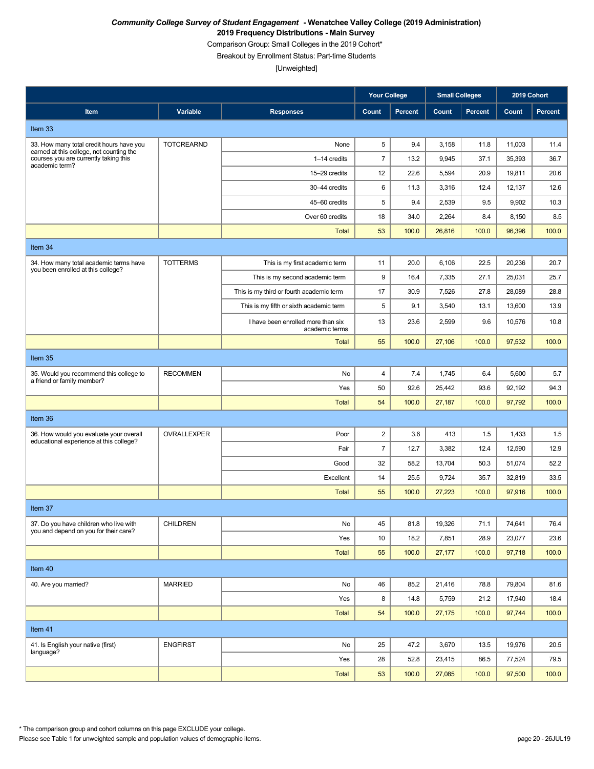Comparison Group: Small Colleges in the 2019 Cohort\*

Breakout by Enrollment Status: Part-time Students

|                                                                                                     |                   |                                                      | <b>Your College</b> |                | <b>Small Colleges</b> |                | 2019 Cohort |         |  |
|-----------------------------------------------------------------------------------------------------|-------------------|------------------------------------------------------|---------------------|----------------|-----------------------|----------------|-------------|---------|--|
| Item                                                                                                | Variable          | <b>Responses</b>                                     | Count               | <b>Percent</b> | Count                 | <b>Percent</b> | Count       | Percent |  |
| Item 33                                                                                             |                   |                                                      |                     |                |                       |                |             |         |  |
| 33. How many total credit hours have you                                                            | <b>TOTCREARND</b> | None                                                 | 5                   | 9.4            | 3,158                 | 11.8           | 11,003      | 11.4    |  |
| earned at this college, not counting the<br>courses you are currently taking this<br>academic term? |                   | 1-14 credits                                         | $\overline{7}$      | 13.2           | 9,945                 | 37.1           | 35,393      | 36.7    |  |
|                                                                                                     |                   | 15-29 credits                                        | 12                  | 22.6           | 5,594                 | 20.9           | 19,811      | 20.6    |  |
|                                                                                                     |                   | 30-44 credits                                        | 6                   | 11.3           | 3,316                 | 12.4           | 12,137      | 12.6    |  |
|                                                                                                     |                   | 45-60 credits                                        | $\sqrt{5}$          | 9.4            | 2,539                 | 9.5            | 9,902       | 10.3    |  |
|                                                                                                     |                   | Over 60 credits                                      | 18                  | 34.0           | 2,264                 | 8.4            | 8,150       | 8.5     |  |
|                                                                                                     |                   | <b>Total</b>                                         | 53                  | 100.0          | 26,816                | 100.0          | 96,396      | 100.0   |  |
| Item 34                                                                                             |                   |                                                      |                     |                |                       |                |             |         |  |
| 34. How many total academic terms have<br>you been enrolled at this college?                        | <b>TOTTERMS</b>   | This is my first academic term                       | 11                  | 20.0           | 6,106                 | 22.5           | 20,236      | 20.7    |  |
|                                                                                                     |                   | This is my second academic term                      | 9                   | 16.4           | 7,335                 | 27.1           | 25,031      | 25.7    |  |
|                                                                                                     |                   | This is my third or fourth academic term             | 17                  | 30.9           | 7,526                 | 27.8           | 28,089      | 28.8    |  |
|                                                                                                     |                   | This is my fifth or sixth academic term              | 5                   | 9.1            | 3,540                 | 13.1           | 13,600      | 13.9    |  |
|                                                                                                     |                   | I have been enrolled more than six<br>academic terms | 13                  | 23.6           | 2,599                 | 9.6            | 10,576      | 10.8    |  |
|                                                                                                     |                   | <b>Total</b>                                         | 55                  | 100.0          | 27,106                | 100.0          | 97,532      | 100.0   |  |
| Item 35                                                                                             |                   |                                                      |                     |                |                       |                |             |         |  |
| 35. Would you recommend this college to<br>a friend or family member?                               | <b>RECOMMEN</b>   | No                                                   | 4                   | 7.4            | 1,745                 | 6.4            | 5,600       | 5.7     |  |
|                                                                                                     |                   | Yes                                                  | 50                  | 92.6           | 25,442                | 93.6           | 92,192      | 94.3    |  |
|                                                                                                     |                   | <b>Total</b>                                         | 54                  | 100.0          | 27,187                | 100.0          | 97,792      | 100.0   |  |
| Item 36                                                                                             |                   |                                                      |                     |                |                       |                |             |         |  |
| 36. How would you evaluate your overall<br>educational experience at this college?                  | OVRALLEXPER       | Poor                                                 | $\overline{2}$      | 3.6            | 413                   | 1.5            | 1,433       | 1.5     |  |
|                                                                                                     |                   | Fair                                                 | $\overline{7}$      | 12.7           | 3,382                 | 12.4           | 12,590      | 12.9    |  |
|                                                                                                     |                   | Good                                                 | 32                  | 58.2           | 13,704                | 50.3           | 51,074      | 52.2    |  |
|                                                                                                     |                   | Excellent                                            | 14                  | 25.5           | 9,724                 | 35.7           | 32,819      | 33.5    |  |
|                                                                                                     |                   | <b>Total</b>                                         | 55                  | 100.0          | 27,223                | 100.0          | 97,916      | 100.0   |  |
| Item 37                                                                                             |                   |                                                      |                     |                |                       |                |             |         |  |
| 37. Do you have children who live with<br>you and depend on you for their care?                     | <b>CHILDREN</b>   | No                                                   | 45                  | 81.8           | 19,326                | 71.1           | 74,641      | 76.4    |  |
|                                                                                                     |                   | Yes                                                  | 10                  | 18.2           | 7,851                 | 28.9           | 23,077      | 23.6    |  |
|                                                                                                     |                   | Total                                                | 55                  | 100.0          | 27,177                | 100.0          | 97,718      | 100.0   |  |
| Item 40                                                                                             |                   |                                                      |                     |                |                       |                |             |         |  |
| 40. Are you married?                                                                                | <b>MARRIED</b>    | No                                                   | 46                  | 85.2           | 21,416                | 78.8           | 79,804      | 81.6    |  |
|                                                                                                     |                   | Yes                                                  | 8                   | 14.8           | 5,759                 | 21.2           | 17,940      | 18.4    |  |
|                                                                                                     |                   | Total                                                | 54                  | 100.0          | 27,175                | 100.0          | 97,744      | 100.0   |  |
| Item 41                                                                                             |                   |                                                      |                     |                |                       |                |             |         |  |
| 41. Is English your native (first)                                                                  | <b>ENGFIRST</b>   | No                                                   | 25                  | 47.2           | 3,670                 | 13.5           | 19,976      | 20.5    |  |
| language?                                                                                           |                   | Yes                                                  | 28                  | 52.8           | 23,415                | 86.5           | 77,524      | 79.5    |  |
|                                                                                                     |                   | <b>Total</b>                                         | 53                  | 100.0          | 27,085                | 100.0          | 97,500      | 100.0   |  |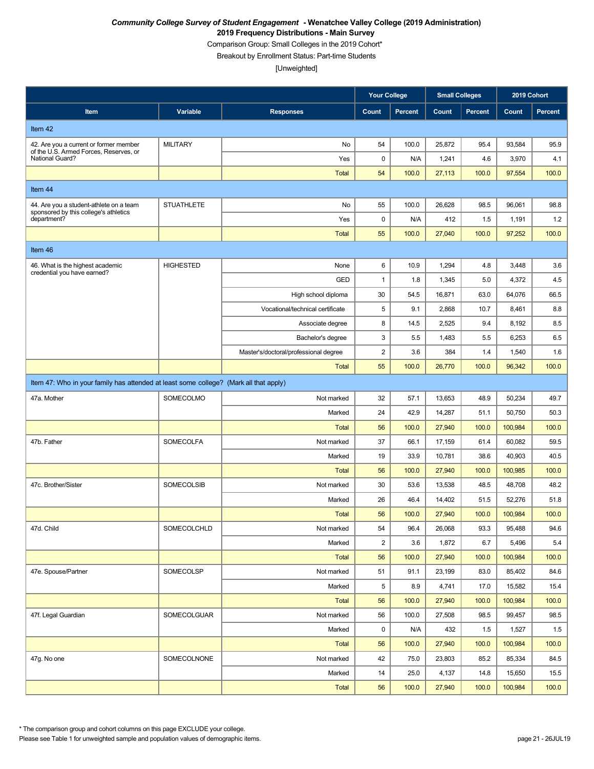Comparison Group: Small Colleges in the 2019 Cohort\*

Breakout by Enrollment Status: Part-time Students

[Unweighted]

|                                                           |                                                                                       |                                       | <b>Your College</b>     |         | <b>Small Colleges</b> |                | 2019 Cohort |                |  |  |
|-----------------------------------------------------------|---------------------------------------------------------------------------------------|---------------------------------------|-------------------------|---------|-----------------------|----------------|-------------|----------------|--|--|
| Item                                                      | Variable                                                                              | <b>Responses</b>                      | Count                   | Percent | Count                 | <b>Percent</b> | Count       | <b>Percent</b> |  |  |
| Item 42                                                   |                                                                                       |                                       |                         |         |                       |                |             |                |  |  |
| 42. Are you a current or former member                    | <b>MILITARY</b>                                                                       | No                                    | 54                      | 100.0   | 25,872                | 95.4           | 93,584      | 95.9           |  |  |
| of the U.S. Armed Forces, Reserves, or<br>National Guard? |                                                                                       | Yes                                   | 0                       | N/A     | 1,241                 | 4.6            | 3,970       | 4.1            |  |  |
|                                                           |                                                                                       | <b>Total</b>                          | 54                      | 100.0   | 27,113                | 100.0          | 97,554      | 100.0          |  |  |
| Item 44                                                   |                                                                                       |                                       |                         |         |                       |                |             |                |  |  |
| 44. Are you a student-athlete on a team                   | <b>STUATHLETE</b>                                                                     | No                                    | 55                      | 100.0   | 26,628                | 98.5           | 96,061      | 98.8           |  |  |
| sponsored by this college's athletics<br>department?      |                                                                                       | Yes                                   | 0                       | N/A     | 412                   | 1.5            | 1,191       | 1.2            |  |  |
|                                                           |                                                                                       | <b>Total</b>                          | 55                      | 100.0   | 27,040                | 100.0          | 97,252      | 100.0          |  |  |
| Item 46                                                   |                                                                                       |                                       |                         |         |                       |                |             |                |  |  |
| 46. What is the highest academic                          | <b>HIGHESTED</b>                                                                      | None                                  | 6                       | 10.9    | 1,294                 | 4.8            | 3,448       | 3.6            |  |  |
| credential you have earned?                               |                                                                                       | GED                                   | $\mathbf{1}$            | 1.8     | 1,345                 | 5.0            | 4,372       | 4.5            |  |  |
|                                                           |                                                                                       | High school diploma                   | 30                      | 54.5    | 16,871                | 63.0           | 64,076      | 66.5           |  |  |
|                                                           |                                                                                       | Vocational/technical certificate      | 5                       | 9.1     | 2,868                 | 10.7           | 8,461       | 8.8            |  |  |
|                                                           |                                                                                       | Associate degree                      | 8                       | 14.5    | 2,525                 | 9.4            | 8,192       | 8.5            |  |  |
|                                                           |                                                                                       | Bachelor's degree                     | 3                       | 5.5     | 1,483                 | 5.5            | 6,253       | 6.5            |  |  |
|                                                           |                                                                                       | Master's/doctoral/professional degree | $\overline{\mathbf{c}}$ | 3.6     | 384                   | 1.4            | 1,540       | 1.6            |  |  |
|                                                           |                                                                                       | <b>Total</b>                          | 55                      | 100.0   | 26,770                | 100.0          | 96,342      | 100.0          |  |  |
|                                                           | Item 47: Who in your family has attended at least some college? (Mark all that apply) |                                       |                         |         |                       |                |             |                |  |  |
| 47a. Mother                                               | SOMECOLMO                                                                             | Not marked                            | 32                      | 57.1    | 13,653                | 48.9           | 50,234      | 49.7           |  |  |
|                                                           |                                                                                       | Marked                                | 24                      | 42.9    | 14,287                | 51.1           | 50,750      | 50.3           |  |  |
|                                                           |                                                                                       | <b>Total</b>                          | 56                      | 100.0   | 27,940                | 100.0          | 100,984     | 100.0          |  |  |
| 47b. Father                                               | <b>SOMECOLFA</b>                                                                      | Not marked                            | 37                      | 66.1    | 17,159                | 61.4           | 60,082      | 59.5           |  |  |
|                                                           |                                                                                       | Marked                                | 19                      | 33.9    | 10,781                | 38.6           | 40,903      | 40.5           |  |  |
|                                                           |                                                                                       | <b>Total</b>                          | 56                      | 100.0   | 27,940                | 100.0          | 100,985     | 100.0          |  |  |
| 47c. Brother/Sister                                       | SOMECOLSIB                                                                            | Not marked                            | 30                      | 53.6    | 13,538                | 48.5           | 48,708      | 48.2           |  |  |
|                                                           |                                                                                       | Marked                                | 26                      | 46.4    | 14,402                | 51.5           | 52,276      | 51.8           |  |  |
|                                                           |                                                                                       | <b>Total</b>                          | 56                      | 100.0   | 27,940                | 100.0          | 100,984     | 100.0          |  |  |
| 47d. Child                                                | SOMECOLCHLD                                                                           | Not marked                            | 54                      | 96.4    | 26,068                | 93.3           | 95,488      | 94.6           |  |  |
|                                                           |                                                                                       | Marked                                | $\overline{2}$          | 3.6     | 1,872                 | 6.7            | 5,496       | 5.4            |  |  |
|                                                           |                                                                                       | <b>Total</b>                          | 56                      | 100.0   | 27,940                | 100.0          | 100,984     | 100.0          |  |  |
| 47e. Spouse/Partner                                       | SOMECOLSP                                                                             | Not marked                            | 51                      | 91.1    | 23,199                | 83.0           | 85,402      | 84.6           |  |  |
|                                                           |                                                                                       | Marked                                | 5                       | 8.9     | 4,741                 | 17.0           | 15,582      | 15.4           |  |  |
|                                                           |                                                                                       | <b>Total</b>                          | 56                      | 100.0   | 27,940                | 100.0          | 100,984     | 100.0          |  |  |
| 47f. Legal Guardian                                       | SOMECOLGUAR                                                                           | Not marked                            | 56                      | 100.0   | 27,508                | 98.5           | 99,457      | 98.5           |  |  |
|                                                           |                                                                                       | Marked                                | 0                       | N/A     | 432                   | 1.5            | 1,527       | 1.5            |  |  |
|                                                           |                                                                                       | <b>Total</b>                          | 56                      | 100.0   | 27,940                | 100.0          | 100,984     | 100.0          |  |  |
| 47g. No one                                               | SOMECOLNONE                                                                           | Not marked                            | 42                      | 75.0    | 23,803                | 85.2           | 85,334      | 84.5           |  |  |
|                                                           |                                                                                       | Marked                                | 14                      | 25.0    | 4,137                 | 14.8           | 15,650      | 15.5           |  |  |
|                                                           |                                                                                       | <b>Total</b>                          | 56                      | 100.0   | 27,940                | 100.0          | 100,984     | 100.0          |  |  |

\* The comparison group and cohort columns on this page EXCLUDE your college.

Please see Table 1 for unweighted sample and population values of demographic items. page 21 - 26JUL19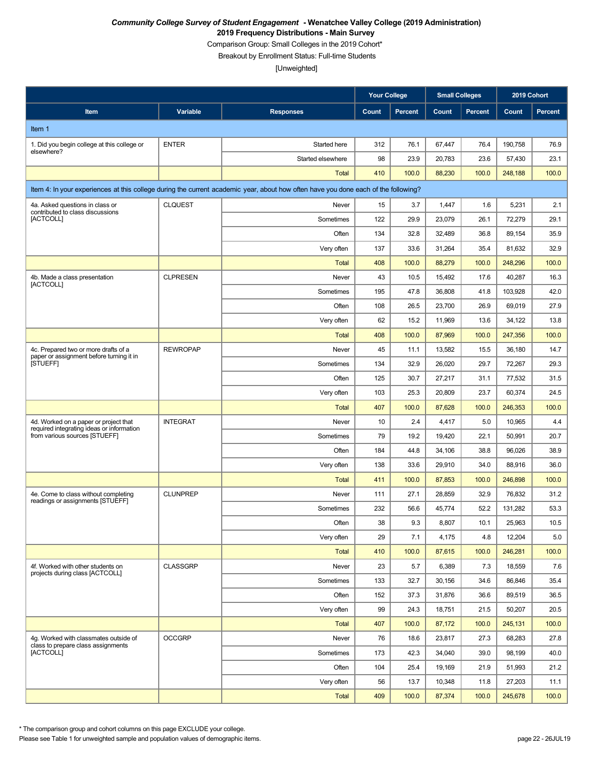Comparison Group: Small Colleges in the 2019 Cohort\*

Breakout by Enrollment Status: Full-time Students

[Unweighted]

|                                                                                    |                 |                                                                                                                                    | <b>Your College</b> |                | <b>Small Colleges</b> |                | 2019 Cohort |                |
|------------------------------------------------------------------------------------|-----------------|------------------------------------------------------------------------------------------------------------------------------------|---------------------|----------------|-----------------------|----------------|-------------|----------------|
| Item                                                                               | Variable        | <b>Responses</b>                                                                                                                   | Count               | <b>Percent</b> | Count                 | <b>Percent</b> | Count       | <b>Percent</b> |
| Item 1                                                                             |                 |                                                                                                                                    |                     |                |                       |                |             |                |
| 1. Did you begin college at this college or                                        | <b>ENTER</b>    | Started here                                                                                                                       | 312                 | 76.1           | 67,447                | 76.4           | 190.758     | 76.9           |
| elsewhere?                                                                         |                 | Started elsewhere                                                                                                                  | 98                  | 23.9           | 20,783                | 23.6           | 57,430      | 23.1           |
|                                                                                    |                 | <b>Total</b>                                                                                                                       | 410                 | 100.0          | 88,230                | 100.0          | 248,188     | 100.0          |
|                                                                                    |                 | Item 4: In your experiences at this college during the current academic year, about how often have you done each of the following? |                     |                |                       |                |             |                |
| 4a. Asked questions in class or                                                    | <b>CLQUEST</b>  | Never                                                                                                                              | 15                  | 3.7            | 1,447                 | 1.6            | 5,231       | 2.1            |
| contributed to class discussions<br>[ACTCOLL]                                      |                 | Sometimes                                                                                                                          | 122                 | 29.9           | 23,079                | 26.1           | 72,279      | 29.1           |
|                                                                                    |                 | Often                                                                                                                              | 134                 | 32.8           | 32,489                | 36.8           | 89,154      | 35.9           |
|                                                                                    |                 | Very often                                                                                                                         | 137                 | 33.6           | 31,264                | 35.4           | 81,632      | 32.9           |
|                                                                                    |                 | <b>Total</b>                                                                                                                       | 408                 | 100.0          | 88,279                | 100.0          | 248,296     | 100.0          |
| 4b. Made a class presentation<br>[ACTCOLL]                                         | <b>CLPRESEN</b> | Never                                                                                                                              | 43                  | 10.5           | 15,492                | 17.6           | 40,287      | 16.3           |
|                                                                                    |                 | Sometimes                                                                                                                          | 195                 | 47.8           | 36,808                | 41.8           | 103.928     | 42.0           |
|                                                                                    |                 | Often                                                                                                                              | 108                 | 26.5           | 23,700                | 26.9           | 69,019      | 27.9           |
|                                                                                    |                 | Very often                                                                                                                         | 62                  | 15.2           | 11,969                | 13.6           | 34,122      | 13.8           |
|                                                                                    |                 | <b>Total</b>                                                                                                                       | 408                 | 100.0          | 87,969                | 100.0          | 247,356     | 100.0          |
| 4c. Prepared two or more drafts of a<br>paper or assignment before turning it in   | <b>REWROPAP</b> | Never                                                                                                                              | 45                  | 11.1           | 13,582                | 15.5           | 36,180      | 14.7           |
| [STUEFF]                                                                           |                 | Sometimes                                                                                                                          | 134                 | 32.9           | 26,020                | 29.7           | 72,267      | 29.3           |
|                                                                                    |                 | Often                                                                                                                              | 125                 | 30.7           | 27,217                | 31.1           | 77,532      | 31.5           |
|                                                                                    |                 | Very often                                                                                                                         | 103                 | 25.3           | 20,809                | 23.7           | 60,374      | 24.5           |
|                                                                                    |                 | <b>Total</b>                                                                                                                       | 407                 | 100.0          | 87,628                | 100.0          | 246,353     | 100.0          |
| 4d. Worked on a paper or project that<br>required integrating ideas or information | <b>INTEGRAT</b> | Never                                                                                                                              | 10                  | 2.4            | 4,417                 | 5.0            | 10,965      | 4.4            |
| from various sources [STUEFF]                                                      |                 | Sometimes                                                                                                                          | 79                  | 19.2           | 19,420                | 22.1           | 50,991      | 20.7           |
|                                                                                    |                 | Often                                                                                                                              | 184                 | 44.8           | 34,106                | 38.8           | 96,026      | 38.9           |
|                                                                                    |                 | Very often                                                                                                                         | 138                 | 33.6           | 29,910                | 34.0           | 88,916      | 36.0           |
|                                                                                    |                 | <b>Total</b>                                                                                                                       | 411                 | 100.0          | 87,853                | 100.0          | 246,898     | 100.0          |
| 4e. Come to class without completing<br>readings or assignments [STUEFF]           | <b>CLUNPREP</b> | Never                                                                                                                              | 111                 | 27.1           | 28,859                | 32.9           | 76,832      | 31.2           |
|                                                                                    |                 | Sometimes                                                                                                                          | 232                 | 56.6           | 45,774                | 52.2           | 131,282     | 53.3           |
|                                                                                    |                 | Often                                                                                                                              | 38                  | 9.3            | 8,807                 | 10.1           | 25,963      | 10.5           |
|                                                                                    |                 | Very often                                                                                                                         | 29                  | 7.1            | 4,175                 | 4.8            | 12,204      | 5.0            |
|                                                                                    |                 | <b>Total</b>                                                                                                                       | 410                 | 100.0          | 87,615                | 100.0          | 246,281     | 100.0          |
| 4f. Worked with other students on<br>projects during class [ACTCOLL]               | <b>CLASSGRP</b> | Never                                                                                                                              | 23                  | 5.7            | 6,389                 | 7.3            | 18,559      | 7.6            |
|                                                                                    |                 | Sometimes                                                                                                                          | 133                 | 32.7           | 30,156                | 34.6           | 86,846      | 35.4           |
|                                                                                    |                 | Often                                                                                                                              | 152                 | 37.3           | 31,876                | 36.6           | 89,519      | 36.5           |
|                                                                                    |                 | Very often                                                                                                                         | 99                  | 24.3           | 18,751                | 21.5           | 50,207      | 20.5           |
|                                                                                    |                 | <b>Total</b>                                                                                                                       | 407                 | 100.0          | 87,172                | 100.0          | 245,131     | 100.0          |
| 4q. Worked with classmates outside of<br>class to prepare class assignments        | <b>OCCGRP</b>   | Never                                                                                                                              | 76                  | 18.6           | 23,817                | 27.3           | 68,283      | 27.8           |
| [ACTCOLL]                                                                          |                 | Sometimes                                                                                                                          | 173                 | 42.3           | 34,040                | 39.0           | 98,199      | 40.0           |
|                                                                                    |                 | Often                                                                                                                              | 104                 | 25.4           | 19,169                | 21.9           | 51,993      | 21.2           |
|                                                                                    |                 | Very often                                                                                                                         | 56                  | 13.7           | 10,348                | 11.8           | 27,203      | 11.1           |
|                                                                                    |                 | <b>Total</b>                                                                                                                       | 409                 | 100.0          | 87,374                | 100.0          | 245,678     | 100.0          |

\* The comparison group and cohort columns on this page EXCLUDE your college.

Please see Table 1 for unweighted sample and population values of demographic items. page 22 - 26JUL19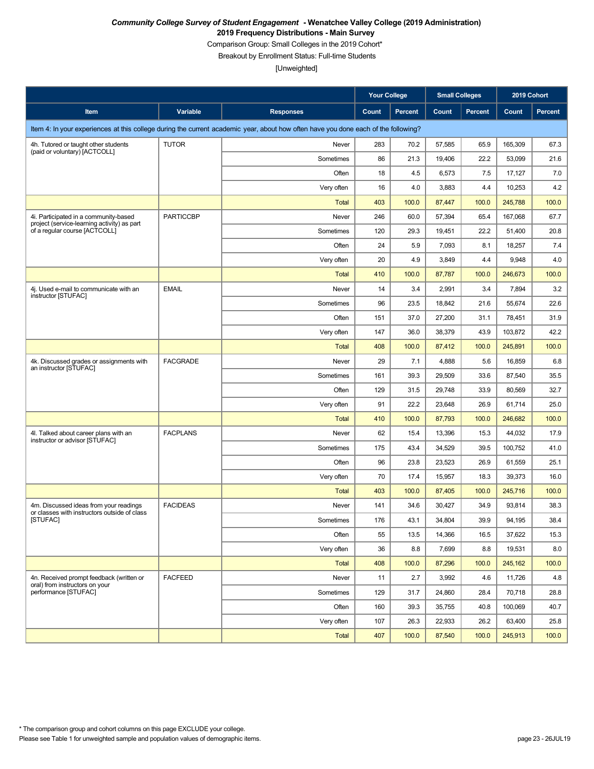Comparison Group: Small Colleges in the 2019 Cohort\*

Breakout by Enrollment Status: Full-time Students

|                                                                                        |                  |                                                                                                                                    | <b>Your College</b> |                | <b>Small Colleges</b> |                | 2019 Cohort |                |
|----------------------------------------------------------------------------------------|------------------|------------------------------------------------------------------------------------------------------------------------------------|---------------------|----------------|-----------------------|----------------|-------------|----------------|
| Item                                                                                   | Variable         | <b>Responses</b>                                                                                                                   | Count               | <b>Percent</b> | Count                 | <b>Percent</b> | Count       | <b>Percent</b> |
|                                                                                        |                  | Item 4: In your experiences at this college during the current academic year, about how often have you done each of the following? |                     |                |                       |                |             |                |
| 4h. Tutored or taught other students<br>(paid or voluntary) [ACTCOLL]                  | <b>TUTOR</b>     | Never                                                                                                                              | 283                 | 70.2           | 57,585                | 65.9           | 165.309     | 67.3           |
|                                                                                        |                  | Sometimes                                                                                                                          | 86                  | 21.3           | 19,406                | 22.2           | 53,099      | 21.6           |
|                                                                                        |                  | Often                                                                                                                              | 18                  | 4.5            | 6,573                 | 7.5            | 17,127      | 7.0            |
|                                                                                        |                  | Very often                                                                                                                         | 16                  | 4.0            | 3,883                 | 4.4            | 10,253      | 4.2            |
|                                                                                        |                  | <b>Total</b>                                                                                                                       | 403                 | 100.0          | 87,447                | 100.0          | 245,788     | 100.0          |
| 4i. Participated in a community-based<br>project (service-learning activity) as part   | <b>PARTICCBP</b> | Never                                                                                                                              | 246                 | 60.0           | 57,394                | 65.4           | 167,068     | 67.7           |
| of a regular course [ACTCOLL]                                                          |                  | Sometimes                                                                                                                          | 120                 | 29.3           | 19,451                | 22.2           | 51,400      | 20.8           |
|                                                                                        |                  | Often                                                                                                                              | 24                  | 5.9            | 7,093                 | 8.1            | 18,257      | 7.4            |
|                                                                                        |                  | Very often                                                                                                                         | 20                  | 4.9            | 3,849                 | 4.4            | 9,948       | 4.0            |
|                                                                                        |                  | <b>Total</b>                                                                                                                       | 410                 | 100.0          | 87,787                | 100.0          | 246,673     | 100.0          |
| 4j. Used e-mail to communicate with an<br>instructor [STUFAC]                          | <b>EMAIL</b>     | Never                                                                                                                              | 14                  | 3.4            | 2,991                 | 3.4            | 7,894       | 3.2            |
|                                                                                        |                  | Sometimes                                                                                                                          | 96                  | 23.5           | 18,842                | 21.6           | 55,674      | 22.6           |
|                                                                                        |                  | Often                                                                                                                              | 151                 | 37.0           | 27,200                | 31.1           | 78,451      | 31.9           |
|                                                                                        |                  | Very often                                                                                                                         | 147                 | 36.0           | 38,379                | 43.9           | 103,872     | 42.2           |
|                                                                                        |                  | <b>Total</b>                                                                                                                       | 408                 | 100.0          | 87,412                | 100.0          | 245,891     | 100.0          |
| 4k. Discussed grades or assignments with<br>an instructor [STUFAC]                     | <b>FACGRADE</b>  | Never                                                                                                                              | 29                  | 7.1            | 4,888                 | 5.6            | 16,859      | 6.8            |
|                                                                                        |                  | Sometimes                                                                                                                          | 161                 | 39.3           | 29,509                | 33.6           | 87,540      | 35.5           |
|                                                                                        |                  | Often                                                                                                                              | 129                 | 31.5           | 29,748                | 33.9           | 80,569      | 32.7           |
|                                                                                        |                  | Very often                                                                                                                         | 91                  | 22.2           | 23,648                | 26.9           | 61,714      | 25.0           |
|                                                                                        |                  | <b>Total</b>                                                                                                                       | 410                 | 100.0          | 87,793                | 100.0          | 246,682     | 100.0          |
| 4I. Talked about career plans with an<br>instructor or advisor [STUFAC]                | <b>FACPLANS</b>  | Never                                                                                                                              | 62                  | 15.4           | 13,396                | 15.3           | 44,032      | 17.9           |
|                                                                                        |                  | Sometimes                                                                                                                          | 175                 | 43.4           | 34,529                | 39.5           | 100,752     | 41.0           |
|                                                                                        |                  | Often                                                                                                                              | 96                  | 23.8           | 23,523                | 26.9           | 61,559      | 25.1           |
|                                                                                        |                  | Very often                                                                                                                         | 70                  | 17.4           | 15,957                | 18.3           | 39,373      | 16.0           |
|                                                                                        |                  | <b>Total</b>                                                                                                                       | 403                 | 100.0          | 87,405                | 100.0          | 245,716     | 100.0          |
| 4m. Discussed ideas from your readings<br>or classes with instructors outside of class | <b>FACIDEAS</b>  | Never                                                                                                                              | 141                 | 34.6           | 30,427                | 34.9           | 93,814      | 38.3           |
| [STUFAC]                                                                               |                  | Sometimes                                                                                                                          | 176                 | 43.1           | 34,804                | 39.9           | 94,195      | 38.4           |
|                                                                                        |                  | Often                                                                                                                              | 55                  | 13.5           | 14,366                | 16.5           | 37,622      | 15.3           |
|                                                                                        |                  | Very often                                                                                                                         | 36                  | 8.8            | 7,699                 | 8.8            | 19,531      | 8.0            |
|                                                                                        |                  | <b>Total</b>                                                                                                                       | 408                 | 100.0          | 87,296                | 100.0          | 245,162     | 100.0          |
| 4n. Received prompt feedback (written or<br>oral) from instructors on your             | <b>FACFEED</b>   | Never                                                                                                                              | 11                  | 2.7            | 3,992                 | 4.6            | 11,726      | 4.8            |
| performance [STUFAC]                                                                   |                  | Sometimes                                                                                                                          | 129                 | 31.7           | 24,860                | 28.4           | 70,718      | 28.8           |
|                                                                                        |                  | Often                                                                                                                              | 160                 | 39.3           | 35,755                | 40.8           | 100,069     | 40.7           |
|                                                                                        |                  | Very often                                                                                                                         | 107                 | 26.3           | 22,933                | 26.2           | 63,400      | 25.8           |
|                                                                                        |                  | <b>Total</b>                                                                                                                       | 407                 | 100.0          | 87,540                | 100.0          | 245,913     | 100.0          |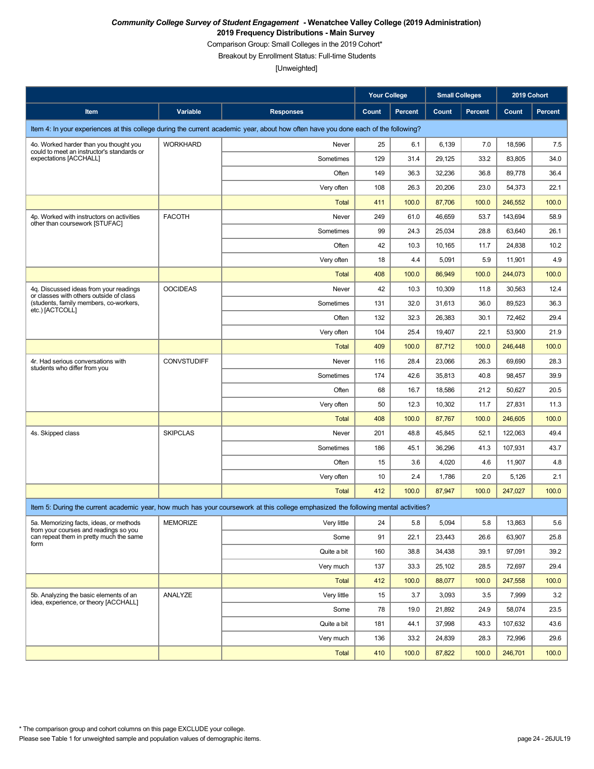Comparison Group: Small Colleges in the 2019 Cohort\*

Breakout by Enrollment Status: Full-time Students

|                                                                                   |                    |                                                                                                                                    | <b>Your College</b> |         | <b>Small Colleges</b> |                | 2019 Cohort |                |
|-----------------------------------------------------------------------------------|--------------------|------------------------------------------------------------------------------------------------------------------------------------|---------------------|---------|-----------------------|----------------|-------------|----------------|
| Item                                                                              | Variable           | <b>Responses</b>                                                                                                                   | Count               | Percent | Count                 | <b>Percent</b> | Count       | <b>Percent</b> |
|                                                                                   |                    | Item 4: In your experiences at this college during the current academic year, about how often have you done each of the following? |                     |         |                       |                |             |                |
| 4o. Worked harder than you thought you                                            | <b>WORKHARD</b>    | Never                                                                                                                              | 25                  | 6.1     | 6,139                 | 7.0            | 18,596      | 7.5            |
| could to meet an instructor's standards or<br>expectations [ACCHALL]              |                    | Sometimes                                                                                                                          | 129                 | 31.4    | 29,125                | 33.2           | 83,805      | 34.0           |
|                                                                                   |                    | Often                                                                                                                              | 149                 | 36.3    | 32,236                | 36.8           | 89,778      | 36.4           |
|                                                                                   |                    | Very often                                                                                                                         | 108                 | 26.3    | 20,206                | 23.0           | 54,373      | 22.1           |
|                                                                                   |                    | <b>Total</b>                                                                                                                       | 411                 | 100.0   | 87,706                | 100.0          | 246,552     | 100.0          |
| 4p. Worked with instructors on activities<br>other than coursework [STUFAC]       | <b>FACOTH</b>      | Never                                                                                                                              | 249                 | 61.0    | 46,659                | 53.7           | 143,694     | 58.9           |
|                                                                                   |                    | Sometimes                                                                                                                          | 99                  | 24.3    | 25,034                | 28.8           | 63,640      | 26.1           |
|                                                                                   |                    | Often                                                                                                                              | 42                  | 10.3    | 10,165                | 11.7           | 24,838      | 10.2           |
|                                                                                   |                    | Very often                                                                                                                         | 18                  | 4.4     | 5,091                 | 5.9            | 11,901      | 4.9            |
|                                                                                   |                    | <b>Total</b>                                                                                                                       | 408                 | 100.0   | 86,949                | 100.0          | 244,073     | 100.0          |
| 4q. Discussed ideas from your readings<br>or classes with others outside of class | <b>OOCIDEAS</b>    | Never                                                                                                                              | 42                  | 10.3    | 10,309                | 11.8           | 30,563      | 12.4           |
| (students, family members, co-workers,<br>etc.) [ACTCOLL]                         |                    | Sometimes                                                                                                                          | 131                 | 32.0    | 31,613                | 36.0           | 89,523      | 36.3           |
|                                                                                   |                    | Often                                                                                                                              | 132                 | 32.3    | 26,383                | 30.1           | 72,462      | 29.4           |
|                                                                                   |                    | Very often                                                                                                                         | 104                 | 25.4    | 19,407                | 22.1           | 53,900      | 21.9           |
|                                                                                   |                    | <b>Total</b>                                                                                                                       | 409                 | 100.0   | 87,712                | 100.0          | 246,448     | 100.0          |
| 4r. Had serious conversations with                                                | <b>CONVSTUDIFF</b> | Never                                                                                                                              | 116                 | 28.4    | 23,066                | 26.3           | 69,690      | 28.3           |
| students who differ from you                                                      |                    | Sometimes                                                                                                                          | 174                 | 42.6    | 35,813                | 40.8           | 98,457      | 39.9           |
|                                                                                   |                    | Often                                                                                                                              | 68                  | 16.7    | 18,586                | 21.2           | 50,627      | 20.5           |
|                                                                                   |                    | Very often                                                                                                                         | 50                  | 12.3    | 10,302                | 11.7           | 27,831      | 11.3           |
|                                                                                   |                    | <b>Total</b>                                                                                                                       | 408                 | 100.0   | 87,767                | 100.0          | 246,605     | 100.0          |
| 4s. Skipped class                                                                 | <b>SKIPCLAS</b>    | Never                                                                                                                              | 201                 | 48.8    | 45,845                | 52.1           | 122,063     | 49.4           |
|                                                                                   |                    | Sometimes                                                                                                                          | 186                 | 45.1    | 36,296                | 41.3           | 107,931     | 43.7           |
|                                                                                   |                    | Often                                                                                                                              | 15                  | 3.6     | 4,020                 | 4.6            | 11,907      | 4.8            |
|                                                                                   |                    | Very often                                                                                                                         | 10                  | 2.4     | 1,786                 | 2.0            | 5,126       | 2.1            |
|                                                                                   |                    | <b>Total</b>                                                                                                                       | 412                 | 100.0   | 87,947                | 100.0          | 247.027     | 100.0          |
|                                                                                   |                    | Item 5: During the current academic year, how much has your coursework at this college emphasized the following mental activities? |                     |         |                       |                |             |                |
| 5a. Memorizing facts, ideas, or methods<br>from your courses and readings so you  | MEMORIZE           | Very little                                                                                                                        | 24                  | 5.8     | 5,094                 | 5.8            | 13,863      | 5.6            |
| can repeat them in pretty much the same<br>form                                   |                    | Some                                                                                                                               | 91                  | 22.1    | 23,443                | 26.6           | 63,907      | 25.8           |
|                                                                                   |                    | Quite a bit                                                                                                                        | 160                 | 38.8    | 34,438                | 39.1           | 97,091      | 39.2           |
|                                                                                   |                    | Very much                                                                                                                          | 137                 | 33.3    | 25,102                | 28.5           | 72,697      | 29.4           |
|                                                                                   |                    | Total                                                                                                                              | 412                 | 100.0   | 88,077                | 100.0          | 247,558     | 100.0          |
| 5b. Analyzing the basic elements of an<br>idea, experience, or theory [ACCHALL]   | ANALYZE            | Very little                                                                                                                        | 15                  | 3.7     | 3,093                 | 3.5            | 7,999       | 3.2            |
|                                                                                   |                    | Some                                                                                                                               | 78                  | 19.0    | 21,892                | 24.9           | 58,074      | 23.5           |
|                                                                                   |                    | Quite a bit                                                                                                                        | 181                 | 44.1    | 37,998                | 43.3           | 107,632     | 43.6           |
|                                                                                   |                    | Very much                                                                                                                          | 136                 | 33.2    | 24,839                | 28.3           | 72,996      | 29.6           |
|                                                                                   |                    | Total                                                                                                                              | 410                 | 100.0   | 87,822                | 100.0          | 246,701     | 100.0          |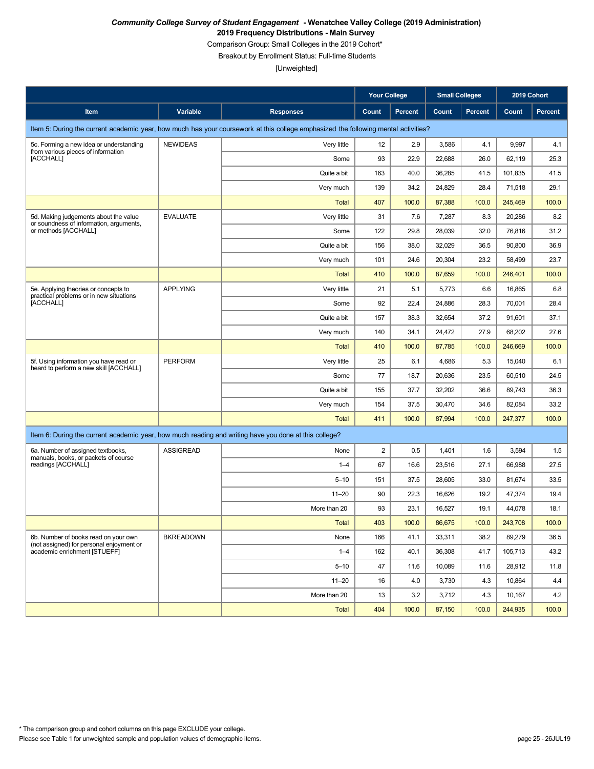Comparison Group: Small Colleges in the 2019 Cohort\*

Breakout by Enrollment Status: Full-time Students

|                                                                                                       |                  |                                                                                                                                    | <b>Your College</b> |                | <b>Small Colleges</b> |                | 2019 Cohort |                |
|-------------------------------------------------------------------------------------------------------|------------------|------------------------------------------------------------------------------------------------------------------------------------|---------------------|----------------|-----------------------|----------------|-------------|----------------|
| Item                                                                                                  | Variable         | <b>Responses</b>                                                                                                                   | Count               | <b>Percent</b> | Count                 | <b>Percent</b> | Count       | <b>Percent</b> |
|                                                                                                       |                  | Item 5: During the current academic year, how much has your coursework at this college emphasized the following mental activities? |                     |                |                       |                |             |                |
| 5c. Forming a new idea or understanding<br>from various pieces of information                         | <b>NEWIDEAS</b>  | Very little                                                                                                                        | 12                  | 2.9            | 3,586                 | 4.1            | 9,997       | 4.1            |
| [ACCHALL]                                                                                             |                  | Some                                                                                                                               | 93                  | 22.9           | 22,688                | 26.0           | 62,119      | 25.3           |
|                                                                                                       |                  | Quite a bit                                                                                                                        | 163                 | 40.0           | 36,285                | 41.5           | 101,835     | 41.5           |
|                                                                                                       |                  | Very much                                                                                                                          | 139                 | 34.2           | 24,829                | 28.4           | 71,518      | 29.1           |
|                                                                                                       |                  | <b>Total</b>                                                                                                                       | 407                 | 100.0          | 87,388                | 100.0          | 245,469     | 100.0          |
| 5d. Making judgements about the value<br>or soundness of information, arguments,                      | <b>EVALUATE</b>  | Very little                                                                                                                        | 31                  | 7.6            | 7,287                 | 8.3            | 20,286      | 8.2            |
| or methods [ACCHALL]                                                                                  |                  | Some                                                                                                                               | 122                 | 29.8           | 28,039                | 32.0           | 76,816      | 31.2           |
|                                                                                                       |                  | Quite a bit                                                                                                                        | 156                 | 38.0           | 32,029                | 36.5           | 90,800      | 36.9           |
|                                                                                                       |                  | Very much                                                                                                                          | 101                 | 24.6           | 20,304                | 23.2           | 58,499      | 23.7           |
|                                                                                                       |                  | <b>Total</b>                                                                                                                       | 410                 | 100.0          | 87,659                | 100.0          | 246,401     | 100.0          |
| 5e. Applying theories or concepts to<br>practical problems or in new situations                       | <b>APPLYING</b>  | Very little                                                                                                                        | 21                  | 5.1            | 5,773                 | 6.6            | 16,865      | 6.8            |
| <b>ACCHALLI</b>                                                                                       |                  | Some                                                                                                                               | 92                  | 22.4           | 24,886                | 28.3           | 70,001      | 28.4           |
|                                                                                                       |                  | Quite a bit                                                                                                                        | 157                 | 38.3           | 32,654                | 37.2           | 91,601      | 37.1           |
|                                                                                                       |                  | Very much                                                                                                                          | 140                 | 34.1           | 24,472                | 27.9           | 68,202      | 27.6           |
|                                                                                                       |                  | <b>Total</b>                                                                                                                       | 410                 | 100.0          | 87,785                | 100.0          | 246.669     | 100.0          |
| 5f. Using information you have read or                                                                | <b>PERFORM</b>   | Very little                                                                                                                        | 25                  | 6.1            | 4,686                 | 5.3            | 15,040      | 6.1            |
| heard to perform a new skill [ACCHALL]                                                                |                  | Some                                                                                                                               | 77                  | 18.7           | 20,636                | 23.5           | 60,510      | 24.5           |
|                                                                                                       |                  | Quite a bit                                                                                                                        | 155                 | 37.7           | 32,202                | 36.6           | 89,743      | 36.3           |
|                                                                                                       |                  | Very much                                                                                                                          | 154                 | 37.5           | 30,470                | 34.6           | 82,084      | 33.2           |
|                                                                                                       |                  | <b>Total</b>                                                                                                                       | 411                 | 100.0          | 87,994                | 100.0          | 247,377     | 100.0          |
| Item 6: During the current academic year, how much reading and writing have you done at this college? |                  |                                                                                                                                    |                     |                |                       |                |             |                |
| 6a. Number of assigned textbooks,<br>manuals, books, or packets of course                             | <b>ASSIGREAD</b> | None                                                                                                                               | $\sqrt{2}$          | 0.5            | 1,401                 | 1.6            | 3,594       | 1.5            |
| readings [ACCHALL]                                                                                    |                  | $1 - 4$                                                                                                                            | 67                  | 16.6           | 23,516                | 27.1           | 66,988      | 27.5           |
|                                                                                                       |                  | $5 - 10$                                                                                                                           | 151                 | 37.5           | 28,605                | 33.0           | 81,674      | 33.5           |
|                                                                                                       |                  | $11 - 20$                                                                                                                          | 90                  | 22.3           | 16,626                | 19.2           | 47,374      | 19.4           |
|                                                                                                       |                  | More than 20                                                                                                                       | 93                  | 23.1           | 16,527                | 19.1           | 44,078      | 18.1           |
|                                                                                                       |                  | <b>Total</b>                                                                                                                       | 403                 | 100.0          | 86,675                | 100.0          | 243,708     | 100.0          |
| 6b. Number of books read on your own                                                                  | <b>BKREADOWN</b> | None                                                                                                                               | 166                 | 41.1           | 33,311                | 38.2           | 89,279      | 36.5           |
| (not assigned) for personal enjoyment or<br>academic enrichment [STUEFF]                              |                  | $1 - 4$                                                                                                                            | 162                 | 40.1           | 36,308                | 41.7           | 105,713     | 43.2           |
|                                                                                                       |                  | $5 - 10$                                                                                                                           | 47                  | 11.6           | 10,089                | 11.6           | 28,912      | 11.8           |
|                                                                                                       |                  | $11 - 20$                                                                                                                          | 16                  | 4.0            | 3,730                 | 4.3            | 10,864      | 4.4            |
|                                                                                                       |                  | More than 20                                                                                                                       | 13                  | 3.2            | 3,712                 | 4.3            | 10,167      | 4.2            |
|                                                                                                       |                  | Total                                                                                                                              | 404                 | 100.0          | 87,150                | 100.0          | 244,935     | 100.0          |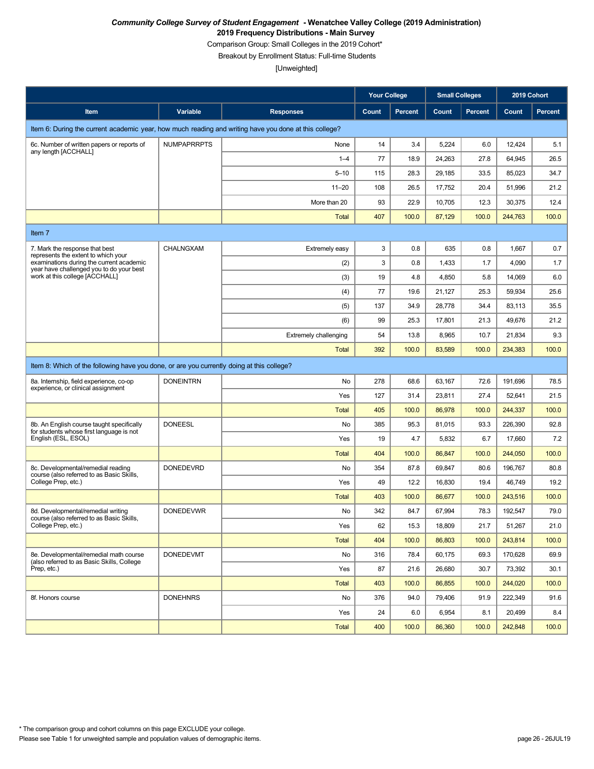Comparison Group: Small Colleges in the 2019 Cohort\*

Breakout by Enrollment Status: Full-time Students

|                                                                                                       |                    |                              | <b>Your College</b> |                | <b>Small Colleges</b> |                | 2019 Cohort |         |  |
|-------------------------------------------------------------------------------------------------------|--------------------|------------------------------|---------------------|----------------|-----------------------|----------------|-------------|---------|--|
| Item                                                                                                  | Variable           | <b>Responses</b>             | Count               | <b>Percent</b> | Count                 | <b>Percent</b> | Count       | Percent |  |
| Item 6: During the current academic year, how much reading and writing have you done at this college? |                    |                              |                     |                |                       |                |             |         |  |
| 6c. Number of written papers or reports of                                                            | <b>NUMPAPRRPTS</b> | None                         | 14                  | 3.4            | 5,224                 | 6.0            | 12,424      | 5.1     |  |
| any length [ACCHALL]                                                                                  |                    | $1 - 4$                      | 77                  | 18.9           | 24,263                | 27.8           | 64,945      | 26.5    |  |
|                                                                                                       |                    | $5 - 10$                     | 115                 | 28.3           | 29,185                | 33.5           | 85,023      | 34.7    |  |
|                                                                                                       |                    | $11 - 20$                    | 108                 | 26.5           | 17,752                | 20.4           | 51,996      | 21.2    |  |
|                                                                                                       |                    | More than 20                 | 93                  | 22.9           | 10,705                | 12.3           | 30,375      | 12.4    |  |
|                                                                                                       |                    | <b>Total</b>                 | 407                 | 100.0          | 87,129                | 100.0          | 244,763     | 100.0   |  |
| Item 7                                                                                                |                    |                              |                     |                |                       |                |             |         |  |
| 7. Mark the response that best<br>represents the extent to which your                                 | CHALNGXAM          | Extremely easy               | 3                   | 0.8            | 635                   | 0.8            | 1,667       | 0.7     |  |
| examinations during the current academic<br>year have challenged you to do your best                  |                    | (2)                          | 3                   | 0.8            | 1,433                 | 1.7            | 4,090       | 1.7     |  |
| work at this college [ACCHALL]                                                                        |                    | (3)                          | 19                  | 4.8            | 4,850                 | 5.8            | 14,069      | 6.0     |  |
|                                                                                                       |                    | (4)                          | 77                  | 19.6           | 21,127                | 25.3           | 59,934      | 25.6    |  |
|                                                                                                       |                    | (5)                          | 137                 | 34.9           | 28,778                | 34.4           | 83,113      | 35.5    |  |
|                                                                                                       |                    | (6)                          | 99                  | 25.3           | 17,801                | 21.3           | 49,676      | 21.2    |  |
|                                                                                                       |                    | <b>Extremely challenging</b> | 54                  | 13.8           | 8,965                 | 10.7           | 21,834      | 9.3     |  |
|                                                                                                       |                    | Total                        | 392                 | 100.0          | 83,589                | 100.0          | 234,383     | 100.0   |  |
| Item 8: Which of the following have you done, or are you currently doing at this college?             |                    |                              |                     |                |                       |                |             |         |  |
| 8a. Internship, field experience, co-op<br>experience, or clinical assignment                         | <b>DONEINTRN</b>   | No                           | 278                 | 68.6           | 63,167                | 72.6           | 191,696     | 78.5    |  |
|                                                                                                       |                    | Yes                          | 127                 | 31.4           | 23,811                | 27.4           | 52,641      | 21.5    |  |
|                                                                                                       |                    | <b>Total</b>                 | 405                 | 100.0          | 86,978                | 100.0          | 244,337     | 100.0   |  |
| 8b. An English course taught specifically<br>for students whose first language is not                 | <b>DONEESL</b>     | No                           | 385                 | 95.3           | 81,015                | 93.3           | 226,390     | 92.8    |  |
| English (ESL, ESOL)                                                                                   |                    | Yes                          | 19                  | 4.7            | 5,832                 | 6.7            | 17,660      | 7.2     |  |
|                                                                                                       |                    | <b>Total</b>                 | 404                 | 100.0          | 86,847                | 100.0          | 244,050     | 100.0   |  |
| 8c. Developmental/remedial reading<br>course (also referred to as Basic Skills,                       | <b>DONEDEVRD</b>   | No                           | 354                 | 87.8           | 69,847                | 80.6           | 196,767     | 80.8    |  |
| College Prep, etc.)                                                                                   |                    | Yes                          | 49                  | 12.2           | 16.830                | 19.4           | 46,749      | 19.2    |  |
|                                                                                                       |                    | <b>Total</b>                 | 403                 | 100.0          | 86,677                | 100.0          | 243,516     | 100.0   |  |
| 8d. Developmental/remedial writing<br>course (also referred to as Basic Skills,                       | <b>DONEDEVWR</b>   | No                           | 342                 | 84.7           | 67,994                | 78.3           | 192,547     | 79.0    |  |
| College Prep, etc.)                                                                                   |                    | Yes                          | 62                  | 15.3           | 18,809                | 21.7           | 51,267      | 21.0    |  |
|                                                                                                       |                    | <b>Total</b>                 | 404                 | 100.0          | 86,803                | 100.0          | 243,814     | 100.0   |  |
| 8e. Developmental/remedial math course<br>(also referred to as Basic Skills, College                  | <b>DONEDEVMT</b>   | No                           | 316                 | 78.4           | 60,175                | 69.3           | 170,628     | 69.9    |  |
| Prep, etc.)                                                                                           |                    | Yes                          | 87                  | 21.6           | 26,680                | 30.7           | 73,392      | 30.1    |  |
|                                                                                                       |                    | <b>Total</b>                 | 403                 | 100.0          | 86,855                | 100.0          | 244,020     | 100.0   |  |
| 8f. Honors course                                                                                     | <b>DONEHNRS</b>    | No                           | 376                 | 94.0           | 79,406                | 91.9           | 222,349     | 91.6    |  |
|                                                                                                       |                    | Yes                          | 24                  | 6.0            | 6,954                 | 8.1            | 20,499      | 8.4     |  |
|                                                                                                       |                    | Total                        | 400                 | 100.0          | 86,360                | 100.0          | 242,848     | 100.0   |  |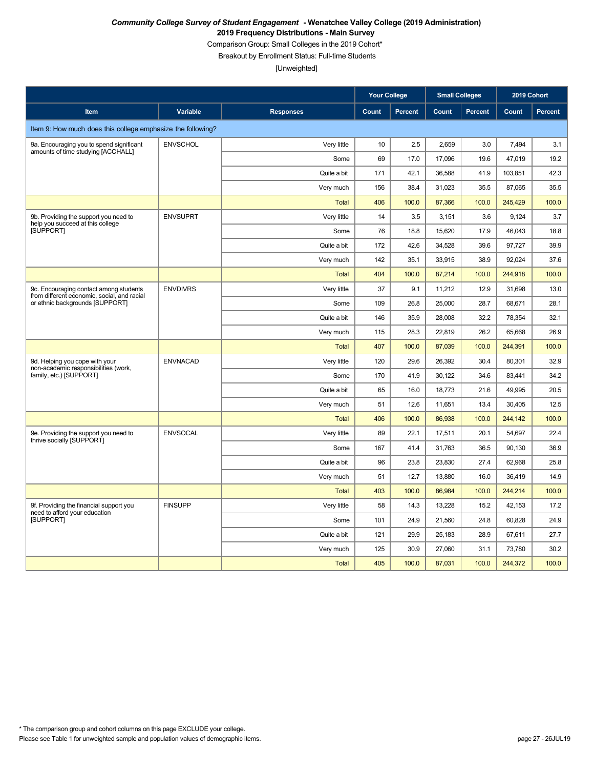Comparison Group: Small Colleges in the 2019 Cohort\*

Breakout by Enrollment Status: Full-time Students

|                                                                                       |                 |                  | <b>Your College</b> |                | <b>Small Colleges</b> |                | 2019 Cohort |         |
|---------------------------------------------------------------------------------------|-----------------|------------------|---------------------|----------------|-----------------------|----------------|-------------|---------|
| Item                                                                                  | Variable        | <b>Responses</b> | Count               | <b>Percent</b> | Count                 | <b>Percent</b> | Count       | Percent |
| Item 9: How much does this college emphasize the following?                           |                 |                  |                     |                |                       |                |             |         |
| 9a. Encouraging you to spend significant                                              | <b>ENVSCHOL</b> | Very little      | 10                  | 2.5            | 2,659                 | 3.0            | 7,494       | 3.1     |
| amounts of time studying [ACCHALL]                                                    |                 | Some             | 69                  | 17.0           | 17,096                | 19.6           | 47,019      | 19.2    |
|                                                                                       |                 | Quite a bit      | 171                 | 42.1           | 36,588                | 41.9           | 103,851     | 42.3    |
|                                                                                       |                 | Very much        | 156                 | 38.4           | 31,023                | 35.5           | 87,065      | 35.5    |
|                                                                                       |                 | <b>Total</b>     | 406                 | 100.0          | 87,366                | 100.0          | 245,429     | 100.0   |
| 9b. Providing the support you need to<br>help you succeed at this college             | <b>ENVSUPRT</b> | Very little      | 14                  | 3.5            | 3,151                 | 3.6            | 9,124       | 3.7     |
| [SUPPORT]                                                                             |                 | Some             | 76                  | 18.8           | 15,620                | 17.9           | 46,043      | 18.8    |
|                                                                                       |                 | Quite a bit      | 172                 | 42.6           | 34,528                | 39.6           | 97,727      | 39.9    |
|                                                                                       |                 | Very much        | 142                 | 35.1           | 33,915                | 38.9           | 92,024      | 37.6    |
|                                                                                       |                 | <b>Total</b>     | 404                 | 100.0          | 87,214                | 100.0          | 244,918     | 100.0   |
| 9c. Encouraging contact among students<br>from different economic, social, and racial | <b>ENVDIVRS</b> | Very little      | 37                  | 9.1            | 11,212                | 12.9           | 31,698      | 13.0    |
| or ethnic backgrounds [SUPPORT]                                                       |                 | Some             | 109                 | 26.8           | 25,000                | 28.7           | 68,671      | 28.1    |
|                                                                                       |                 | Quite a bit      | 146                 | 35.9           | 28,008                | 32.2           | 78,354      | 32.1    |
|                                                                                       |                 | Very much        | 115                 | 28.3           | 22,819                | 26.2           | 65,668      | 26.9    |
|                                                                                       |                 | Total            | 407                 | 100.0          | 87,039                | 100.0          | 244,391     | 100.0   |
| 9d. Helping you cope with your<br>non-academic responsibilities (work,                | <b>ENVNACAD</b> | Very little      | 120                 | 29.6           | 26,392                | 30.4           | 80,301      | 32.9    |
| family, etc.) [SUPPORT]                                                               |                 | Some             | 170                 | 41.9           | 30,122                | 34.6           | 83,441      | 34.2    |
|                                                                                       |                 | Quite a bit      | 65                  | 16.0           | 18,773                | 21.6           | 49,995      | 20.5    |
|                                                                                       |                 | Very much        | 51                  | 12.6           | 11,651                | 13.4           | 30,405      | 12.5    |
|                                                                                       |                 | Total            | 406                 | 100.0          | 86,938                | 100.0          | 244,142     | 100.0   |
| 9e. Providing the support you need to<br>thrive socially [SUPPORT]                    | <b>ENVSOCAL</b> | Very little      | 89                  | 22.1           | 17,511                | 20.1           | 54,697      | 22.4    |
|                                                                                       |                 | Some             | 167                 | 41.4           | 31,763                | 36.5           | 90,130      | 36.9    |
|                                                                                       |                 | Quite a bit      | 96                  | 23.8           | 23,830                | 27.4           | 62,968      | 25.8    |
|                                                                                       |                 | Very much        | 51                  | 12.7           | 13,880                | 16.0           | 36,419      | 14.9    |
|                                                                                       |                 | Total            | 403                 | 100.0          | 86,984                | 100.0          | 244,214     | 100.0   |
| 9f. Providing the financial support you<br>need to afford your education              | <b>FINSUPP</b>  | Very little      | 58                  | 14.3           | 13,228                | 15.2           | 42,153      | 17.2    |
| <b>ISUPPORTI</b>                                                                      |                 | Some             | 101                 | 24.9           | 21,560                | 24.8           | 60,828      | 24.9    |
|                                                                                       |                 | Quite a bit      | 121                 | 29.9           | 25,183                | 28.9           | 67,611      | 27.7    |
|                                                                                       |                 | Very much        | 125                 | 30.9           | 27,060                | 31.1           | 73,780      | 30.2    |
|                                                                                       |                 | <b>Total</b>     | 405                 | 100.0          | 87,031                | 100.0          | 244,372     | 100.0   |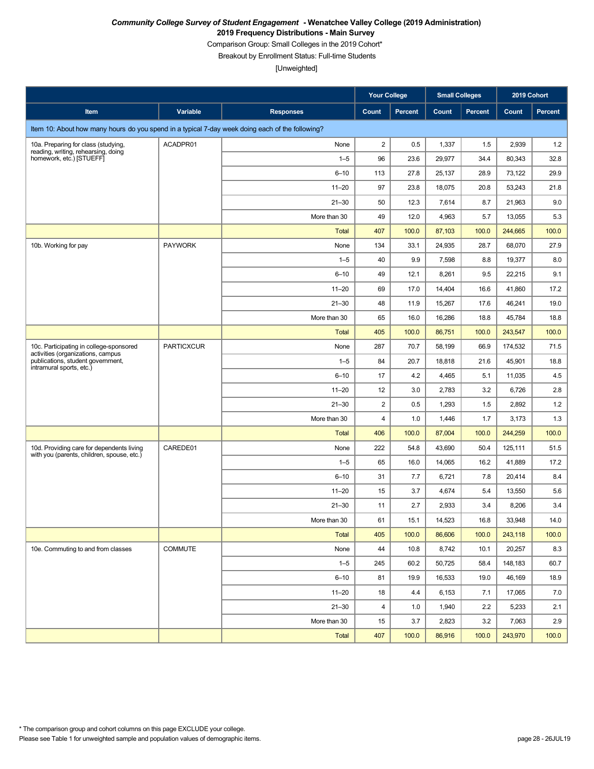Comparison Group: Small Colleges in the 2019 Cohort\*

Breakout by Enrollment Status: Full-time Students

|                                                                                                                                               |                   |                  | <b>Your College</b>     |         | <b>Small Colleges</b> |                | 2019 Cohort |         |
|-----------------------------------------------------------------------------------------------------------------------------------------------|-------------------|------------------|-------------------------|---------|-----------------------|----------------|-------------|---------|
| Item                                                                                                                                          | Variable          | <b>Responses</b> | Count                   | Percent | Count                 | <b>Percent</b> | Count       | Percent |
| Item 10: About how many hours do you spend in a typical 7-day week doing each of the following?                                               |                   |                  |                         |         |                       |                |             |         |
| 10a. Preparing for class (studying,                                                                                                           | ACADPR01          | None             | $\overline{\mathbf{c}}$ | 0.5     | 1,337                 | 1.5            | 2,939       | 1.2     |
| reading, writing, rehearsing, doing<br>homework, etc.) [STUEFF]                                                                               |                   | $1 - 5$          | 96                      | 23.6    | 29,977                | 34.4           | 80,343      | 32.8    |
|                                                                                                                                               |                   | $6 - 10$         | 113                     | 27.8    | 25,137                | 28.9           | 73,122      | 29.9    |
|                                                                                                                                               |                   | $11 - 20$        | 97                      | 23.8    | 18,075                | 20.8           | 53,243      | 21.8    |
|                                                                                                                                               |                   | $21 - 30$        | 50                      | 12.3    | 7,614                 | 8.7            | 21,963      | 9.0     |
|                                                                                                                                               |                   | More than 30     | 49                      | 12.0    | 4,963                 | 5.7            | 13,055      | 5.3     |
|                                                                                                                                               |                   | <b>Total</b>     | 407                     | 100.0   | 87,103                | 100.0          | 244,665     | 100.0   |
| 10b. Working for pay                                                                                                                          | <b>PAYWORK</b>    | None             | 134                     | 33.1    | 24,935                | 28.7           | 68,070      | 27.9    |
|                                                                                                                                               |                   | $1 - 5$          | 40                      | 9.9     | 7,598                 | 8.8            | 19,377      | 8.0     |
|                                                                                                                                               |                   | $6 - 10$         | 49                      | 12.1    | 8,261                 | 9.5            | 22,215      | 9.1     |
|                                                                                                                                               |                   | $11 - 20$        | 69                      | 17.0    | 14,404                | 16.6           | 41,860      | 17.2    |
|                                                                                                                                               |                   | $21 - 30$        | 48                      | 11.9    | 15,267                | 17.6           | 46,241      | 19.0    |
|                                                                                                                                               |                   | More than 30     | 65                      | 16.0    | 16,286                | 18.8           | 45,784      | 18.8    |
|                                                                                                                                               |                   | <b>Total</b>     | 405                     | 100.0   | 86,751                | 100.0          | 243,547     | 100.0   |
| 10c. Participating in college-sponsored<br>activities (organizations, campus<br>publications, student government,<br>intramural sports, etc.) | <b>PARTICXCUR</b> | None             | 287                     | 70.7    | 58,199                | 66.9           | 174,532     | 71.5    |
|                                                                                                                                               |                   | $1 - 5$          | 84                      | 20.7    | 18,818                | 21.6           | 45,901      | 18.8    |
|                                                                                                                                               |                   | $6 - 10$         | 17                      | 4.2     | 4,465                 | 5.1            | 11,035      | 4.5     |
|                                                                                                                                               |                   | $11 - 20$        | 12                      | 3.0     | 2,783                 | 3.2            | 6,726       | 2.8     |
|                                                                                                                                               |                   | $21 - 30$        | $\overline{c}$          | 0.5     | 1,293                 | 1.5            | 2,892       | 1.2     |
|                                                                                                                                               |                   | More than 30     | $\overline{\mathbf{4}}$ | 1.0     | 1,446                 | 1.7            | 3,173       | 1.3     |
|                                                                                                                                               |                   | <b>Total</b>     | 406                     | 100.0   | 87,004                | 100.0          | 244,259     | 100.0   |
| 10d. Providing care for dependents living<br>with you (parents, children, spouse, etc.)                                                       | CAREDE01          | None             | 222                     | 54.8    | 43,690                | 50.4           | 125,111     | 51.5    |
|                                                                                                                                               |                   | $1 - 5$          | 65                      | 16.0    | 14,065                | 16.2           | 41,889      | 17.2    |
|                                                                                                                                               |                   | $6 - 10$         | 31                      | 7.7     | 6,721                 | 7.8            | 20,414      | 8.4     |
|                                                                                                                                               |                   | $11 - 20$        | 15                      | 3.7     | 4,674                 | 5.4            | 13,550      | 5.6     |
|                                                                                                                                               |                   | $21 - 30$        | 11                      | 2.7     | 2,933                 | 3.4            | 8,206       | 3.4     |
|                                                                                                                                               |                   | More than 30     | 61                      | 15.1    | 14,523                | 16.8           | 33,948      | 14.0    |
|                                                                                                                                               |                   | Total            | 405                     | 100.0   | 86,606                | 100.0          | 243,118     | 100.0   |
| 10e. Commuting to and from classes                                                                                                            | <b>COMMUTE</b>    | None             | 44                      | 10.8    | 8,742                 | 10.1           | 20,257      | 8.3     |
|                                                                                                                                               |                   | $1 - 5$          | 245                     | 60.2    | 50,725                | 58.4           | 148,183     | 60.7    |
|                                                                                                                                               |                   | $6 - 10$         | 81                      | 19.9    | 16,533                | 19.0           | 46,169      | 18.9    |
|                                                                                                                                               |                   | $11 - 20$        | 18                      | 4.4     | 6,153                 | 7.1            | 17,065      | 7.0     |
|                                                                                                                                               |                   | $21 - 30$        | 4                       | 1.0     | 1,940                 | 2.2            | 5,233       | 2.1     |
|                                                                                                                                               |                   | More than 30     | 15                      | 3.7     | 2,823                 | 3.2            | 7,063       | 2.9     |
|                                                                                                                                               |                   | Total            | 407                     | 100.0   | 86,916                | 100.0          | 243,970     | 100.0   |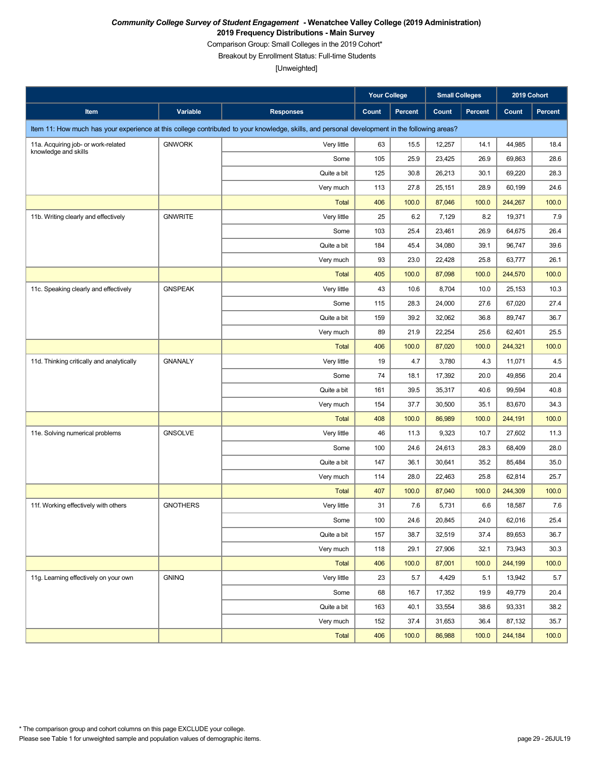Comparison Group: Small Colleges in the 2019 Cohort\*

Breakout by Enrollment Status: Full-time Students

|                                           |                 |                                                                                                                                               | <b>Your College</b> |         | <b>Small Colleges</b> |                | 2019 Cohort |         |
|-------------------------------------------|-----------------|-----------------------------------------------------------------------------------------------------------------------------------------------|---------------------|---------|-----------------------|----------------|-------------|---------|
| Item                                      | Variable        | <b>Responses</b>                                                                                                                              | Count               | Percent | Count                 | <b>Percent</b> | Count       | Percent |
|                                           |                 | Item 11: How much has your experience at this college contributed to your knowledge, skills, and personal development in the following areas? |                     |         |                       |                |             |         |
| 11a. Acquiring job- or work-related       | <b>GNWORK</b>   | Very little                                                                                                                                   | 63                  | 15.5    | 12,257                | 14.1           | 44,985      | 18.4    |
| knowledge and skills                      |                 | Some                                                                                                                                          | 105                 | 25.9    | 23,425                | 26.9           | 69,863      | 28.6    |
|                                           |                 | Quite a bit                                                                                                                                   | 125                 | 30.8    | 26,213                | 30.1           | 69,220      | 28.3    |
|                                           |                 | Very much                                                                                                                                     | 113                 | 27.8    | 25,151                | 28.9           | 60,199      | 24.6    |
|                                           |                 | <b>Total</b>                                                                                                                                  | 406                 | 100.0   | 87,046                | 100.0          | 244,267     | 100.0   |
| 11b. Writing clearly and effectively      | <b>GNWRITE</b>  | Very little                                                                                                                                   | 25                  | 6.2     | 7,129                 | 8.2            | 19,371      | 7.9     |
|                                           |                 | Some                                                                                                                                          | 103                 | 25.4    | 23,461                | 26.9           | 64,675      | 26.4    |
|                                           |                 | Quite a bit                                                                                                                                   | 184                 | 45.4    | 34,080                | 39.1           | 96,747      | 39.6    |
|                                           |                 | Very much                                                                                                                                     | 93                  | 23.0    | 22,428                | 25.8           | 63,777      | 26.1    |
|                                           |                 | <b>Total</b>                                                                                                                                  | 405                 | 100.0   | 87,098                | 100.0          | 244,570     | 100.0   |
| 11c. Speaking clearly and effectively     | <b>GNSPEAK</b>  | Very little                                                                                                                                   | 43                  | 10.6    | 8,704                 | 10.0           | 25,153      | 10.3    |
|                                           |                 | Some                                                                                                                                          | 115                 | 28.3    | 24,000                | 27.6           | 67,020      | 27.4    |
|                                           |                 | Quite a bit                                                                                                                                   | 159                 | 39.2    | 32,062                | 36.8           | 89,747      | 36.7    |
|                                           |                 | Very much                                                                                                                                     | 89                  | 21.9    | 22,254                | 25.6           | 62,401      | 25.5    |
|                                           |                 | <b>Total</b>                                                                                                                                  | 406                 | 100.0   | 87,020                | 100.0          | 244,321     | 100.0   |
| 11d. Thinking critically and analytically | <b>GNANALY</b>  | Very little                                                                                                                                   | 19                  | 4.7     | 3,780                 | 4.3            | 11,071      | 4.5     |
|                                           |                 | Some                                                                                                                                          | 74                  | 18.1    | 17,392                | 20.0           | 49,856      | 20.4    |
|                                           |                 | Quite a bit                                                                                                                                   | 161                 | 39.5    | 35,317                | 40.6           | 99,594      | 40.8    |
|                                           |                 | Very much                                                                                                                                     | 154                 | 37.7    | 30,500                | 35.1           | 83,670      | 34.3    |
|                                           |                 | <b>Total</b>                                                                                                                                  | 408                 | 100.0   | 86,989                | 100.0          | 244,191     | 100.0   |
| 11e. Solving numerical problems           | <b>GNSOLVE</b>  | Very little                                                                                                                                   | 46                  | 11.3    | 9,323                 | 10.7           | 27,602      | 11.3    |
|                                           |                 | Some                                                                                                                                          | 100                 | 24.6    | 24,613                | 28.3           | 68,409      | 28.0    |
|                                           |                 | Quite a bit                                                                                                                                   | 147                 | 36.1    | 30,641                | 35.2           | 85,484      | 35.0    |
|                                           |                 | Very much                                                                                                                                     | 114                 | 28.0    | 22,463                | 25.8           | 62,814      | 25.7    |
|                                           |                 | <b>Total</b>                                                                                                                                  | 407                 | 100.0   | 87,040                | 100.0          | 244,309     | 100.0   |
| 11f. Working effectively with others      | <b>GNOTHERS</b> | Very little                                                                                                                                   | 31                  | 7.6     | 5,731                 | 6.6            | 18,587      | 7.6     |
|                                           |                 | Some                                                                                                                                          | 100                 | 24.6    | 20,845                | 24.0           | 62,016      | 25.4    |
|                                           |                 | Quite a bit                                                                                                                                   | 157                 | 38.7    | 32,519                | 37.4           | 89,653      | 36.7    |
|                                           |                 | Very much                                                                                                                                     | 118                 | 29.1    | 27,906                | 32.1           | 73,943      | 30.3    |
|                                           |                 | Total                                                                                                                                         | 406                 | 100.0   | 87,001                | 100.0          | 244,199     | 100.0   |
| 11g. Learning effectively on your own     | GNINQ           | Very little                                                                                                                                   | 23                  | 5.7     | 4,429                 | 5.1            | 13,942      | 5.7     |
|                                           |                 | Some                                                                                                                                          | 68                  | 16.7    | 17,352                | 19.9           | 49,779      | 20.4    |
|                                           |                 | Quite a bit                                                                                                                                   | 163                 | 40.1    | 33,554                | 38.6           | 93,331      | 38.2    |
|                                           |                 | Very much                                                                                                                                     | 152                 | 37.4    | 31,653                | 36.4           | 87,132      | 35.7    |
|                                           |                 | <b>Total</b>                                                                                                                                  | 406                 | 100.0   | 86,988                | 100.0          | 244,184     | 100.0   |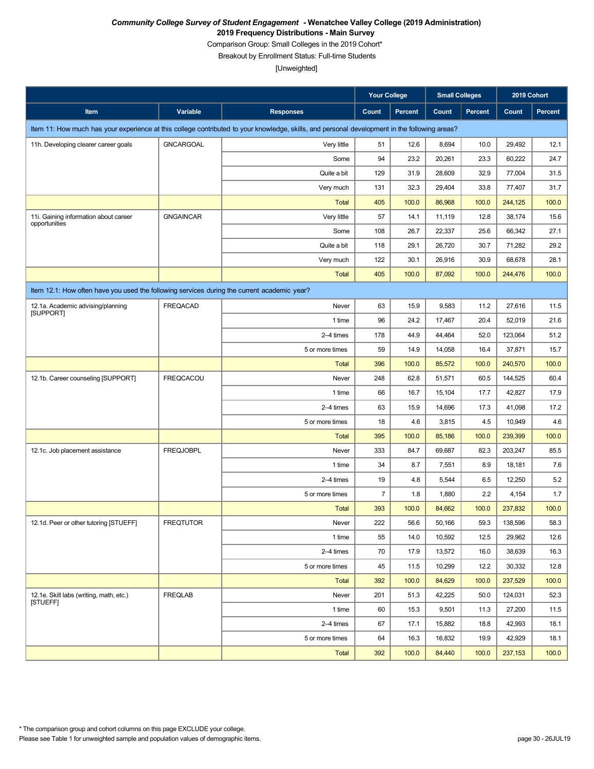Comparison Group: Small Colleges in the 2019 Cohort\*

Breakout by Enrollment Status: Full-time Students

|                                                                                             |                  |                                                                                                                                               | Your College   |                | <b>Small Colleges</b> |                | 2019 Cohort |                |
|---------------------------------------------------------------------------------------------|------------------|-----------------------------------------------------------------------------------------------------------------------------------------------|----------------|----------------|-----------------------|----------------|-------------|----------------|
| Item                                                                                        | Variable         | <b>Responses</b>                                                                                                                              | Count          | <b>Percent</b> | Count                 | <b>Percent</b> | Count       | <b>Percent</b> |
|                                                                                             |                  | Item 11: How much has your experience at this college contributed to your knowledge, skills, and personal development in the following areas? |                |                |                       |                |             |                |
| 11h. Developing clearer career goals                                                        | <b>GNCARGOAL</b> | Very little                                                                                                                                   | 51             | 12.6           | 8,694                 | 10.0           | 29,492      | 12.1           |
|                                                                                             |                  | Some                                                                                                                                          | 94             | 23.2           | 20,261                | 23.3           | 60,222      | 24.7           |
|                                                                                             |                  | Quite a bit                                                                                                                                   | 129            | 31.9           | 28,609                | 32.9           | 77,004      | 31.5           |
|                                                                                             |                  | Very much                                                                                                                                     | 131            | 32.3           | 29,404                | 33.8           | 77,407      | 31.7           |
|                                                                                             |                  | <b>Total</b>                                                                                                                                  | 405            | 100.0          | 86,968                | 100.0          | 244,125     | 100.0          |
| 11i. Gaining information about career<br>opportunities                                      | <b>GNGAINCAR</b> | Very little                                                                                                                                   | 57             | 14.1           | 11,119                | 12.8           | 38,174      | 15.6           |
|                                                                                             |                  | Some                                                                                                                                          | 108            | 26.7           | 22,337                | 25.6           | 66,342      | 27.1           |
|                                                                                             |                  | Quite a bit                                                                                                                                   | 118            | 29.1           | 26,720                | 30.7           | 71,282      | 29.2           |
|                                                                                             |                  | Very much                                                                                                                                     | 122            | 30.1           | 26,916                | 30.9           | 68,678      | 28.1           |
|                                                                                             |                  | <b>Total</b>                                                                                                                                  | 405            | 100.0          | 87,092                | 100.0          | 244,476     | 100.0          |
| Item 12.1: How often have you used the following services during the current academic year? |                  |                                                                                                                                               |                |                |                       |                |             |                |
| 12.1a. Academic advising/planning<br>[SUPPORT]                                              | <b>FREQACAD</b>  | Never                                                                                                                                         | 63             | 15.9           | 9,583                 | 11.2           | 27,616      | 11.5           |
|                                                                                             |                  | 1 time                                                                                                                                        | 96             | 24.2           | 17,467                | 20.4           | 52,019      | 21.6           |
|                                                                                             |                  | 2-4 times                                                                                                                                     | 178            | 44.9           | 44,464                | 52.0           | 123,064     | 51.2           |
|                                                                                             |                  | 5 or more times                                                                                                                               | 59             | 14.9           | 14,058                | 16.4           | 37,871      | 15.7           |
|                                                                                             |                  | <b>Total</b>                                                                                                                                  | 396            | 100.0          | 85,572                | 100.0          | 240,570     | 100.0          |
| 12.1b. Career counseling [SUPPORT]                                                          | <b>FREQCACOU</b> | Never                                                                                                                                         | 248            | 62.8           | 51,571                | 60.5           | 144,525     | 60.4           |
|                                                                                             |                  | 1 time                                                                                                                                        | 66             | 16.7           | 15,104                | 17.7           | 42,827      | 17.9           |
|                                                                                             |                  | 2-4 times                                                                                                                                     | 63             | 15.9           | 14,696                | 17.3           | 41,098      | 17.2           |
|                                                                                             |                  | 5 or more times                                                                                                                               | 18             | 4.6            | 3,815                 | 4.5            | 10,949      | 4.6            |
|                                                                                             |                  | <b>Total</b>                                                                                                                                  | 395            | 100.0          | 85,186                | 100.0          | 239,399     | 100.0          |
| 12.1c. Job placement assistance                                                             | <b>FREQJOBPL</b> | Never                                                                                                                                         | 333            | 84.7           | 69,687                | 82.3           | 203,247     | 85.5           |
|                                                                                             |                  | 1 time                                                                                                                                        | 34             | 8.7            | 7,551                 | 8.9            | 18,181      | 7.6            |
|                                                                                             |                  | 2-4 times                                                                                                                                     | 19             | 4.8            | 5,544                 | 6.5            | 12,250      | 5.2            |
|                                                                                             |                  | 5 or more times                                                                                                                               | $\overline{7}$ | 1.8            | 1,880                 | 2.2            | 4,154       | 1.7            |
|                                                                                             |                  | <b>Total</b>                                                                                                                                  | 393            | 100.0          | 84,662                | 100.0          | 237,832     | 100.0          |
| 12.1d. Peer or other tutoring [STUEFF]                                                      | <b>FREQTUTOR</b> | Never                                                                                                                                         | 222            | 56.6           | 50,166                | 59.3           | 138,596     | 58.3           |
|                                                                                             |                  | 1 time                                                                                                                                        | 55             | 14.0           | 10,592                | 12.5           | 29,962      | 12.6           |
|                                                                                             |                  | 2-4 times                                                                                                                                     | 70             | 17.9           | 13,572                | 16.0           | 38,639      | 16.3           |
|                                                                                             |                  | 5 or more times                                                                                                                               | 45             | 11.5           | 10,299                | 12.2           | 30,332      | 12.8           |
|                                                                                             |                  | Total                                                                                                                                         | 392            | 100.0          | 84,629                | 100.0          | 237,529     | 100.0          |
| 12.1e. Skill labs (writing, math, etc.)<br><b>ISTUEFFI</b>                                  | <b>FREQLAB</b>   | Never                                                                                                                                         | 201            | 51.3           | 42,225                | 50.0           | 124,031     | 52.3           |
|                                                                                             |                  | 1 time                                                                                                                                        | 60             | 15.3           | 9,501                 | 11.3           | 27,200      | 11.5           |
|                                                                                             |                  | 2-4 times                                                                                                                                     | 67             | 17.1           | 15,882                | 18.8           | 42,993      | 18.1           |
|                                                                                             |                  | 5 or more times                                                                                                                               | 64             | 16.3           | 16,832                | 19.9           | 42,929      | 18.1           |
|                                                                                             |                  | <b>Total</b>                                                                                                                                  | 392            | 100.0          | 84,440                | 100.0          | 237,153     | 100.0          |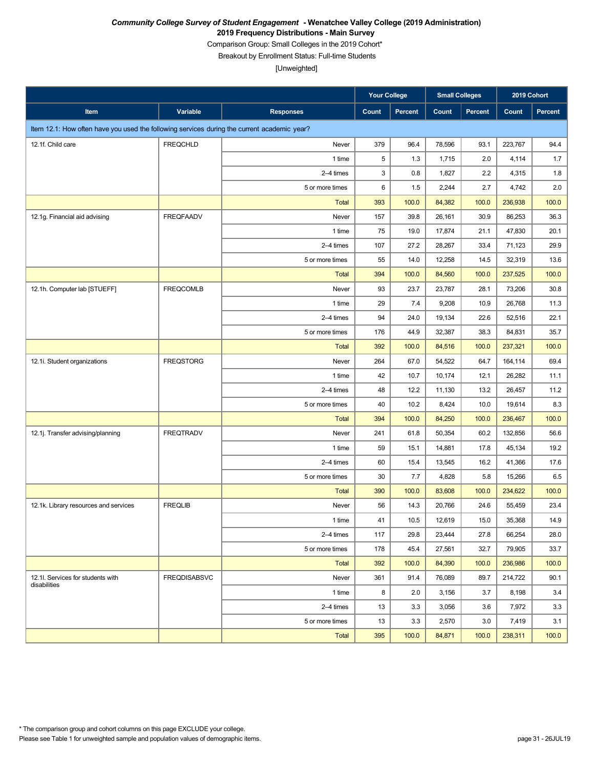Comparison Group: Small Colleges in the 2019 Cohort\*

Breakout by Enrollment Status: Full-time Students

|                                                                                             |                     |                  | <b>Your College</b> |         | <b>Small Colleges</b> |         | 2019 Cohort |         |
|---------------------------------------------------------------------------------------------|---------------------|------------------|---------------------|---------|-----------------------|---------|-------------|---------|
| Item                                                                                        | Variable            | <b>Responses</b> | <b>Count</b>        | Percent | Count                 | Percent | Count       | Percent |
| Item 12.1: How often have you used the following services during the current academic year? |                     |                  |                     |         |                       |         |             |         |
| 12.1f. Child care                                                                           | <b>FREQCHLD</b>     | Never            | 379                 | 96.4    | 78,596                | 93.1    | 223,767     | 94.4    |
|                                                                                             |                     | 1 time           | 5                   | 1.3     | 1,715                 | 2.0     | 4,114       | 1.7     |
|                                                                                             |                     | 2-4 times        | 3                   | 0.8     | 1,827                 | 2.2     | 4,315       | 1.8     |
|                                                                                             |                     | 5 or more times  | 6                   | 1.5     | 2,244                 | 2.7     | 4,742       | 2.0     |
|                                                                                             |                     | <b>Total</b>     | 393                 | 100.0   | 84,382                | 100.0   | 236,938     | 100.0   |
| 12.1g. Financial aid advising                                                               | <b>FREQFAADV</b>    | Never            | 157                 | 39.8    | 26,161                | 30.9    | 86,253      | 36.3    |
|                                                                                             |                     | 1 time           | 75                  | 19.0    | 17,874                | 21.1    | 47,830      | 20.1    |
|                                                                                             |                     | 2-4 times        | 107                 | 27.2    | 28,267                | 33.4    | 71,123      | 29.9    |
|                                                                                             |                     | 5 or more times  | 55                  | 14.0    | 12,258                | 14.5    | 32,319      | 13.6    |
|                                                                                             |                     | <b>Total</b>     | 394                 | 100.0   | 84,560                | 100.0   | 237,525     | 100.0   |
| 12.1h. Computer lab [STUEFF]                                                                | <b>FREQCOMLB</b>    | Never            | 93                  | 23.7    | 23,787                | 28.1    | 73,206      | 30.8    |
|                                                                                             |                     | 1 time           | 29                  | 7.4     | 9,208                 | 10.9    | 26,768      | 11.3    |
|                                                                                             |                     | 2-4 times        | 94                  | 24.0    | 19,134                | 22.6    | 52,516      | 22.1    |
|                                                                                             |                     | 5 or more times  | 176                 | 44.9    | 32,387                | 38.3    | 84,831      | 35.7    |
|                                                                                             |                     | <b>Total</b>     | 392                 | 100.0   | 84,516                | 100.0   | 237,321     | 100.0   |
| 12.1i. Student organizations                                                                | <b>FREQSTORG</b>    | Never            | 264                 | 67.0    | 54,522                | 64.7    | 164,114     | 69.4    |
|                                                                                             |                     | 1 time           | 42                  | 10.7    | 10,174                | 12.1    | 26,282      | 11.1    |
|                                                                                             |                     | 2-4 times        | 48                  | 12.2    | 11,130                | 13.2    | 26,457      | 11.2    |
|                                                                                             |                     | 5 or more times  | 40                  | 10.2    | 8,424                 | 10.0    | 19,614      | 8.3     |
|                                                                                             |                     | <b>Total</b>     | 394                 | 100.0   | 84,250                | 100.0   | 236,467     | 100.0   |
| 12.1j. Transfer advising/planning                                                           | <b>FREQTRADV</b>    | Never            | 241                 | 61.8    | 50,354                | 60.2    | 132,856     | 56.6    |
|                                                                                             |                     | 1 time           | 59                  | 15.1    | 14,881                | 17.8    | 45,134      | 19.2    |
|                                                                                             |                     | 2-4 times        | 60                  | 15.4    | 13,545                | 16.2    | 41,366      | 17.6    |
|                                                                                             |                     | 5 or more times  | 30                  | 7.7     | 4,828                 | 5.8     | 15,266      | 6.5     |
|                                                                                             |                     | <b>Total</b>     | 390                 | 100.0   | 83,608                | 100.0   | 234,622     | 100.0   |
| 12.1k. Library resources and services                                                       | <b>FREQLIB</b>      | Never            | 56                  | 14.3    | 20,766                | 24.6    | 55,459      | 23.4    |
|                                                                                             |                     | 1 time           | 41                  | 10.5    | 12,619                | 15.0    | 35,368      | 14.9    |
|                                                                                             |                     | 2-4 times        | 117                 | 29.8    | 23,444                | 27.8    | 66,254      | 28.0    |
|                                                                                             |                     | 5 or more times  | 178                 | 45.4    | 27,561                | 32.7    | 79,905      | 33.7    |
|                                                                                             |                     | <b>Total</b>     | 392                 | 100.0   | 84,390                | 100.0   | 236,986     | 100.0   |
| 12.1I. Services for students with<br>disabilities                                           | <b>FREQDISABSVC</b> | Never            | 361                 | 91.4    | 76,089                | 89.7    | 214,722     | 90.1    |
|                                                                                             |                     | 1 time           | 8                   | 2.0     | 3,156                 | 3.7     | 8,198       | 3.4     |
|                                                                                             |                     | 2-4 times        | 13                  | 3.3     | 3,056                 | 3.6     | 7,972       | 3.3     |
|                                                                                             |                     | 5 or more times  | 13                  | 3.3     | 2,570                 | 3.0     | 7,419       | 3.1     |
|                                                                                             |                     | Total            | 395                 | 100.0   | 84,871                | 100.0   | 238,311     | 100.0   |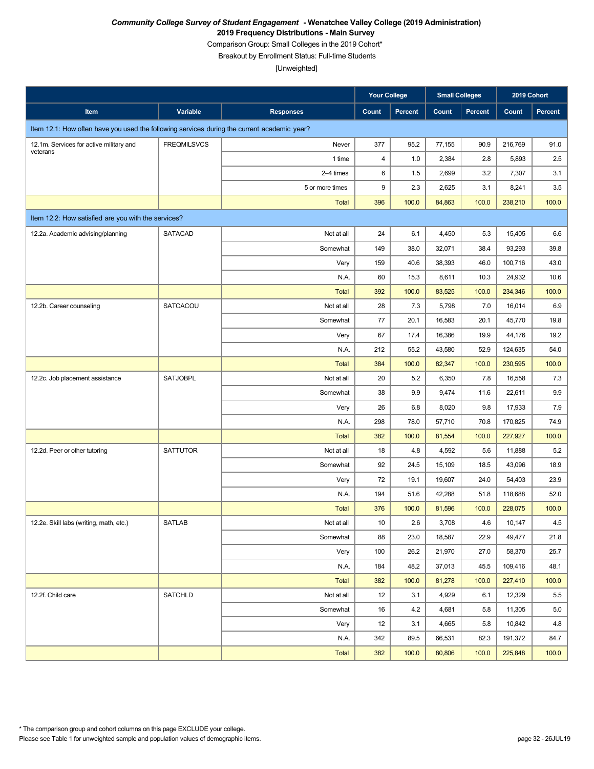Comparison Group: Small Colleges in the 2019 Cohort\*

Breakout by Enrollment Status: Full-time Students

|                                                                                             |                    |                  | <b>Your College</b> |         | <b>Small Colleges</b> |                | 2019 Cohort |         |
|---------------------------------------------------------------------------------------------|--------------------|------------------|---------------------|---------|-----------------------|----------------|-------------|---------|
| Item                                                                                        | Variable           | <b>Responses</b> | Count               | Percent | Count                 | <b>Percent</b> | Count       | Percent |
| Item 12.1: How often have you used the following services during the current academic year? |                    |                  |                     |         |                       |                |             |         |
| 12.1m. Services for active military and                                                     | <b>FREQMILSVCS</b> | Never            | 377                 | 95.2    | 77,155                | 90.9           | 216,769     | 91.0    |
| veterans                                                                                    |                    | 1 time           | $\overline{4}$      | 1.0     | 2,384                 | 2.8            | 5,893       | 2.5     |
|                                                                                             |                    | 2-4 times        | 6                   | 1.5     | 2,699                 | 3.2            | 7,307       | 3.1     |
|                                                                                             |                    | 5 or more times  | 9                   | 2.3     | 2,625                 | 3.1            | 8,241       | 3.5     |
|                                                                                             |                    | <b>Total</b>     | 396                 | 100.0   | 84,863                | 100.0          | 238,210     | 100.0   |
| Item 12.2: How satisfied are you with the services?                                         |                    |                  |                     |         |                       |                |             |         |
| 12.2a. Academic advising/planning                                                           | SATACAD            | Not at all       | 24                  | 6.1     | 4,450                 | 5.3            | 15,405      | 6.6     |
|                                                                                             |                    | Somewhat         | 149                 | 38.0    | 32,071                | 38.4           | 93,293      | 39.8    |
|                                                                                             |                    | Very             | 159                 | 40.6    | 38,393                | 46.0           | 100,716     | 43.0    |
|                                                                                             |                    | N.A.             | 60                  | 15.3    | 8,611                 | 10.3           | 24,932      | 10.6    |
|                                                                                             |                    | <b>Total</b>     | 392                 | 100.0   | 83,525                | 100.0          | 234,346     | 100.0   |
| 12.2b. Career counseling                                                                    | <b>SATCACOU</b>    | Not at all       | 28                  | 7.3     | 5,798                 | 7.0            | 16,014      | 6.9     |
|                                                                                             |                    | Somewhat         | 77                  | 20.1    | 16,583                | 20.1           | 45,770      | 19.8    |
|                                                                                             |                    | Very             | 67                  | 17.4    | 16,386                | 19.9           | 44,176      | 19.2    |
|                                                                                             |                    | N.A.             | 212                 | 55.2    | 43,580                | 52.9           | 124,635     | 54.0    |
|                                                                                             |                    | <b>Total</b>     | 384                 | 100.0   | 82,347                | 100.0          | 230,595     | 100.0   |
| 12.2c. Job placement assistance                                                             | <b>SATJOBPL</b>    | Not at all       | 20                  | 5.2     | 6,350                 | 7.8            | 16,558      | 7.3     |
|                                                                                             |                    | Somewhat         | 38                  | 9.9     | 9,474                 | 11.6           | 22,611      | 9.9     |
|                                                                                             |                    | Very             | 26                  | 6.8     | 8,020                 | 9.8            | 17,933      | 7.9     |
|                                                                                             |                    | N.A.             | 298                 | 78.0    | 57,710                | 70.8           | 170,825     | 74.9    |
|                                                                                             |                    | <b>Total</b>     | 382                 | 100.0   | 81,554                | 100.0          | 227,927     | 100.0   |
| 12.2d. Peer or other tutoring                                                               | <b>SATTUTOR</b>    | Not at all       | 18                  | 4.8     | 4,592                 | 5.6            | 11,888      | 5.2     |
|                                                                                             |                    | Somewhat         | 92                  | 24.5    | 15,109                | 18.5           | 43,096      | 18.9    |
|                                                                                             |                    | Very             | 72                  | 19.1    | 19,607                | 24.0           | 54,403      | 23.9    |
|                                                                                             |                    | N.A.             | 194                 | 51.6    | 42,288                | 51.8           | 118,688     | 52.0    |
|                                                                                             |                    | <b>Total</b>     | 376                 | 100.0   | 81,596                | 100.0          | 228,075     | 100.0   |
| 12.2e. Skill labs (writing, math, etc.)                                                     | SATLAB             | Not at all       | 10                  | 2.6     | 3,708                 | 4.6            | 10,147      | 4.5     |
|                                                                                             |                    | Somewhat         | 88                  | 23.0    | 18,587                | 22.9           | 49,477      | 21.8    |
|                                                                                             |                    | Very             | 100                 | 26.2    | 21,970                | 27.0           | 58,370      | 25.7    |
|                                                                                             |                    | N.A.             | 184                 | 48.2    | 37,013                | 45.5           | 109,416     | 48.1    |
|                                                                                             |                    | <b>Total</b>     | 382                 | 100.0   | 81,278                | 100.0          | 227,410     | 100.0   |
| 12.2f. Child care                                                                           | <b>SATCHLD</b>     | Not at all       | 12                  | 3.1     | 4,929                 | 6.1            | 12,329      | 5.5     |
|                                                                                             |                    | Somewhat         | 16                  | 4.2     | 4,681                 | 5.8            | 11,305      | 5.0     |
|                                                                                             |                    | Very             | 12                  | 3.1     | 4,665                 | 5.8            | 10,842      | 4.8     |
|                                                                                             |                    | N.A.             | 342                 | 89.5    | 66,531                | 82.3           | 191,372     | 84.7    |
|                                                                                             |                    | <b>Total</b>     | 382                 | 100.0   | 80,806                | 100.0          | 225,848     | 100.0   |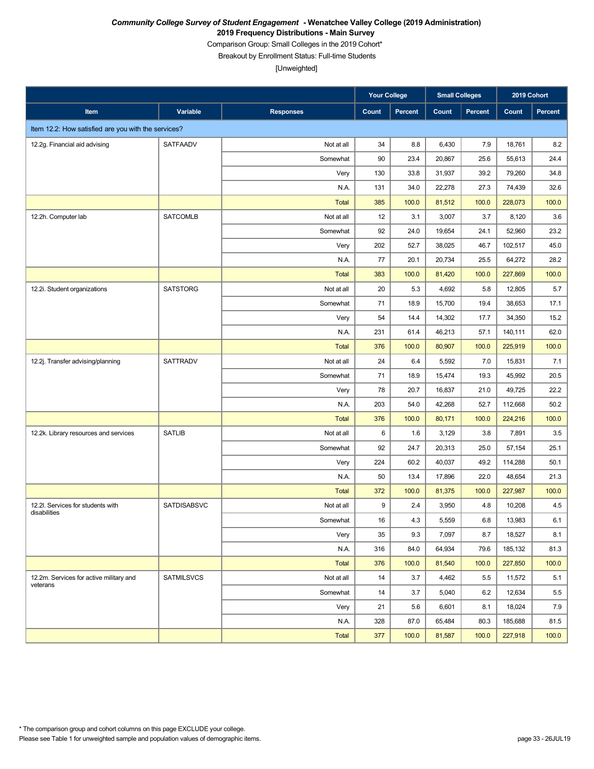Comparison Group: Small Colleges in the 2019 Cohort\*

Breakout by Enrollment Status: Full-time Students

|                                                     |                    |                  | <b>Your College</b> |         | <b>Small Colleges</b> |                | 2019 Cohort |                |
|-----------------------------------------------------|--------------------|------------------|---------------------|---------|-----------------------|----------------|-------------|----------------|
| Item                                                | Variable           | <b>Responses</b> | Count               | Percent | Count                 | <b>Percent</b> | Count       | <b>Percent</b> |
| Item 12.2: How satisfied are you with the services? |                    |                  |                     |         |                       |                |             |                |
| 12.2g. Financial aid advising                       | SATFAADV           | Not at all       | 34                  | 8.8     | 6,430                 | 7.9            | 18,761      | 8.2            |
|                                                     |                    | Somewhat         | 90                  | 23.4    | 20,867                | 25.6           | 55,613      | 24.4           |
|                                                     |                    | Very             | 130                 | 33.8    | 31,937                | 39.2           | 79,260      | 34.8           |
|                                                     |                    | N.A.             | 131                 | 34.0    | 22,278                | 27.3           | 74,439      | 32.6           |
|                                                     |                    | <b>Total</b>     | 385                 | 100.0   | 81,512                | 100.0          | 228,073     | 100.0          |
| 12.2h. Computer lab                                 | <b>SATCOMLB</b>    | Not at all       | 12                  | 3.1     | 3,007                 | 3.7            | 8,120       | 3.6            |
|                                                     |                    | Somewhat         | 92                  | 24.0    | 19,654                | 24.1           | 52,960      | 23.2           |
|                                                     |                    | Very             | 202                 | 52.7    | 38,025                | 46.7           | 102,517     | 45.0           |
|                                                     |                    | N.A.             | 77                  | 20.1    | 20,734                | 25.5           | 64,272      | 28.2           |
|                                                     |                    | <b>Total</b>     | 383                 | 100.0   | 81,420                | 100.0          | 227,869     | 100.0          |
| 12.2i. Student organizations                        | <b>SATSTORG</b>    | Not at all       | 20                  | 5.3     | 4,692                 | 5.8            | 12,805      | 5.7            |
|                                                     |                    | Somewhat         | 71                  | 18.9    | 15,700                | 19.4           | 38,653      | 17.1           |
|                                                     |                    | Very             | 54                  | 14.4    | 14,302                | 17.7           | 34,350      | 15.2           |
|                                                     |                    | N.A.             | 231                 | 61.4    | 46,213                | 57.1           | 140,111     | 62.0           |
|                                                     |                    | <b>Total</b>     | 376                 | 100.0   | 80,907                | 100.0          | 225,919     | 100.0          |
| 12.2j. Transfer advising/planning                   | <b>SATTRADV</b>    | Not at all       | 24                  | 6.4     | 5,592                 | 7.0            | 15,831      | 7.1            |
|                                                     |                    | Somewhat         | 71                  | 18.9    | 15,474                | 19.3           | 45,992      | 20.5           |
|                                                     |                    | Very             | 78                  | 20.7    | 16,837                | 21.0           | 49,725      | 22.2           |
|                                                     |                    | N.A.             | 203                 | 54.0    | 42,268                | 52.7           | 112,668     | 50.2           |
|                                                     |                    | <b>Total</b>     | 376                 | 100.0   | 80,171                | 100.0          | 224,216     | 100.0          |
| 12.2k. Library resources and services               | <b>SATLIB</b>      | Not at all       | 6                   | 1.6     | 3,129                 | 3.8            | 7,891       | 3.5            |
|                                                     |                    | Somewhat         | 92                  | 24.7    | 20,313                | 25.0           | 57,154      | 25.1           |
|                                                     |                    | Very             | 224                 | 60.2    | 40,037                | 49.2           | 114,288     | 50.1           |
|                                                     |                    | N.A.             | 50                  | 13.4    | 17,896                | 22.0           | 48,654      | 21.3           |
|                                                     |                    | <b>Total</b>     | 372                 | 100.0   | 81,375                | 100.0          | 227,987     | 100.0          |
| 12.2l. Services for students with<br>disabilities   | <b>SATDISABSVC</b> | Not at all       | 9                   | 2.4     | 3,950                 | 4.8            | 10,208      | 4.5            |
|                                                     |                    | Somewhat         | 16                  | $4.3\,$ | 5,559                 | $6.8\,$        | 13,983      | 6.1            |
|                                                     |                    | Very             | 35                  | 9.3     | 7,097                 | 8.7            | 18,527      | 8.1            |
|                                                     |                    | N.A.             | 316                 | 84.0    | 64,934                | 79.6           | 185,132     | 81.3           |
|                                                     |                    | <b>Total</b>     | 376                 | 100.0   | 81,540                | 100.0          | 227,850     | 100.0          |
| 12.2m. Services for active military and<br>veterans | <b>SATMILSVCS</b>  | Not at all       | 14                  | 3.7     | 4,462                 | 5.5            | 11,572      | 5.1            |
|                                                     |                    | Somewhat         | 14                  | 3.7     | 5,040                 | 6.2            | 12,634      | 5.5            |
|                                                     |                    | Very             | 21                  | 5.6     | 6,601                 | 8.1            | 18,024      | 7.9            |
|                                                     |                    | N.A.             | 328                 | 87.0    | 65,484                | 80.3           | 185,688     | 81.5           |
|                                                     |                    | Total            | 377                 | 100.0   | 81,587                | 100.0          | 227,918     | 100.0          |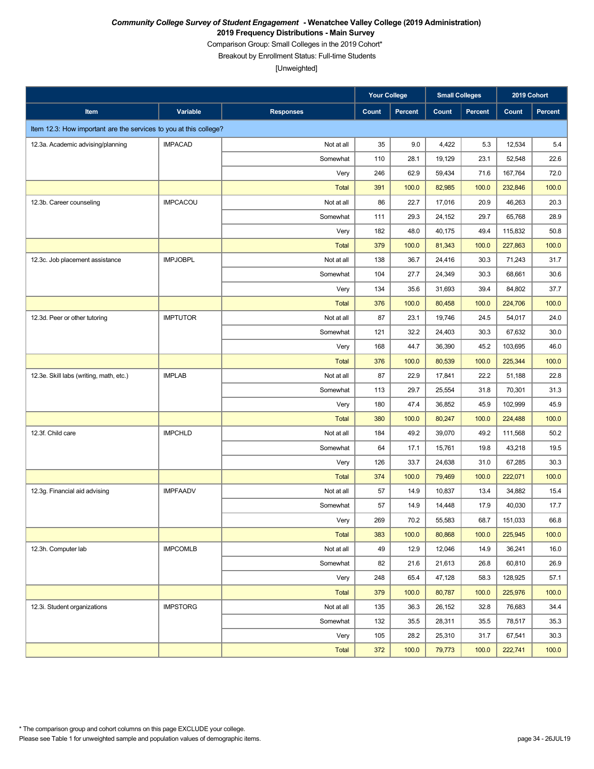Comparison Group: Small Colleges in the 2019 Cohort\*

Breakout by Enrollment Status: Full-time Students

|                                                                   |                 |                  | <b>Your College</b> |          | <b>Small Colleges</b> |                | 2019 Cohort |                |
|-------------------------------------------------------------------|-----------------|------------------|---------------------|----------|-----------------------|----------------|-------------|----------------|
| Item                                                              | Variable        | <b>Responses</b> | Count               | Percent  | Count                 | <b>Percent</b> | Count       | <b>Percent</b> |
| Item 12.3: How important are the services to you at this college? |                 |                  |                     |          |                       |                |             |                |
| 12.3a. Academic advising/planning                                 | <b>IMPACAD</b>  | Not at all       | 35                  | 9.0      | 4,422                 | 5.3            | 12,534      | 5.4            |
|                                                                   |                 | Somewhat         | 110                 | 28.1     | 19,129                | 23.1           | 52,548      | 22.6           |
|                                                                   |                 | Very             | 246                 | 62.9     | 59,434                | 71.6           | 167,764     | 72.0           |
|                                                                   |                 | <b>Total</b>     | 391                 | 100.0    | 82,985                | 100.0          | 232,846     | 100.0          |
| 12.3b. Career counseling                                          | <b>IMPCACOU</b> | Not at all       | 86                  | 22.7     | 17,016                | 20.9           | 46,263      | 20.3           |
|                                                                   |                 | Somewhat         | 111                 | 29.3     | 24,152                | 29.7           | 65,768      | 28.9           |
|                                                                   |                 | Very             | 182                 | 48.0     | 40,175                | 49.4           | 115,832     | 50.8           |
|                                                                   |                 | <b>Total</b>     | 379                 | 100.0    | 81,343                | 100.0          | 227,863     | 100.0          |
| 12.3c. Job placement assistance                                   | <b>IMPJOBPL</b> | Not at all       | 138                 | 36.7     | 24,416                | 30.3           | 71,243      | 31.7           |
|                                                                   |                 | Somewhat         | 104                 | 27.7     | 24,349                | 30.3           | 68,661      | 30.6           |
|                                                                   |                 | Very             | 134                 | 35.6     | 31,693                | 39.4           | 84,802      | 37.7           |
|                                                                   |                 | <b>Total</b>     | 376                 | 100.0    | 80,458                | 100.0          | 224,706     | 100.0          |
| 12.3d. Peer or other tutoring                                     | <b>IMPTUTOR</b> | Not at all       | 87                  | 23.1     | 19,746                | 24.5           | 54.017      | 24.0           |
|                                                                   |                 | Somewhat         | 121                 | 32.2     | 24,403                | 30.3           | 67,632      | 30.0           |
|                                                                   |                 | Very             | 168                 | 44.7     | 36,390                | 45.2           | 103,695     | 46.0           |
|                                                                   |                 | <b>Total</b>     | 376                 | 100.0    | 80,539                | 100.0          | 225,344     | 100.0          |
| 12.3e. Skill labs (writing, math, etc.)                           | <b>IMPLAB</b>   | Not at all       | 87                  | 22.9     | 17,841                | 22.2           | 51,188      | 22.8           |
|                                                                   |                 | Somewhat         | 113                 | 29.7     | 25,554                | 31.8           | 70,301      | 31.3           |
|                                                                   |                 | Very             | 180                 | 47.4     | 36,852                | 45.9           | 102,999     | 45.9           |
|                                                                   |                 | <b>Total</b>     | 380                 | 100.0    | 80,247                | 100.0          | 224,488     | 100.0          |
| 12.3f. Child care                                                 | <b>IMPCHLD</b>  | Not at all       | 184                 | 49.2     | 39,070                | 49.2           | 111,568     | 50.2           |
|                                                                   |                 | Somewhat         | 64                  | 17.1     | 15,761                | 19.8           | 43,218      | 19.5           |
|                                                                   |                 | Very             | 126                 | 33.7     | 24,638                | 31.0           | 67,285      | 30.3           |
|                                                                   |                 | <b>Total</b>     | 374                 | 100.0    | 79,469                | 100.0          | 222,071     | 100.0          |
| 12.3g. Financial aid advising                                     | <b>IMPFAADV</b> | Not at all       | 57                  | 14.9     | 10,837                | 13.4           | 34,882      | 15.4           |
|                                                                   |                 | Somewhat         | 57                  | 14.9     | 14,448                | 17.9           | 40,030      | 17.7           |
|                                                                   |                 | Very             | 269                 | $70.2\,$ | 55,583                | 68.7           | 151,033     | 66.8           |
|                                                                   |                 | <b>Total</b>     | 383                 | 100.0    | 80,868                | 100.0          | 225,945     | 100.0          |
| 12.3h. Computer lab                                               | <b>IMPCOMLB</b> | Not at all       | 49                  | 12.9     | 12,046                | 14.9           | 36,241      | 16.0           |
|                                                                   |                 | Somewhat         | 82                  | 21.6     | 21,613                | 26.8           | 60,810      | 26.9           |
|                                                                   |                 | Very             | 248                 | 65.4     | 47,128                | 58.3           | 128,925     | 57.1           |
|                                                                   |                 | <b>Total</b>     | 379                 | 100.0    | 80,787                | 100.0          | 225,976     | 100.0          |
| 12.3i. Student organizations                                      | <b>IMPSTORG</b> | Not at all       | 135                 | 36.3     | 26,152                | 32.8           | 76,683      | 34.4           |
|                                                                   |                 | Somewhat         | 132                 | 35.5     | 28,311                | 35.5           | 78,517      | 35.3           |
|                                                                   |                 | Very             | 105                 | 28.2     | 25,310                | 31.7           | 67,541      | 30.3           |
|                                                                   |                 | Total            | 372                 | 100.0    | 79,773                | 100.0          | 222,741     | 100.0          |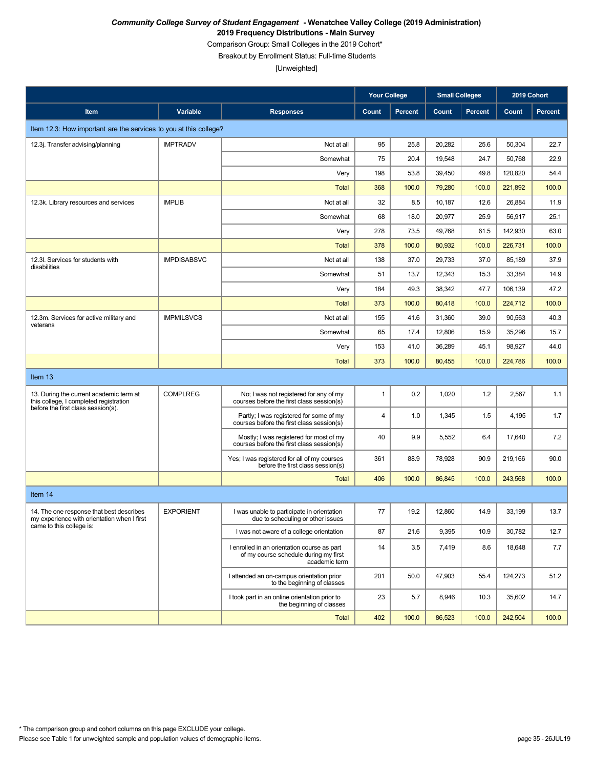Comparison Group: Small Colleges in the 2019 Cohort\*

Breakout by Enrollment Status: Full-time Students

|                                                                                         |                    |                                                                                                       | <b>Your College</b>     |                | <b>Small Colleges</b> |                | 2019 Cohort |                |
|-----------------------------------------------------------------------------------------|--------------------|-------------------------------------------------------------------------------------------------------|-------------------------|----------------|-----------------------|----------------|-------------|----------------|
| Item                                                                                    | Variable           | <b>Responses</b>                                                                                      | Count                   | <b>Percent</b> | Count                 | <b>Percent</b> | Count       | <b>Percent</b> |
| Item 12.3: How important are the services to you at this college?                       |                    |                                                                                                       |                         |                |                       |                |             |                |
| 12.3j. Transfer advising/planning                                                       | <b>IMPTRADV</b>    | Not at all                                                                                            | 95                      | 25.8           | 20,282                | 25.6           | 50,304      | 22.7           |
|                                                                                         |                    | Somewhat                                                                                              | 75                      | 20.4           | 19,548                | 24.7           | 50,768      | 22.9           |
|                                                                                         |                    | Very                                                                                                  | 198                     | 53.8           | 39,450                | 49.8           | 120,820     | 54.4           |
|                                                                                         |                    | <b>Total</b>                                                                                          | 368                     | 100.0          | 79,280                | 100.0          | 221,892     | 100.0          |
| 12.3k. Library resources and services                                                   | <b>IMPLIB</b>      | Not at all                                                                                            | 32                      | 8.5            | 10,187                | 12.6           | 26,884      | 11.9           |
|                                                                                         |                    | Somewhat                                                                                              | 68                      | 18.0           | 20,977                | 25.9           | 56,917      | 25.1           |
|                                                                                         |                    | Very                                                                                                  | 278                     | 73.5           | 49,768                | 61.5           | 142,930     | 63.0           |
|                                                                                         |                    | <b>Total</b>                                                                                          | 378                     | 100.0          | 80,932                | 100.0          | 226,731     | 100.0          |
| 12.3I. Services for students with<br>disabilities                                       | <b>IMPDISABSVC</b> | Not at all                                                                                            | 138                     | 37.0           | 29,733                | 37.0           | 85,189      | 37.9           |
|                                                                                         |                    | Somewhat                                                                                              | 51                      | 13.7           | 12,343                | 15.3           | 33,384      | 14.9           |
|                                                                                         |                    | Very                                                                                                  | 184                     | 49.3           | 38,342                | 47.7           | 106,139     | 47.2           |
|                                                                                         |                    | <b>Total</b>                                                                                          | 373                     | 100.0          | 80,418                | 100.0          | 224,712     | 100.0          |
| 12.3m. Services for active military and<br>veterans                                     | <b>IMPMILSVCS</b>  | Not at all                                                                                            | 155                     | 41.6           | 31,360                | 39.0           | 90,563      | 40.3           |
|                                                                                         |                    | Somewhat                                                                                              | 65                      | 17.4           | 12,806                | 15.9           | 35,296      | 15.7           |
|                                                                                         |                    | Very                                                                                                  | 153                     | 41.0           | 36,289                | 45.1           | 98,927      | 44.0           |
|                                                                                         |                    | <b>Total</b>                                                                                          | 373                     | 100.0          | 80,455                | 100.0          | 224,786     | 100.0          |
| Item 13                                                                                 |                    |                                                                                                       |                         |                |                       |                |             |                |
| 13. During the current academic term at<br>this college, I completed registration       | <b>COMPLREG</b>    | No; I was not registered for any of my<br>courses before the first class session(s)                   | $\mathbf{1}$            | 0.2            | 1,020                 | 1.2            | 2,567       | 1.1            |
| before the first class session(s).                                                      |                    | Partly; I was registered for some of my<br>courses before the first class session(s)                  | $\overline{\mathbf{4}}$ | 1.0            | 1,345                 | 1.5            | 4,195       | 1.7            |
|                                                                                         |                    | Mostly; I was registered for most of my<br>courses before the first class session(s)                  | 40                      | 9.9            | 5,552                 | 6.4            | 17,640      | 7.2            |
|                                                                                         |                    | Yes; I was registered for all of my courses<br>before the first class session(s)                      | 361                     | 88.9           | 78,928                | 90.9           | 219,166     | 90.0           |
|                                                                                         |                    | Total                                                                                                 | 406                     | 100.0          | 86,845                | 100.0          | 243,568     | 100.0          |
| Item 14                                                                                 |                    |                                                                                                       |                         |                |                       |                |             |                |
| 14. The one response that best describes<br>my experience with orientation when I first | <b>EXPORIENT</b>   | I was unable to participate in orientation<br>due to scheduling or other issues                       | 77                      | 19.2           | 12,860                | 14.9           | 33,199      | 13.7           |
| came to this college is:                                                                |                    | I was not aware of a college orientation                                                              | 87                      | 21.6           | 9,395                 | 10.9           | 30,782      | 12.7           |
|                                                                                         |                    | I enrolled in an orientation course as part<br>of my course schedule during my first<br>academic term | 14                      | 3.5            | 7,419                 | 8.6            | 18,648      | 7.7            |
|                                                                                         |                    | I attended an on-campus orientation prior<br>to the beginning of classes                              | 201                     | 50.0           | 47,903                | 55.4           | 124,273     | 51.2           |
|                                                                                         |                    | I took part in an online orientation prior to<br>the beginning of classes                             | 23                      | 5.7            | 8,946                 | 10.3           | 35,602      | 14.7           |
|                                                                                         |                    | <b>Total</b>                                                                                          | 402                     | 100.0          | 86,523                | 100.0          | 242,504     | 100.0          |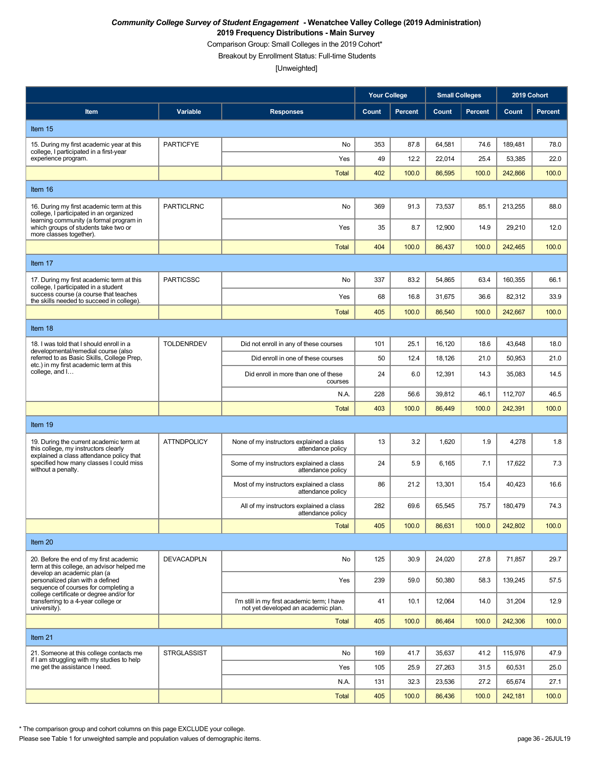Comparison Group: Small Colleges in the 2019 Cohort\*

Breakout by Enrollment Status: Full-time Students

[Unweighted]

|                                                                                                                                                                                            |                    |                                                                                    | <b>Your College</b> |                | <b>Small Colleges</b> |                | 2019 Cohort |                |
|--------------------------------------------------------------------------------------------------------------------------------------------------------------------------------------------|--------------------|------------------------------------------------------------------------------------|---------------------|----------------|-----------------------|----------------|-------------|----------------|
| Item                                                                                                                                                                                       | Variable           | <b>Responses</b>                                                                   | Count               | <b>Percent</b> | Count                 | <b>Percent</b> | Count       | <b>Percent</b> |
| Item 15                                                                                                                                                                                    |                    |                                                                                    |                     |                |                       |                |             |                |
| 15. During my first academic year at this<br>college, I participated in a first-year                                                                                                       | <b>PARTICFYE</b>   | No                                                                                 | 353                 | 87.8           | 64,581                | 74.6           | 189,481     | 78.0           |
| experience program.                                                                                                                                                                        |                    | Yes                                                                                | 49                  | 12.2           | 22,014                | 25.4           | 53,385      | 22.0           |
|                                                                                                                                                                                            |                    | <b>Total</b>                                                                       | 402                 | 100.0          | 86,595                | 100.0          | 242,866     | 100.0          |
| Item 16                                                                                                                                                                                    |                    |                                                                                    |                     |                |                       |                |             |                |
| 16. During my first academic term at this<br>college, I participated in an organized<br>learning community (a formal program in                                                            | <b>PARTICLRNC</b>  | No                                                                                 | 369                 | 91.3           | 73,537                | 85.1           | 213,255     | 88.0           |
| which groups of students take two or<br>more classes together).                                                                                                                            |                    | Yes                                                                                | 35                  | 8.7            | 12,900                | 14.9           | 29,210      | 12.0           |
|                                                                                                                                                                                            |                    | <b>Total</b>                                                                       | 404                 | 100.0          | 86,437                | 100.0          | 242,465     | 100.0          |
| Item 17                                                                                                                                                                                    |                    |                                                                                    |                     |                |                       |                |             |                |
| 17. During my first academic term at this<br>college, I participated in a student                                                                                                          | <b>PARTICSSC</b>   | No                                                                                 | 337                 | 83.2           | 54,865                | 63.4           | 160,355     | 66.1           |
| success course (a course that teaches<br>the skills needed to succeed in college).                                                                                                         |                    | Yes                                                                                | 68                  | 16.8           | 31,675                | 36.6           | 82,312      | 33.9           |
|                                                                                                                                                                                            |                    | <b>Total</b>                                                                       | 405                 | 100.0          | 86,540                | 100.0          | 242.667     | 100.0          |
| Item 18                                                                                                                                                                                    |                    |                                                                                    |                     |                |                       |                |             |                |
| 18. I was told that I should enroll in a<br>developmental/remedial course (also<br>referred to as Basic Skills, College Prep,<br>etc.) in my first academic term at this<br>college, and I | <b>TOLDENRDEV</b>  | Did not enroll in any of these courses                                             | 101                 | 25.1           | 16,120                | 18.6           | 43,648      | 18.0           |
|                                                                                                                                                                                            |                    | Did enroll in one of these courses                                                 | 50                  | 12.4           | 18,126                | 21.0           | 50,953      | 21.0           |
|                                                                                                                                                                                            |                    | Did enroll in more than one of these<br>courses                                    | 24                  | 6.0            | 12,391                | 14.3           | 35,083      | 14.5           |
|                                                                                                                                                                                            |                    | N.A.                                                                               | 228                 | 56.6           | 39,812                | 46.1           | 112,707     | 46.5           |
|                                                                                                                                                                                            |                    | <b>Total</b>                                                                       | 403                 | 100.0          | 86,449                | 100.0          | 242,391     | 100.0          |
| Item 19                                                                                                                                                                                    |                    |                                                                                    |                     |                |                       |                |             |                |
| 19. During the current academic term at<br>this college, my instructors clearly<br>explained a class attendance policy that                                                                | <b>ATTNDPOLICY</b> | None of my instructors explained a class<br>attendance policy                      | 13                  | 3.2            | 1,620                 | 1.9            | 4,278       | 1.8            |
| specified how many classes I could miss<br>without a penalty.                                                                                                                              |                    | Some of my instructors explained a class<br>attendance policy                      | 24                  | 5.9            | 6,165                 | 7.1            | 17,622      | 7.3            |
|                                                                                                                                                                                            |                    | Most of my instructors explained a class<br>attendance policy                      | 86                  | 21.2           | 13,301                | 15.4           | 40,423      | 16.6           |
|                                                                                                                                                                                            |                    | All of my instructors explained a class<br>attendance policy                       | 282                 | 69.6           | 65,545                | 75.7           | 180,479     | 74.3           |
|                                                                                                                                                                                            |                    | <b>Total</b>                                                                       | 405                 | 100.0          | 86,631                | 100.0          | 242,802     | 100.0          |
| Item 20                                                                                                                                                                                    |                    |                                                                                    |                     |                |                       |                |             |                |
| 20. Before the end of my first academic<br>term at this college, an advisor helped me                                                                                                      | <b>DEVACADPLN</b>  | No                                                                                 | 125                 | 30.9           | 24,020                | 27.8           | 71,857      | 29.7           |
| develop an academic plan (a<br>personalized plan with a defined<br>sequence of courses for completing a                                                                                    |                    | Yes                                                                                | 239                 | 59.0           | 50,380                | 58.3           | 139,245     | 57.5           |
| college certificate or degree and/or for<br>transferring to a 4-year college or<br>university).                                                                                            |                    | I'm still in my first academic term; I have<br>not yet developed an academic plan. | 41                  | 10.1           | 12,064                | 14.0           | 31,204      | 12.9           |
|                                                                                                                                                                                            |                    | <b>Total</b>                                                                       | 405                 | 100.0          | 86,464                | 100.0          | 242,306     | 100.0          |
| Item 21                                                                                                                                                                                    |                    |                                                                                    |                     |                |                       |                |             |                |
| 21. Someone at this college contacts me<br>if I am struggling with my studies to help                                                                                                      | <b>STRGLASSIST</b> | No                                                                                 | 169                 | 41.7           | 35,637                | 41.2           | 115,976     | 47.9           |
| me get the assistance I need.                                                                                                                                                              |                    | Yes                                                                                | 105                 | 25.9           | 27,263                | 31.5           | 60,531      | 25.0           |
|                                                                                                                                                                                            |                    | N.A.                                                                               | 131                 | 32.3           | 23,536                | 27.2           | 65,674      | 27.1           |
|                                                                                                                                                                                            |                    | <b>Total</b>                                                                       | 405                 | 100.0          | 86,436                | 100.0          | 242,181     | 100.0          |

\* The comparison group and cohort columns on this page EXCLUDE your college.

Please see Table 1 for unweighted sample and population values of demographic items. page 36 - 26JUL19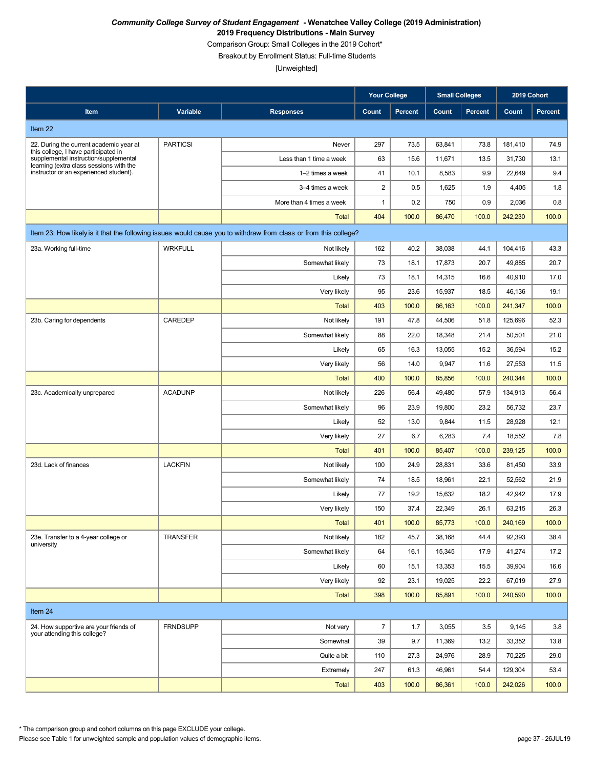Comparison Group: Small Colleges in the 2019 Cohort\*

Breakout by Enrollment Status: Full-time Students

[Unweighted]

|                                                                                   |                 |                                                                                                                  | <b>Your College</b> |         | <b>Small Colleges</b> |                |         | 2019 Cohort    |
|-----------------------------------------------------------------------------------|-----------------|------------------------------------------------------------------------------------------------------------------|---------------------|---------|-----------------------|----------------|---------|----------------|
| Item                                                                              | Variable        | <b>Responses</b>                                                                                                 | Count               | Percent | Count                 | <b>Percent</b> | Count   | <b>Percent</b> |
| Item 22                                                                           |                 |                                                                                                                  |                     |         |                       |                |         |                |
| 22. During the current academic year at                                           | <b>PARTICSI</b> | Never                                                                                                            | 297                 | 73.5    | 63,841                | 73.8           | 181,410 | 74.9           |
| this college, I have participated in<br>supplemental instruction/supplemental     |                 | Less than 1 time a week                                                                                          | 63                  | 15.6    | 11,671                | 13.5           | 31,730  | 13.1           |
| learning (extra class sessions with the<br>instructor or an experienced student). |                 | 1-2 times a week                                                                                                 | 41                  | 10.1    | 8,583                 | 9.9            | 22,649  | 9.4            |
|                                                                                   |                 | 3-4 times a week                                                                                                 | 2                   | 0.5     | 1,625                 | 1.9            | 4,405   | 1.8            |
|                                                                                   |                 | More than 4 times a week                                                                                         | 1                   | 0.2     | 750                   | 0.9            | 2,036   | 0.8            |
|                                                                                   |                 | <b>Total</b>                                                                                                     | 404                 | 100.0   | 86,470                | 100.0          | 242,230 | 100.0          |
|                                                                                   |                 | Item 23: How likely is it that the following issues would cause you to withdraw from class or from this college? |                     |         |                       |                |         |                |
| 23a. Working full-time                                                            | <b>WRKFULL</b>  | Not likely                                                                                                       | 162                 | 40.2    | 38,038                | 44.1           | 104,416 | 43.3           |
|                                                                                   |                 | Somewhat likely                                                                                                  | 73                  | 18.1    | 17,873                | 20.7           | 49,885  | 20.7           |
|                                                                                   |                 | Likely                                                                                                           | 73                  | 18.1    | 14,315                | 16.6           | 40,910  | 17.0           |
|                                                                                   |                 | Very likely                                                                                                      | 95                  | 23.6    | 15,937                | 18.5           | 46,136  | 19.1           |
|                                                                                   |                 | <b>Total</b>                                                                                                     | 403                 | 100.0   | 86,163                | 100.0          | 241,347 | 100.0          |
| 23b. Caring for dependents                                                        | CAREDEP         | Not likely                                                                                                       | 191                 | 47.8    | 44,506                | 51.8           | 125,696 | 52.3           |
|                                                                                   |                 | Somewhat likely                                                                                                  | 88                  | 22.0    | 18,348                | 21.4           | 50,501  | 21.0           |
|                                                                                   |                 | Likely                                                                                                           | 65                  | 16.3    | 13,055                | 15.2           | 36,594  | 15.2           |
|                                                                                   |                 | Very likely                                                                                                      | 56                  | 14.0    | 9,947                 | 11.6           | 27,553  | 11.5           |
|                                                                                   |                 | <b>Total</b>                                                                                                     | 400                 | 100.0   | 85,856                | 100.0          | 240,344 | 100.0          |
| 23c. Academically unprepared                                                      | <b>ACADUNP</b>  | Not likely                                                                                                       | 226                 | 56.4    | 49,480                | 57.9           | 134,913 | 56.4           |
|                                                                                   |                 | Somewhat likely                                                                                                  | 96                  | 23.9    | 19,800                | 23.2           | 56,732  | 23.7           |
|                                                                                   |                 | Likely                                                                                                           | 52                  | 13.0    | 9,844                 | 11.5           | 28,928  | 12.1           |
|                                                                                   |                 | Very likely                                                                                                      | 27                  | 6.7     | 6,283                 | 7.4            | 18,552  | 7.8            |
|                                                                                   |                 | <b>Total</b>                                                                                                     | 401                 | 100.0   | 85,407                | 100.0          | 239,125 | 100.0          |
| 23d. Lack of finances                                                             | <b>LACKFIN</b>  | Not likely                                                                                                       | 100                 | 24.9    | 28,831                | 33.6           | 81,450  | 33.9           |
|                                                                                   |                 | Somewhat likely                                                                                                  | 74                  | 18.5    | 18,961                | 22.1           | 52,562  | 21.9           |
|                                                                                   |                 | Likely                                                                                                           | 77                  | 19.2    | 15,632                | 18.2           | 42,942  | 17.9           |
|                                                                                   |                 | Very likely                                                                                                      | 150                 | 37.4    | 22,349                | 26.1           | 63,215  | 26.3           |
|                                                                                   |                 | <b>Total</b>                                                                                                     | 401                 | 100.0   | 85,773                | 100.0          | 240,169 | 100.0          |
| 23e. Transfer to a 4-year college or<br>university                                | <b>TRANSFER</b> | Not likely                                                                                                       | 182                 | 45.7    | 38,168                | 44.4           | 92,393  | 38.4           |
|                                                                                   |                 | Somewhat likely                                                                                                  | 64                  | 16.1    | 15,345                | 17.9           | 41,274  | 17.2           |
|                                                                                   |                 | Likely                                                                                                           | 60                  | 15.1    | 13,353                | 15.5           | 39,904  | 16.6           |
|                                                                                   |                 | Very likely                                                                                                      | 92                  | 23.1    | 19,025                | 22.2           | 67,019  | 27.9           |
|                                                                                   |                 | Total                                                                                                            | 398                 | 100.0   | 85,891                | 100.0          | 240,590 | 100.0          |
| Item 24                                                                           |                 |                                                                                                                  |                     |         |                       |                |         |                |
| 24. How supportive are your friends of<br>your attending this college?            | <b>FRNDSUPP</b> | Not very                                                                                                         | $\overline{7}$      | 1.7     | 3,055                 | 3.5            | 9,145   | 3.8            |
|                                                                                   |                 | Somewhat                                                                                                         | 39                  | 9.7     | 11,369                | 13.2           | 33,352  | 13.8           |
|                                                                                   |                 | Quite a bit                                                                                                      | 110                 | 27.3    | 24,976                | 28.9           | 70,225  | 29.0           |
|                                                                                   |                 | Extremely                                                                                                        | 247                 | 61.3    | 46,961                | 54.4           | 129,304 | 53.4           |
|                                                                                   |                 | Total                                                                                                            | 403                 | 100.0   | 86,361                | 100.0          | 242,026 | 100.0          |

\* The comparison group and cohort columns on this page EXCLUDE your college.

Please see Table 1 for unweighted sample and population values of demographic items. page 37 - 26JUL19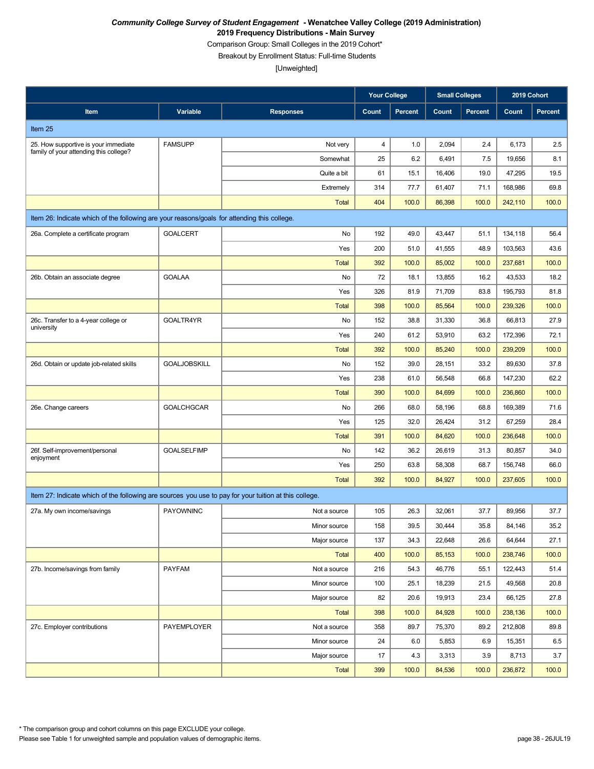Comparison Group: Small Colleges in the 2019 Cohort\*

Breakout by Enrollment Status: Full-time Students

|                                                                                                       |                     |                  | <b>Your College</b> |         | <b>Small Colleges</b> |                | 2019 Cohort |                |
|-------------------------------------------------------------------------------------------------------|---------------------|------------------|---------------------|---------|-----------------------|----------------|-------------|----------------|
| Item                                                                                                  | Variable            | <b>Responses</b> | Count               | Percent | Count                 | <b>Percent</b> | Count       | <b>Percent</b> |
| Item 25                                                                                               |                     |                  |                     |         |                       |                |             |                |
| 25. How supportive is your immediate                                                                  | <b>FAMSUPP</b>      | Not very         | 4                   | 1.0     | 2,094                 | 2.4            | 6,173       | 2.5            |
| family of your attending this college?                                                                |                     | Somewhat         | 25                  | 6.2     | 6,491                 | 7.5            | 19,656      | 8.1            |
|                                                                                                       |                     | Quite a bit      | 61                  | 15.1    | 16,406                | 19.0           | 47,295      | 19.5           |
|                                                                                                       |                     | Extremely        | 314                 | 77.7    | 61,407                | 71.1           | 168,986     | 69.8           |
|                                                                                                       |                     | <b>Total</b>     | 404                 | 100.0   | 86,398                | 100.0          | 242,110     | 100.0          |
| Item 26: Indicate which of the following are your reasons/goals for attending this college.           |                     |                  |                     |         |                       |                |             |                |
| 26a. Complete a certificate program                                                                   | <b>GOALCERT</b>     | No               | 192                 | 49.0    | 43,447                | 51.1           | 134,118     | 56.4           |
|                                                                                                       |                     | Yes              | 200                 | 51.0    | 41,555                | 48.9           | 103,563     | 43.6           |
|                                                                                                       |                     | <b>Total</b>     | 392                 | 100.0   | 85,002                | 100.0          | 237,681     | 100.0          |
| 26b. Obtain an associate degree                                                                       | <b>GOALAA</b>       | No               | 72                  | 18.1    | 13,855                | 16.2           | 43,533      | 18.2           |
|                                                                                                       |                     | Yes              | 326                 | 81.9    | 71,709                | 83.8           | 195,793     | 81.8           |
|                                                                                                       |                     | <b>Total</b>     | 398                 | 100.0   | 85,564                | 100.0          | 239,326     | 100.0          |
| 26c. Transfer to a 4-year college or<br>university                                                    | GOALTR4YR           | No               | 152                 | 38.8    | 31,330                | 36.8           | 66,813      | 27.9           |
|                                                                                                       |                     | Yes              | 240                 | 61.2    | 53,910                | 63.2           | 172,396     | 72.1           |
|                                                                                                       |                     | <b>Total</b>     | 392                 | 100.0   | 85.240                | 100.0          | 239,209     | 100.0          |
| 26d. Obtain or update job-related skills                                                              | <b>GOALJOBSKILL</b> | No               | 152                 | 39.0    | 28,151                | 33.2           | 89,630      | 37.8           |
|                                                                                                       |                     | Yes              | 238                 | 61.0    | 56,548                | 66.8           | 147,230     | 62.2           |
|                                                                                                       |                     | <b>Total</b>     | 390                 | 100.0   | 84,699                | 100.0          | 236,860     | 100.0          |
| 26e. Change careers                                                                                   | <b>GOALCHGCAR</b>   | No               | 266                 | 68.0    | 58,196                | 68.8           | 169,389     | 71.6           |
|                                                                                                       |                     | Yes              | 125                 | 32.0    | 26,424                | 31.2           | 67,259      | 28.4           |
|                                                                                                       |                     | <b>Total</b>     | 391                 | 100.0   | 84,620                | 100.0          | 236,648     | 100.0          |
| 26f. Self-improvement/personal<br>enjoyment                                                           | <b>GOALSELFIMP</b>  | No               | 142                 | 36.2    | 26,619                | 31.3           | 80,857      | 34.0           |
|                                                                                                       |                     | Yes              | 250                 | 63.8    | 58,308                | 68.7           | 156,748     | 66.0           |
|                                                                                                       |                     | <b>Total</b>     | 392                 | 100.0   | 84,927                | 100.0          | 237,605     | 100.0          |
| Item 27: Indicate which of the following are sources you use to pay for your tuition at this college. |                     |                  |                     |         |                       |                |             |                |
| 27a. My own income/savings                                                                            | <b>PAYOWNINC</b>    | Not a source     | 105                 | 26.3    | 32,061                | 37.7           | 89,956      | 37.7           |
|                                                                                                       |                     | Minor source     | 158                 | 39.5    | 30,444                | 35.8           | 84,146      | 35.2           |
|                                                                                                       |                     | Major source     | 137                 | 34.3    | 22,648                | 26.6           | 64,644      | 27.1           |
|                                                                                                       |                     | <b>Total</b>     | 400                 | 100.0   | 85,153                | 100.0          | 238,746     | 100.0          |
| 27b. Income/savings from family                                                                       | <b>PAYFAM</b>       | Not a source     | 216                 | 54.3    | 46,776                | 55.1           | 122,443     | 51.4           |
|                                                                                                       |                     | Minor source     | 100                 | 25.1    | 18,239                | 21.5           | 49,568      | 20.8           |
|                                                                                                       |                     | Major source     | 82                  | 20.6    | 19,913                | 23.4           | 66,125      | 27.8           |
|                                                                                                       |                     | <b>Total</b>     | 398                 | 100.0   | 84,928                | 100.0          | 238,136     | 100.0          |
| 27c. Employer contributions                                                                           | PAYEMPLOYER         | Not a source     | 358                 | 89.7    | 75,370                | 89.2           | 212,808     | 89.8           |
|                                                                                                       |                     | Minor source     | 24                  | 6.0     | 5,853                 | 6.9            | 15,351      | 6.5            |
|                                                                                                       |                     | Major source     | 17                  | 4.3     | 3,313                 | 3.9            | 8,713       | 3.7            |
|                                                                                                       |                     | <b>Total</b>     | 399                 | 100.0   | 84,536                | 100.0          | 236,872     | 100.0          |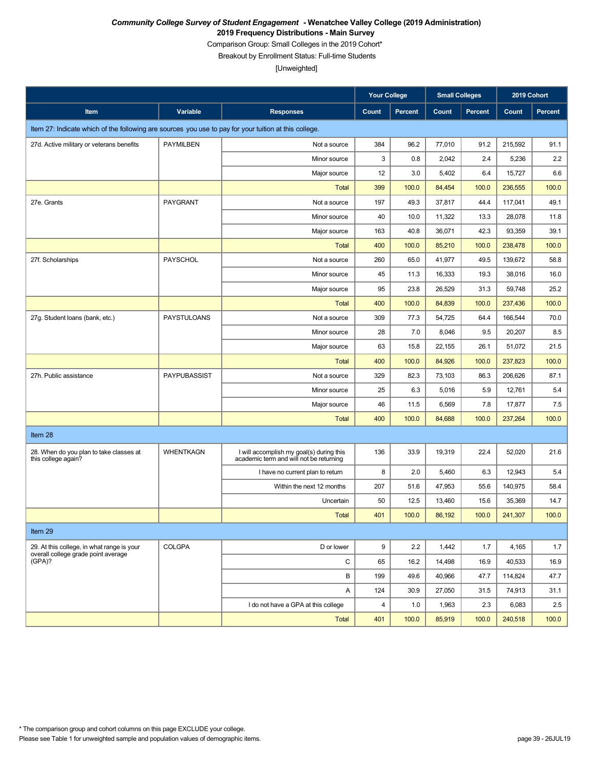Comparison Group: Small Colleges in the 2019 Cohort\*

Breakout by Enrollment Status: Full-time Students

|                                                                                                       |                    |                                                                                     | <b>Your College</b> |         | <b>Small Colleges</b> |                | 2019 Cohort |                |  |  |
|-------------------------------------------------------------------------------------------------------|--------------------|-------------------------------------------------------------------------------------|---------------------|---------|-----------------------|----------------|-------------|----------------|--|--|
| Item                                                                                                  | Variable           | <b>Responses</b>                                                                    | Count               | Percent | Count                 | <b>Percent</b> | Count       | <b>Percent</b> |  |  |
| Item 27: Indicate which of the following are sources you use to pay for your tuition at this college. |                    |                                                                                     |                     |         |                       |                |             |                |  |  |
| 27d. Active military or veterans benefits                                                             | <b>PAYMILBEN</b>   | Not a source                                                                        | 384                 | 96.2    | 77,010                | 91.2           | 215,592     | 91.1           |  |  |
|                                                                                                       |                    | Minor source                                                                        | 3                   | 0.8     | 2,042                 | 2.4            | 5,236       | 2.2            |  |  |
|                                                                                                       |                    | Major source                                                                        | 12                  | 3.0     | 5,402                 | 6.4            | 15,727      | 6.6            |  |  |
|                                                                                                       |                    | <b>Total</b>                                                                        | 399                 | 100.0   | 84,454                | 100.0          | 236,555     | 100.0          |  |  |
| 27e. Grants                                                                                           | PAYGRANT           | Not a source                                                                        | 197                 | 49.3    | 37,817                | 44.4           | 117,041     | 49.1           |  |  |
|                                                                                                       |                    | Minor source                                                                        | 40                  | 10.0    | 11,322                | 13.3           | 28,078      | 11.8           |  |  |
|                                                                                                       |                    | Major source                                                                        | 163                 | 40.8    | 36,071                | 42.3           | 93,359      | 39.1           |  |  |
|                                                                                                       |                    | <b>Total</b>                                                                        | 400                 | 100.0   | 85,210                | 100.0          | 238,478     | 100.0          |  |  |
| 27f. Scholarships                                                                                     | <b>PAYSCHOL</b>    | Not a source                                                                        | 260                 | 65.0    | 41,977                | 49.5           | 139,672     | 58.8           |  |  |
|                                                                                                       |                    | Minor source                                                                        | 45                  | 11.3    | 16,333                | 19.3           | 38,016      | 16.0           |  |  |
|                                                                                                       |                    | Major source                                                                        | 95                  | 23.8    | 26,529                | 31.3           | 59,748      | 25.2           |  |  |
|                                                                                                       |                    | <b>Total</b>                                                                        | 400                 | 100.0   | 84,839                | 100.0          | 237,436     | 100.0          |  |  |
| 27q. Student loans (bank, etc.)                                                                       | <b>PAYSTULOANS</b> | Not a source                                                                        | 309                 | 77.3    | 54,725                | 64.4           | 166,544     | 70.0           |  |  |
|                                                                                                       |                    | Minor source                                                                        | 28                  | 7.0     | 8,046                 | 9.5            | 20,207      | 8.5            |  |  |
|                                                                                                       |                    | Major source                                                                        | 63                  | 15.8    | 22,155                | 26.1           | 51,072      | 21.5           |  |  |
|                                                                                                       |                    | <b>Total</b>                                                                        | 400                 | 100.0   | 84,926                | 100.0          | 237,823     | 100.0          |  |  |
| 27h. Public assistance                                                                                | PAYPUBASSIST       | Not a source                                                                        | 329                 | 82.3    | 73,103                | 86.3           | 206,626     | 87.1           |  |  |
|                                                                                                       |                    | Minor source                                                                        | 25                  | 6.3     | 5,016                 | 5.9            | 12,761      | 5.4            |  |  |
|                                                                                                       |                    | Major source                                                                        | 46                  | 11.5    | 6,569                 | 7.8            | 17,877      | 7.5            |  |  |
|                                                                                                       |                    | <b>Total</b>                                                                        | 400                 | 100.0   | 84,688                | 100.0          | 237,264     | 100.0          |  |  |
| Item 28                                                                                               |                    |                                                                                     |                     |         |                       |                |             |                |  |  |
| 28. When do you plan to take classes at<br>this college again?                                        | <b>WHENTKAGN</b>   | I will accomplish my goal(s) during this<br>academic term and will not be returning | 136                 | 33.9    | 19,319                | 22.4           | 52,020      | 21.6           |  |  |
|                                                                                                       |                    | I have no current plan to return                                                    | 8                   | 2.0     | 5,460                 | 6.3            | 12,943      | 5.4            |  |  |
|                                                                                                       |                    | Within the next 12 months                                                           | 207                 | 51.6    | 47,953                | 55.6           | 140,975     | 58.4           |  |  |
|                                                                                                       |                    | Uncertain                                                                           | 50                  | 12.5    | 13,460                | 15.6           | 35,369      | 14.7           |  |  |
|                                                                                                       |                    | <b>Total</b>                                                                        | 401                 | 100.0   | 86,192                | 100.0          | 241,307     | 100.0          |  |  |
| Item 29                                                                                               |                    |                                                                                     |                     |         |                       |                |             |                |  |  |
| 29. At this college, in what range is your                                                            | <b>COLGPA</b>      | D or lower                                                                          | 9                   | 2.2     | 1,442                 | 1.7            | 4,165       | 1.7            |  |  |
| overall college grade point average<br>(GPA)?                                                         |                    | C                                                                                   | 65                  | 16.2    | 14,498                | 16.9           | 40,533      | 16.9           |  |  |
|                                                                                                       |                    | В                                                                                   | 199                 | 49.6    | 40,966                | 47.7           | 114,824     | 47.7           |  |  |
|                                                                                                       |                    | Α                                                                                   | 124                 | 30.9    | 27,050                | 31.5           | 74,913      | 31.1           |  |  |
|                                                                                                       |                    | I do not have a GPA at this college                                                 | $\overline{4}$      | 1.0     | 1,963                 | 2.3            | 6,083       | 2.5            |  |  |
|                                                                                                       |                    | Total                                                                               | 401                 | 100.0   | 85,919                | 100.0          | 240,518     | 100.0          |  |  |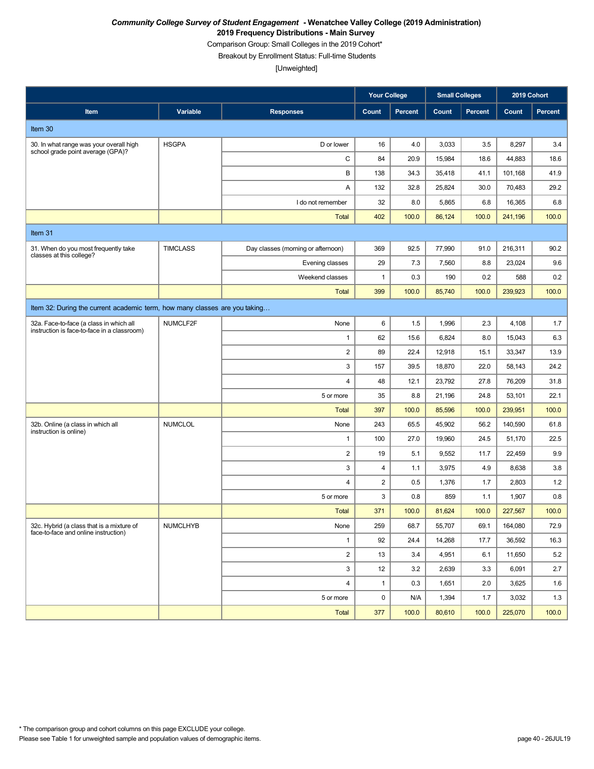Comparison Group: Small Colleges in the 2019 Cohort\*

Breakout by Enrollment Status: Full-time Students

|                                                                                        |                 |                                    | <b>Your College</b> |         | <b>Small Colleges</b> |                | 2019 Cohort |         |
|----------------------------------------------------------------------------------------|-----------------|------------------------------------|---------------------|---------|-----------------------|----------------|-------------|---------|
| Item                                                                                   | Variable        | <b>Responses</b>                   | Count               | Percent | Count                 | <b>Percent</b> | Count       | Percent |
| Item 30                                                                                |                 |                                    |                     |         |                       |                |             |         |
| 30. In what range was your overall high<br>school grade point average (GPA)?           | <b>HSGPA</b>    | D or lower                         | 16                  | 4.0     | 3,033                 | 3.5            | 8,297       | 3.4     |
|                                                                                        |                 | C                                  | 84                  | 20.9    | 15,984                | 18.6           | 44,883      | 18.6    |
|                                                                                        |                 | B                                  | 138                 | 34.3    | 35,418                | 41.1           | 101,168     | 41.9    |
|                                                                                        |                 | Α                                  | 132                 | 32.8    | 25,824                | 30.0           | 70,483      | 29.2    |
|                                                                                        |                 | I do not remember                  | 32                  | 8.0     | 5,865                 | 6.8            | 16,365      | 6.8     |
|                                                                                        |                 | <b>Total</b>                       | 402                 | 100.0   | 86,124                | 100.0          | 241,196     | 100.0   |
| Item 31                                                                                |                 |                                    |                     |         |                       |                |             |         |
| 31. When do you most frequently take<br>classes at this college?                       | <b>TIMCLASS</b> | Day classes (morning or afternoon) | 369                 | 92.5    | 77,990                | 91.0           | 216,311     | 90.2    |
|                                                                                        |                 | Evening classes                    | 29                  | 7.3     | 7,560                 | 8.8            | 23,024      | 9.6     |
|                                                                                        |                 | Weekend classes                    | $\mathbf{1}$        | 0.3     | 190                   | 0.2            | 588         | 0.2     |
|                                                                                        |                 | <b>Total</b>                       | 399                 | 100.0   | 85,740                | 100.0          | 239.923     | 100.0   |
| Item 32: During the current academic term, how many classes are you taking             |                 |                                    |                     |         |                       |                |             |         |
| 32a. Face-to-face (a class in which all<br>instruction is face-to-face in a classroom) | NUMCLF2F        | None                               | 6                   | 1.5     | 1,996                 | 2.3            | 4,108       | 1.7     |
|                                                                                        |                 | $\mathbf{1}$                       | 62                  | 15.6    | 6,824                 | 8.0            | 15,043      | 6.3     |
|                                                                                        |                 | $\overline{\mathbf{c}}$            | 89                  | 22.4    | 12,918                | 15.1           | 33,347      | 13.9    |
|                                                                                        |                 | 3                                  | 157                 | 39.5    | 18,870                | 22.0           | 58,143      | 24.2    |
|                                                                                        |                 | 4                                  | 48                  | 12.1    | 23,792                | 27.8           | 76,209      | 31.8    |
|                                                                                        |                 | 5 or more                          | 35                  | 8.8     | 21,196                | 24.8           | 53,101      | 22.1    |
|                                                                                        |                 | <b>Total</b>                       | 397                 | 100.0   | 85,596                | 100.0          | 239,951     | 100.0   |
| 32b. Online (a class in which all<br>instruction is online)                            | <b>NUMCLOL</b>  | None                               | 243                 | 65.5    | 45,902                | 56.2           | 140,590     | 61.8    |
|                                                                                        |                 | 1                                  | 100                 | 27.0    | 19,960                | 24.5           | 51,170      | 22.5    |
|                                                                                        |                 | $\overline{\mathbf{c}}$            | 19                  | 5.1     | 9,552                 | 11.7           | 22,459      | 9.9     |
|                                                                                        |                 | 3                                  | $\overline{4}$      | 1.1     | 3,975                 | 4.9            | 8,638       | 3.8     |
|                                                                                        |                 | 4                                  | $\overline{2}$      | 0.5     | 1,376                 | 1.7            | 2,803       | 1.2     |
|                                                                                        |                 | 5 or more                          | 3                   | 0.8     | 859                   | 1.1            | 1,907       | 0.8     |
|                                                                                        |                 | <b>Total</b>                       | 371                 | 100.0   | 81,624                | 100.0          | 227,567     | 100.0   |
| 32c. Hybrid (a class that is a mixture of<br>face-to-face and online instruction)      | <b>NUMCLHYB</b> | None                               | 259                 | 68.7    | 55,707                | 69.1           | 164,080     | 72.9    |
|                                                                                        |                 | $\mathbf{1}$                       | 92                  | 24.4    | 14,268                | 17.7           | 36,592      | 16.3    |
|                                                                                        |                 | $\overline{2}$                     | 13                  | 3.4     | 4,951                 | 6.1            | 11,650      | 5.2     |
|                                                                                        |                 | 3                                  | 12                  | 3.2     | 2,639                 | 3.3            | 6,091       | 2.7     |
|                                                                                        |                 | 4                                  | $\mathbf{1}$        | 0.3     | 1,651                 | 2.0            | 3,625       | 1.6     |
|                                                                                        |                 | 5 or more                          | 0                   | N/A     | 1,394                 | 1.7            | 3,032       | 1.3     |
|                                                                                        |                 | Total                              | 377                 | 100.0   | 80,610                | 100.0          | 225,070     | 100.0   |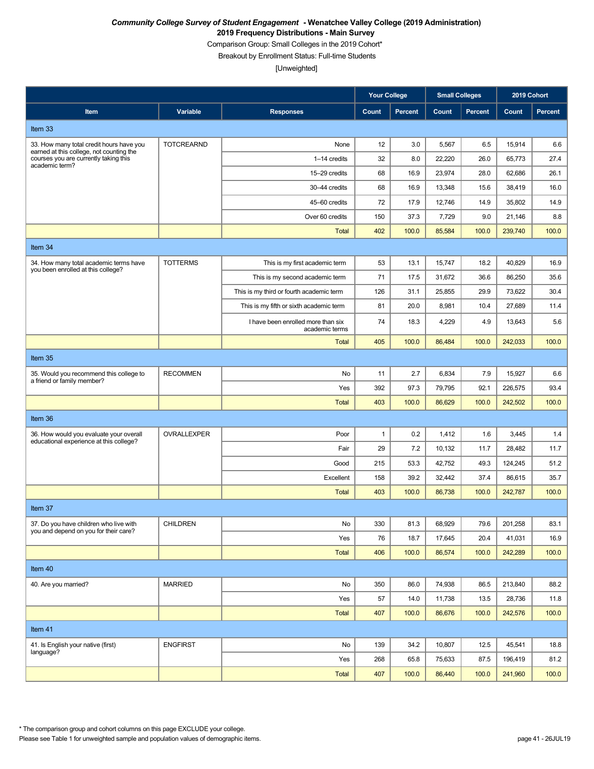Comparison Group: Small Colleges in the 2019 Cohort\*

Breakout by Enrollment Status: Full-time Students

[Unweighted]

|                                                                                                     |                   |                                                      | <b>Your College</b> |         | <b>Small Colleges</b> |                | 2019 Cohort |                |
|-----------------------------------------------------------------------------------------------------|-------------------|------------------------------------------------------|---------------------|---------|-----------------------|----------------|-------------|----------------|
| Item                                                                                                | Variable          | <b>Responses</b>                                     | Count               | Percent | Count                 | <b>Percent</b> | Count       | <b>Percent</b> |
| Item 33                                                                                             |                   |                                                      |                     |         |                       |                |             |                |
| 33. How many total credit hours have you                                                            | <b>TOTCREARND</b> | None                                                 | 12                  | 3.0     | 5,567                 | 6.5            | 15,914      | 6.6            |
| earned at this college, not counting the<br>courses you are currently taking this<br>academic term? |                   | 1-14 credits                                         | 32                  | 8.0     | 22,220                | 26.0           | 65,773      | 27.4           |
|                                                                                                     |                   | 15-29 credits                                        | 68                  | 16.9    | 23,974                | 28.0           | 62,686      | 26.1           |
|                                                                                                     |                   | 30-44 credits                                        | 68                  | 16.9    | 13,348                | 15.6           | 38,419      | 16.0           |
|                                                                                                     |                   | 45-60 credits                                        | 72                  | 17.9    | 12,746                | 14.9           | 35,802      | 14.9           |
|                                                                                                     |                   | Over 60 credits                                      | 150                 | 37.3    | 7,729                 | 9.0            | 21,146      | 8.8            |
|                                                                                                     |                   | <b>Total</b>                                         | 402                 | 100.0   | 85,584                | 100.0          | 239,740     | 100.0          |
| Item 34                                                                                             |                   |                                                      |                     |         |                       |                |             |                |
| 34. How many total academic terms have                                                              | <b>TOTTERMS</b>   | This is my first academic term                       | 53                  | 13.1    | 15,747                | 18.2           | 40,829      | 16.9           |
| you been enrolled at this college?                                                                  |                   | This is my second academic term                      | 71                  | 17.5    | 31,672                | 36.6           | 86,250      | 35.6           |
|                                                                                                     |                   | This is my third or fourth academic term             | 126                 | 31.1    | 25,855                | 29.9           | 73,622      | 30.4           |
|                                                                                                     |                   | This is my fifth or sixth academic term              | 81                  | 20.0    | 8,981                 | 10.4           | 27,689      | 11.4           |
|                                                                                                     |                   | I have been enrolled more than six<br>academic terms | 74                  | 18.3    | 4,229                 | 4.9            | 13,643      | 5.6            |
|                                                                                                     |                   | Total                                                | 405                 | 100.0   | 86,484                | 100.0          | 242,033     | 100.0          |
| Item 35                                                                                             |                   |                                                      |                     |         |                       |                |             |                |
| 35. Would you recommend this college to<br>a friend or family member?                               | <b>RECOMMEN</b>   | No                                                   | 11                  | 2.7     | 6,834                 | 7.9            | 15,927      | 6.6            |
|                                                                                                     |                   | Yes                                                  | 392                 | 97.3    | 79,795                | 92.1           | 226,575     | 93.4           |
|                                                                                                     |                   | <b>Total</b>                                         | 403                 | 100.0   | 86,629                | 100.0          | 242,502     | 100.0          |
| Item 36                                                                                             |                   |                                                      |                     |         |                       |                |             |                |
| 36. How would you evaluate your overall                                                             | OVRALLEXPER       | Poor                                                 | $\mathbf{1}$        | 0.2     | 1,412                 | 1.6            | 3,445       | 1.4            |
| educational experience at this college?                                                             |                   | Fair                                                 | 29                  | 7.2     | 10,132                | 11.7           | 28,482      | 11.7           |
|                                                                                                     |                   | Good                                                 | 215                 | 53.3    | 42,752                | 49.3           | 124,245     | 51.2           |
|                                                                                                     |                   | Excellent                                            | 158                 | 39.2    | 32,442                | 37.4           | 86,615      | 35.7           |
|                                                                                                     |                   | <b>Total</b>                                         | 403                 | 100.0   | 86,738                | 100.0          | 242,787     | 100.0          |
| Item 37                                                                                             |                   |                                                      |                     |         |                       |                |             |                |
| 37. Do you have children who live with<br>you and depend on you for their care?                     | <b>CHILDREN</b>   | No                                                   | 330                 | 81.3    | 68,929                | 79.6           | 201,258     | 83.1           |
|                                                                                                     |                   | Yes                                                  | 76                  | 18.7    | 17,645                | 20.4           | 41,031      | 16.9           |
|                                                                                                     |                   | <b>Total</b>                                         | 406                 | 100.0   | 86,574                | 100.0          | 242,289     | 100.0          |
| Item 40                                                                                             |                   |                                                      |                     |         |                       |                |             |                |
| 40. Are you married?                                                                                | <b>MARRIED</b>    | No                                                   | 350                 | 86.0    | 74,938                | 86.5           | 213,840     | 88.2           |
|                                                                                                     |                   | Yes                                                  | 57                  | 14.0    | 11,738                | 13.5           | 28,736      | 11.8           |
|                                                                                                     |                   | <b>Total</b>                                         | 407                 | 100.0   | 86,676                | 100.0          | 242,576     | 100.0          |
| Item 41                                                                                             |                   |                                                      |                     |         |                       |                |             |                |
| 41. Is English your native (first)                                                                  | <b>ENGFIRST</b>   | No                                                   | 139                 | 34.2    | 10,807                | 12.5           | 45,541      | 18.8           |
| language?                                                                                           |                   | Yes                                                  | 268                 | 65.8    | 75,633                | 87.5           | 196,419     | 81.2           |
|                                                                                                     |                   | <b>Total</b>                                         | 407                 | 100.0   | 86,440                | 100.0          | 241,960     | 100.0          |

Please see Table 1 for unweighted sample and population values of demographic items. page 41 - 26JUL19